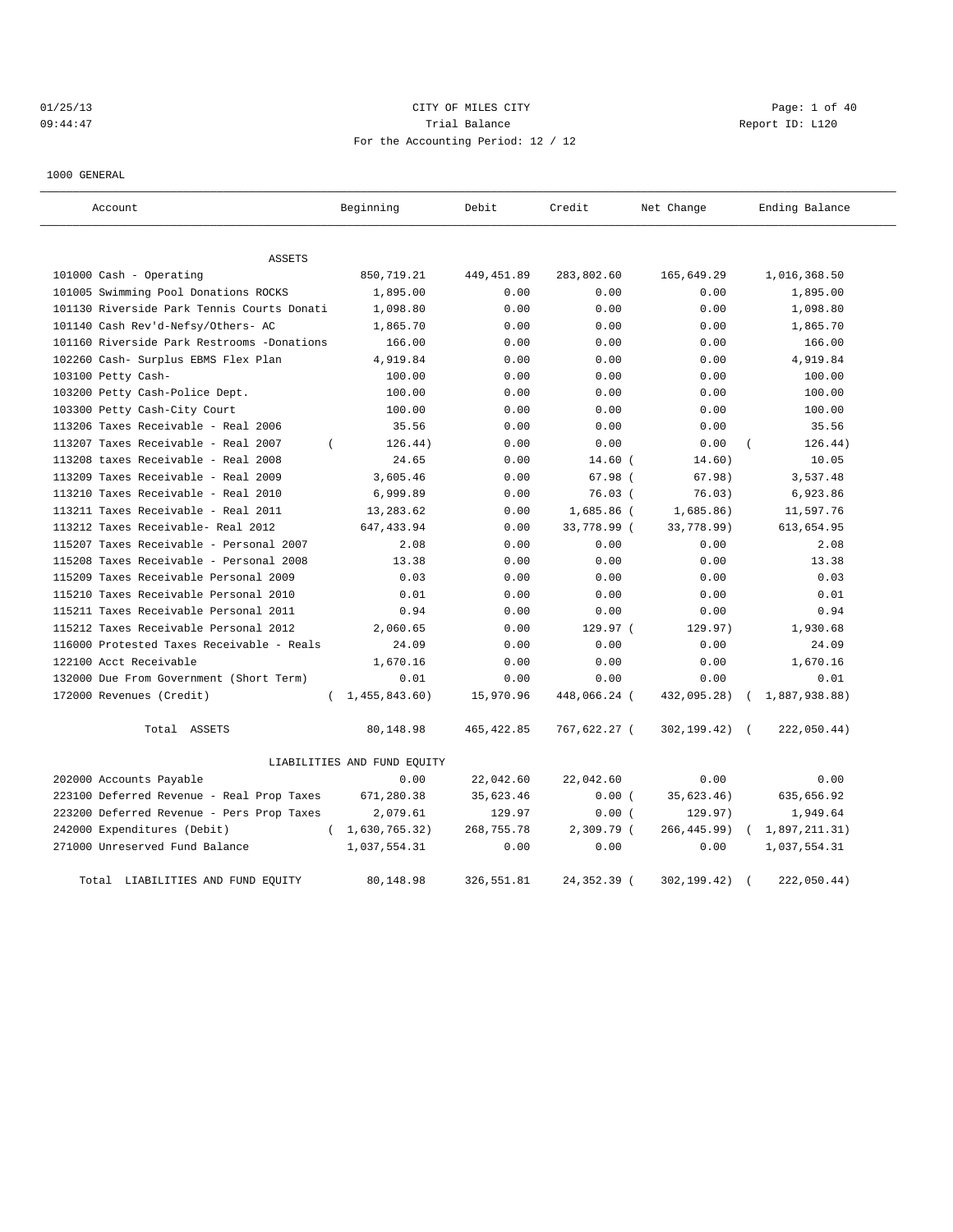# 01/25/13 Page: 1 of 40 09:44:47 Trial Balance Trial Balance Report ID: L120 For the Accounting Period: 12 / 12

1000 GENERAL

| Account                                    | Beginning                   | Debit       | Credit       | Net Change      | Ending Balance |
|--------------------------------------------|-----------------------------|-------------|--------------|-----------------|----------------|
| ASSETS                                     |                             |             |              |                 |                |
| 101000 Cash - Operating                    | 850,719.21                  | 449, 451.89 | 283,802.60   | 165,649.29      | 1,016,368.50   |
| 101005 Swimming Pool Donations ROCKS       | 1,895.00                    | 0.00        | 0.00         | 0.00            | 1,895.00       |
| 101130 Riverside Park Tennis Courts Donati | 1,098.80                    | 0.00        | 0.00         | 0.00            | 1,098.80       |
| 101140 Cash Rev'd-Nefsy/Others- AC         | 1,865.70                    | 0.00        | 0.00         | 0.00            | 1,865.70       |
| 101160 Riverside Park Restrooms -Donations | 166.00                      | 0.00        | 0.00         | 0.00            | 166.00         |
| 102260 Cash- Surplus EBMS Flex Plan        | 4,919.84                    | 0.00        | 0.00         | 0.00            | 4,919.84       |
| 103100 Petty Cash-                         | 100.00                      | 0.00        | 0.00         | 0.00            | 100.00         |
| 103200 Petty Cash-Police Dept.             | 100.00                      | 0.00        | 0.00         | 0.00            | 100.00         |
| 103300 Petty Cash-City Court               | 100.00                      | 0.00        | 0.00         | 0.00            | 100.00         |
| 113206 Taxes Receivable - Real 2006        | 35.56                       | 0.00        | 0.00         | 0.00            | 35.56          |
| 113207 Taxes Receivable - Real 2007        | 126.44)<br>$\left($         | 0.00        | 0.00         | 0.00            | 126.44)        |
| 113208 taxes Receivable - Real 2008        | 24.65                       | 0.00        | $14.60$ (    | 14.60)          | 10.05          |
| 113209 Taxes Receivable - Real 2009        | 3,605.46                    | 0.00        | 67.98(       | 67.98)          | 3,537.48       |
| 113210 Taxes Receivable - Real 2010        | 6,999.89                    | 0.00        | 76.03(       | 76.03)          | 6,923.86       |
| 113211 Taxes Receivable - Real 2011        | 13,283.62                   | 0.00        | 1,685.86 (   | 1,685.86)       | 11,597.76      |
| 113212 Taxes Receivable- Real 2012         | 647, 433.94                 | 0.00        | 33,778.99 (  | 33,778.99)      | 613,654.95     |
| 115207 Taxes Receivable - Personal 2007    | 2.08                        | 0.00        | 0.00         | 0.00            | 2.08           |
| 115208 Taxes Receivable - Personal 2008    | 13.38                       | 0.00        | 0.00         | 0.00            | 13.38          |
| 115209 Taxes Receivable Personal 2009      | 0.03                        | 0.00        | 0.00         | 0.00            | 0.03           |
| 115210 Taxes Receivable Personal 2010      | 0.01                        | 0.00        | 0.00         | 0.00            | 0.01           |
| 115211 Taxes Receivable Personal 2011      | 0.94                        | 0.00        | 0.00         | 0.00            | 0.94           |
| 115212 Taxes Receivable Personal 2012      | 2,060.65                    | 0.00        | 129.97 (     | 129.97)         | 1,930.68       |
| 116000 Protested Taxes Receivable - Reals  | 24.09                       | 0.00        | 0.00         | 0.00            | 24.09          |
| 122100 Acct Receivable                     | 1,670.16                    | 0.00        | 0.00         | 0.00            | 1,670.16       |
| 132000 Due From Government (Short Term)    | 0.01                        | 0.00        | 0.00         | 0.00            | 0.01           |
| 172000 Revenues (Credit)                   | 1,455,843.60)<br>$\left($   | 15,970.96   | 448,066.24 ( | 432,095.28)     | 1,887,938.88)  |
| Total ASSETS                               | 80,148.98                   | 465, 422.85 | 767,622.27 ( | $302, 199.42$ ( | 222,050.44)    |
|                                            | LIABILITIES AND FUND EQUITY |             |              |                 |                |
| 202000 Accounts Payable                    | 0.00                        | 22,042.60   | 22,042.60    | 0.00            | 0.00           |
| 223100 Deferred Revenue - Real Prop Taxes  | 671,280.38                  | 35,623.46   | 0.00(        | 35,623.46)      | 635,656.92     |
| 223200 Deferred Revenue - Pers Prop Taxes  | 2,079.61                    | 129.97      | 0.00(        | 129.97)         | 1,949.64       |
| 242000 Expenditures (Debit)                | (1,630,765.32)              | 268,755.78  | $2,309.79$ ( | 266, 445.99)    | 1,897,211.31)  |
| 271000 Unreserved Fund Balance             | 1,037,554.31                | 0.00        | 0.00         | 0.00            | 1,037,554.31   |
| Total LIABILITIES AND FUND EQUITY          | 80,148.98                   | 326,551.81  | 24,352.39 (  | 302,199.42)     | 222,050.44)    |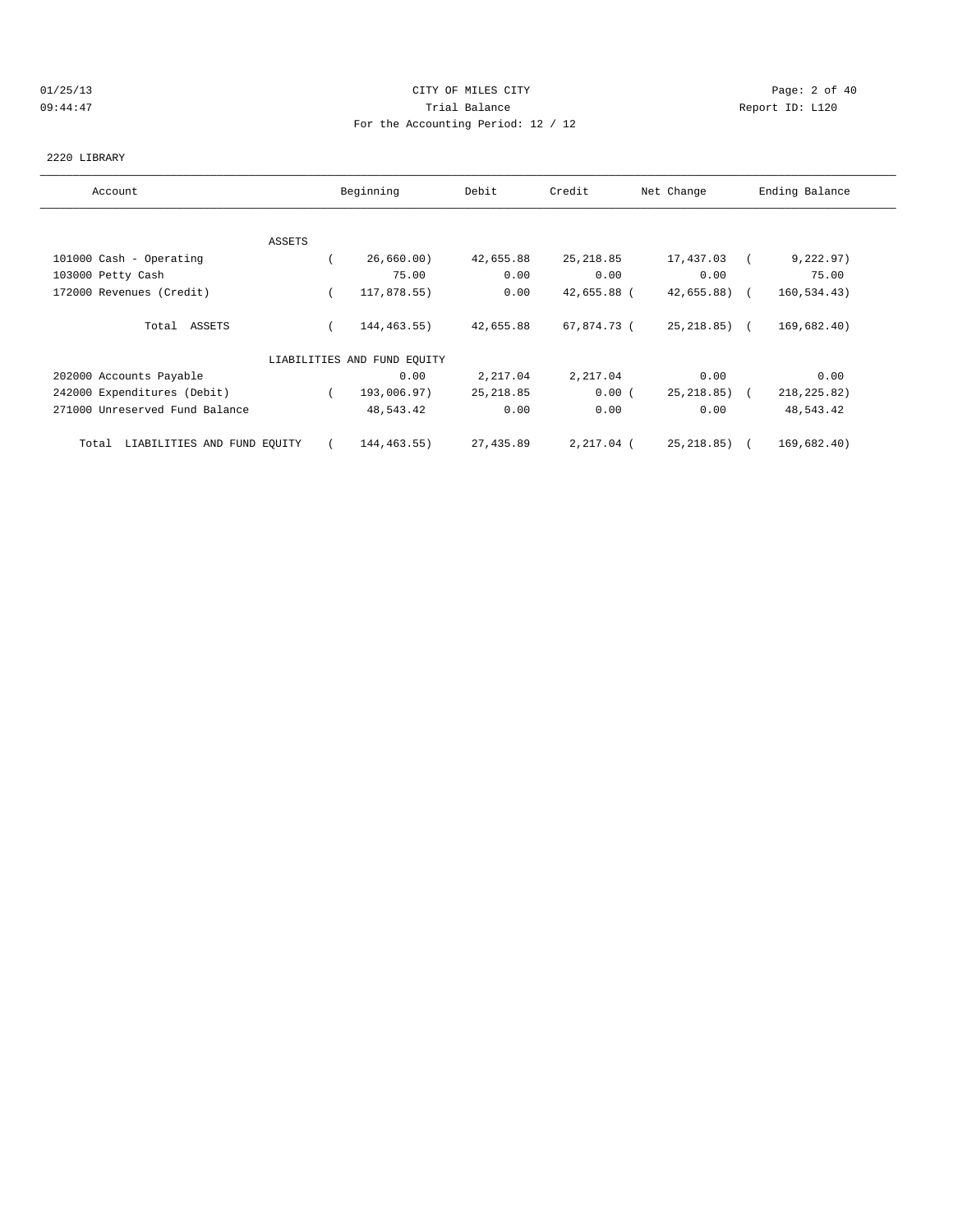#### 01/25/13 Page: 2 of 40 09:44:47 Trial Balance Report ID: L120 For the Accounting Period: 12 / 12

#### 2220 LIBRARY

| Account                           | Beginning                   | Debit      | Credit      | Net Change    | Ending Balance |
|-----------------------------------|-----------------------------|------------|-------------|---------------|----------------|
|                                   |                             |            |             |               |                |
| ASSETS                            |                             |            |             |               |                |
| 101000 Cash - Operating           | 26,660.00)                  | 42,655.88  | 25, 218.85  | 17,437.03     | 9,222.97)      |
| 103000 Petty Cash                 | 75.00                       | 0.00       | 0.00        | 0.00          | 75.00          |
| 172000 Revenues (Credit)          | 117,878.55)                 | 0.00       | 42,655.88 ( | $42,655.88$ ( | 160, 534.43)   |
| Total ASSETS                      | 144,463.55)                 | 42,655.88  | 67,874.73 ( | 25,218.85) (  | 169,682.40)    |
|                                   | LIABILITIES AND FUND EQUITY |            |             |               |                |
| 202000 Accounts Payable           | 0.00                        | 2,217.04   | 2,217.04    | 0.00          | 0.00           |
| 242000 Expenditures (Debit)       | 193,006.97)                 | 25, 218.85 | 0.00(       | 25,218.85) (  | 218,225.82)    |
| 271000 Unreserved Fund Balance    | 48,543.42                   | 0.00       | 0.00        | 0.00          | 48,543.42      |
| Total LIABILITIES AND FUND EQUITY | 144, 463.55)                | 27,435.89  | 2,217.04 (  | 25,218.85) (  | 169,682.40)    |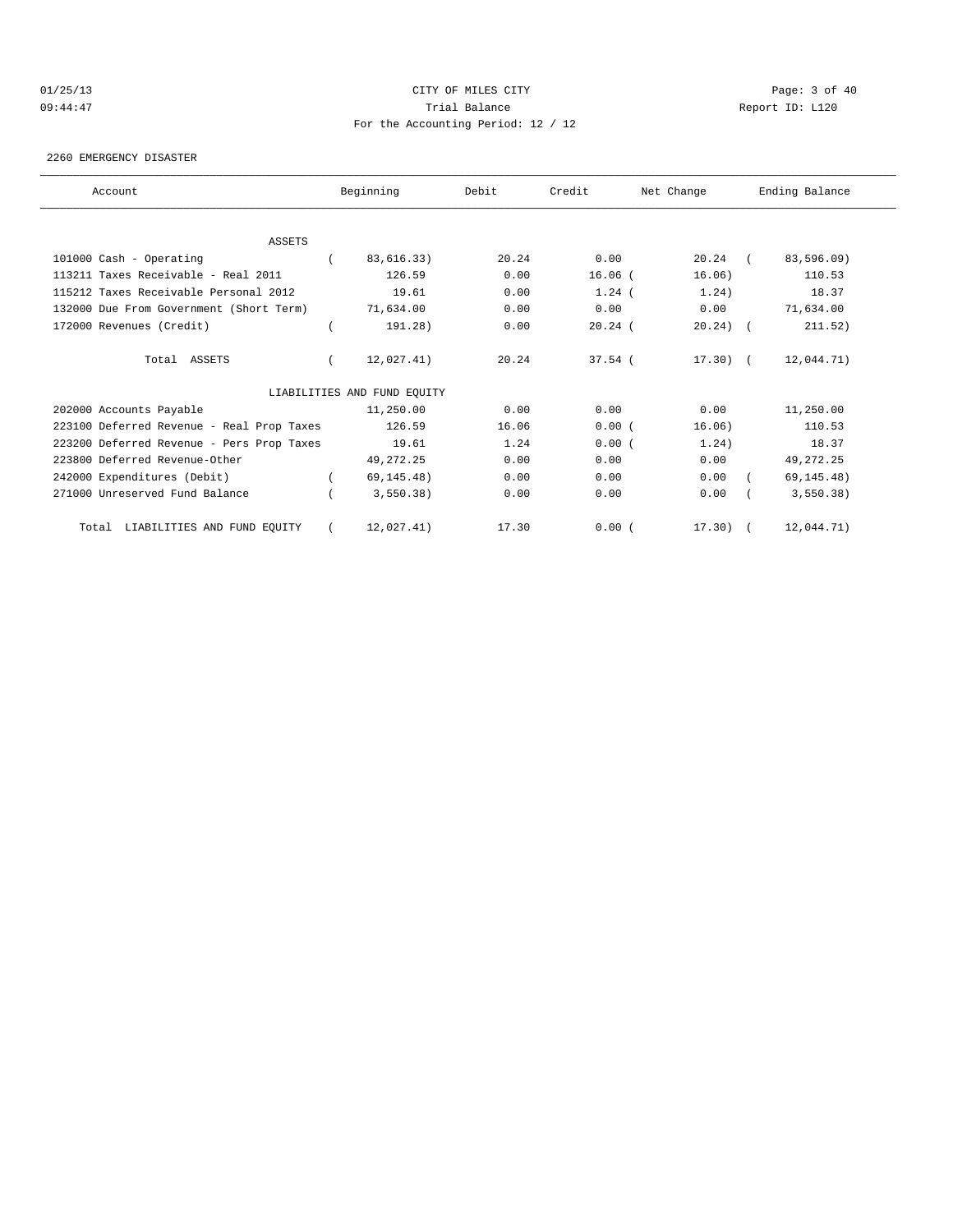#### 01/25/13 CITY OF MILES CITY Page: 3 of 40 09:44:47 Trial Balance Report ID: L120 For the Accounting Period: 12 / 12

#### 2260 EMERGENCY DISASTER

| Account                                   | Beginning                   | Debit | Credit    | Net Change  | Ending Balance |
|-------------------------------------------|-----------------------------|-------|-----------|-------------|----------------|
|                                           |                             |       |           |             |                |
| ASSETS                                    |                             |       |           |             |                |
| 101000 Cash - Operating                   | 83,616.33)                  | 20.24 | 0.00      | $20.24$ (   | 83,596.09)     |
| 113211 Taxes Receivable - Real 2011       | 126.59                      | 0.00  | $16.06$ ( | 16.06)      | 110.53         |
| 115212 Taxes Receivable Personal 2012     | 19.61                       | 0.00  | $1.24$ (  | 1.24)       | 18.37          |
| 132000 Due From Government (Short Term)   | 71,634.00                   | 0.00  | 0.00      | 0.00        | 71,634.00      |
| 172000 Revenues (Credit)                  | 191.28)                     | 0.00  | $20.24$ ( | $20.24$ ) ( | 211.52)        |
| Total ASSETS                              | 12,027.41)                  | 20.24 | $37.54$ ( | $17.30$ (   | 12,044.71)     |
|                                           | LIABILITIES AND FUND EQUITY |       |           |             |                |
| 202000 Accounts Payable                   | 11,250.00                   | 0.00  | 0.00      | 0.00        | 11,250.00      |
| 223100 Deferred Revenue - Real Prop Taxes | 126.59                      | 16.06 | 0.00(     | 16.06)      | 110.53         |
| 223200 Deferred Revenue - Pers Prop Taxes | 19.61                       | 1.24  | 0.00(     | 1.24)       | 18.37          |
| 223800 Deferred Revenue-Other             | 49, 272. 25                 | 0.00  | 0.00      | 0.00        | 49, 272. 25    |
| 242000 Expenditures (Debit)               | 69, 145.48)                 | 0.00  | 0.00      | 0.00        | 69, 145.48)    |
| 271000 Unreserved Fund Balance            | 3,550.38)                   | 0.00  | 0.00      | 0.00        | 3,550.38)      |
| LIABILITIES AND FUND EQUITY<br>Total      | 12,027.41)                  | 17.30 | 0.00(     | $17.30$ (   | 12,044.71)     |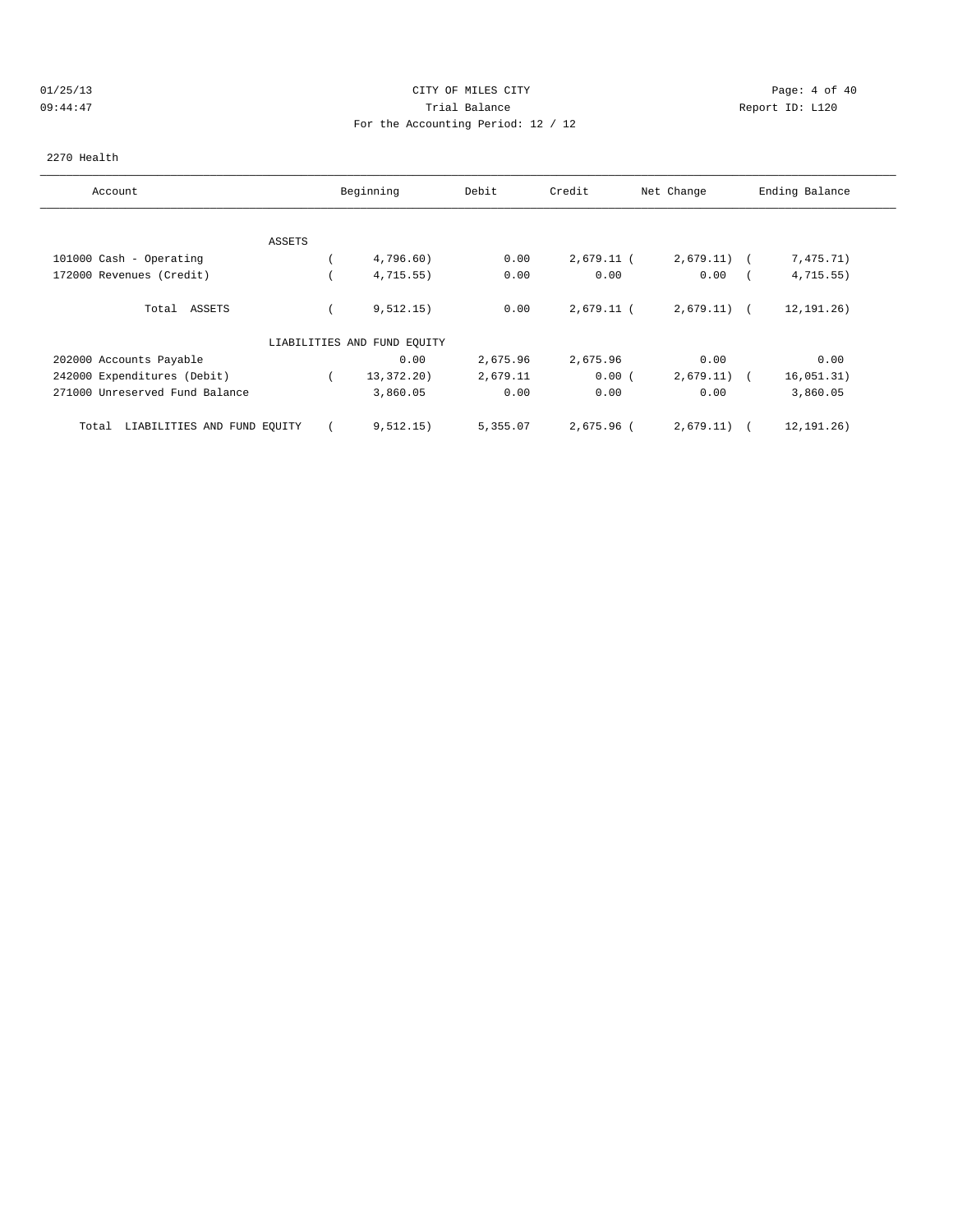#### 01/25/13 Page: 4 of 40 09:44:47 Trial Balance Report ID: L120 For the Accounting Period: 12 / 12

#### 2270 Health

| Account                              |        | Beginning                   | Debit    | Credit       | Net Change    | Ending Balance           |
|--------------------------------------|--------|-----------------------------|----------|--------------|---------------|--------------------------|
|                                      |        |                             |          |              |               |                          |
|                                      | ASSETS |                             |          |              |               |                          |
| 101000 Cash - Operating              |        | 4,796.60)                   | 0.00     | $2,679.11$ ( | $2,679.11)$ ( | 7,475.71)                |
| 172000 Revenues (Credit)             |        | 4,715.55)                   | 0.00     | 0.00         | 0.00          | 4, 715.55)               |
| ASSETS<br>Total                      |        | 9,512.15)                   | 0.00     | 2,679.11 (   | $2,679.11)$ ( | 12, 191. 26)             |
|                                      |        | LIABILITIES AND FUND EQUITY |          |              |               |                          |
| 202000 Accounts Payable              |        | 0.00                        | 2,675.96 | 2,675.96     | 0.00          | 0.00                     |
| 242000 Expenditures (Debit)          |        | 13,372.20)                  | 2,679.11 | 0.00(        | 2,679.11)     | 16,051.31)<br>$\sqrt{2}$ |
| 271000 Unreserved Fund Balance       |        | 3,860.05                    | 0.00     | 0.00         | 0.00          | 3,860.05                 |
| LIABILITIES AND FUND EQUITY<br>Total |        | 9,512.15)                   | 5,355.07 | $2,675.96$ ( | 2,679.11)     | 12, 191. 26)             |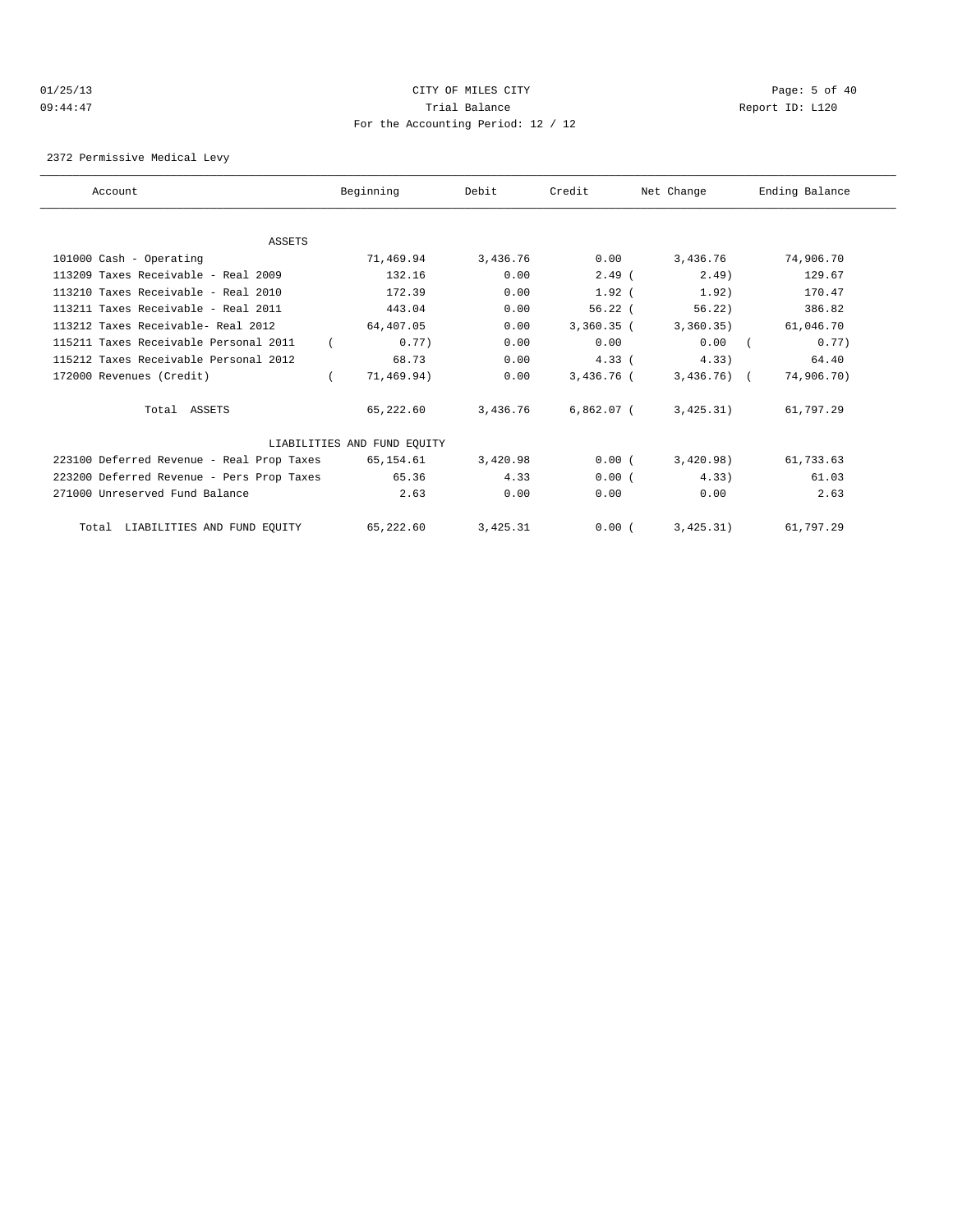#### 01/25/13 Page: 5 of 40 09:44:47 Trial Balance Report ID: L120 For the Accounting Period: 12 / 12

2372 Permissive Medical Levy

| Account                                   | Beginning                   | Debit    | Credit            | Net Change   | Ending Balance |
|-------------------------------------------|-----------------------------|----------|-------------------|--------------|----------------|
|                                           |                             |          |                   |              |                |
| ASSETS                                    |                             |          |                   |              |                |
| 101000 Cash - Operating                   | 71,469.94                   | 3,436.76 | 0.00              | 3,436.76     | 74,906.70      |
| 113209 Taxes Receivable - Real 2009       | 132.16                      | 0.00     | $2.49$ (          | 2.49         | 129.67         |
| 113210 Taxes Receivable - Real 2010       | 172.39                      | 0.00     | $1.92$ (          | 1.92)        | 170.47         |
| 113211 Taxes Receivable - Real 2011       | 443.04                      | 0.00     | $56.22$ (         | 56.22)       | 386.82         |
| 113212 Taxes Receivable- Real 2012        | 64,407.05                   | 0.00     | $3,360.35$ (      | 3,360.35)    | 61,046.70      |
| 115211 Taxes Receivable Personal 2011     | 0.77                        | 0.00     | 0.00              | 0.00         | 0.77)          |
| 115212 Taxes Receivable Personal 2012     | 68.73                       | 0.00     | 4.33 <sub>0</sub> | 4.33)        | 64.40          |
| 172000 Revenues (Credit)                  | 71,469.94)                  | 0.00     | 3,436.76 (        | $3,436,76$ ( | 74,906.70)     |
| Total ASSETS                              | 65,222.60                   | 3,436.76 | $6,862.07$ (      | 3,425.31)    | 61,797.29      |
|                                           | LIABILITIES AND FUND EQUITY |          |                   |              |                |
| 223100 Deferred Revenue - Real Prop Taxes | 65,154.61                   | 3,420.98 | 0.00(             | 3,420.98)    | 61,733.63      |
| 223200 Deferred Revenue - Pers Prop Taxes | 65.36                       | 4.33     | 0.00(             | 4.33)        | 61.03          |
| 271000 Unreserved Fund Balance            | 2.63                        | 0.00     | 0.00              | 0.00         | 2.63           |
| Total LIABILITIES AND FUND EQUITY         | 65,222.60                   | 3,425.31 | 0.00(             | 3,425,31)    | 61,797.29      |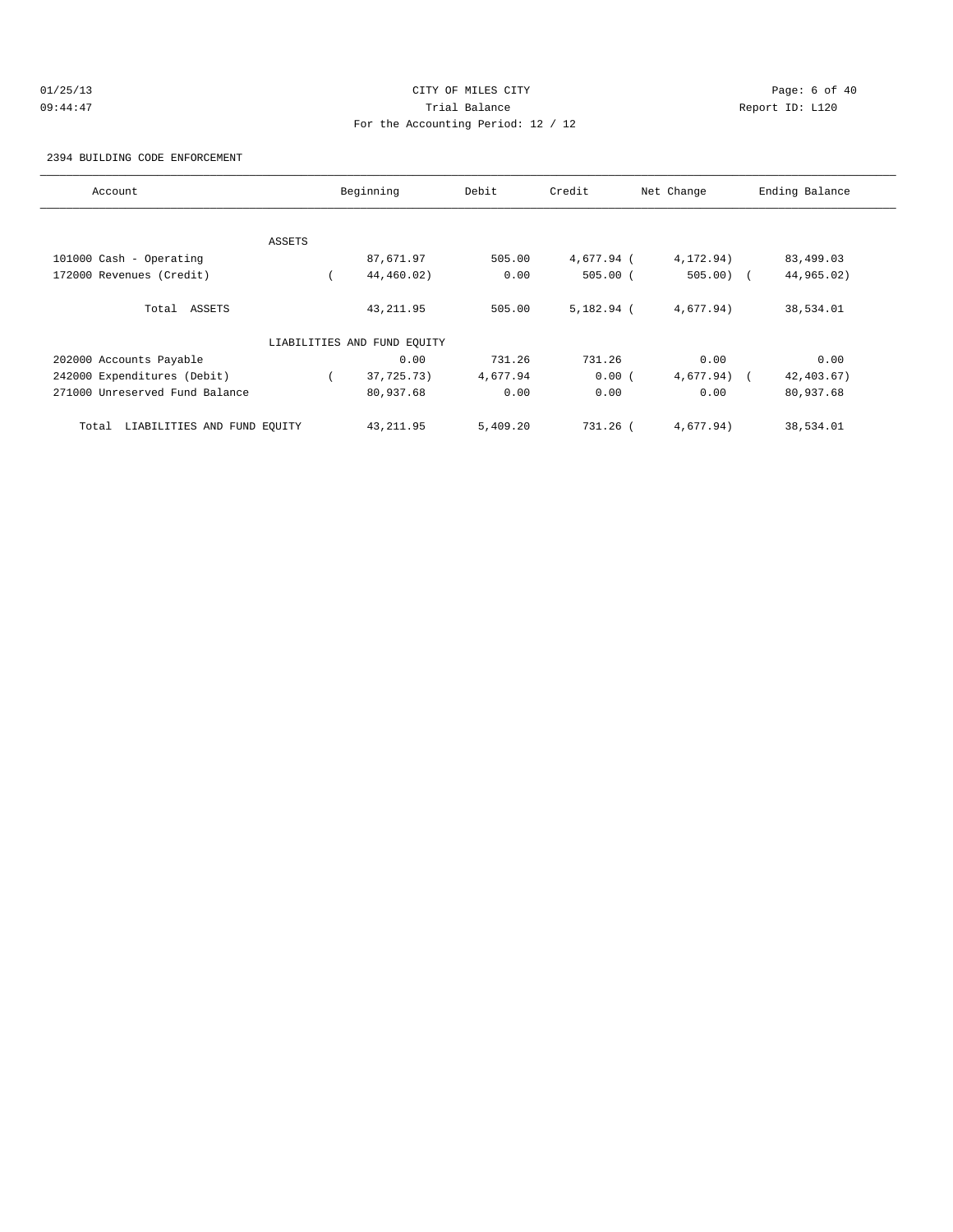# 01/25/13 Page: 6 of 40 09:44:47 Trial Balance Report ID: L120 For the Accounting Period: 12 / 12

#### 2394 BUILDING CODE ENFORCEMENT

| Account                              |        | Beginning                   | Debit    | Credit       | Net Change | Ending Balance |
|--------------------------------------|--------|-----------------------------|----------|--------------|------------|----------------|
|                                      |        |                             |          |              |            |                |
|                                      | ASSETS |                             |          |              |            |                |
| 101000 Cash - Operating              |        | 87,671.97                   | 505.00   | 4,677.94 (   | 4,172.94)  | 83,499.03      |
| 172000 Revenues (Credit)             |        | 44,460.02)                  | 0.00     | $505.00$ (   | $505.00$ ( | 44,965.02)     |
| Total ASSETS                         |        | 43, 211.95                  | 505.00   | $5,182.94$ ( | 4,677.94)  | 38,534.01      |
|                                      |        | LIABILITIES AND FUND EQUITY |          |              |            |                |
| 202000 Accounts Payable              |        | 0.00                        | 731.26   | 731.26       | 0.00       | 0.00           |
| 242000 Expenditures (Debit)          |        | 37,725.73)                  | 4,677.94 | 0.00(        | 4,677.94)  | 42, 403.67)    |
| 271000 Unreserved Fund Balance       |        | 80,937.68                   | 0.00     | 0.00         | 0.00       | 80,937.68      |
| LIABILITIES AND FUND EQUITY<br>Total |        | 43, 211.95                  | 5,409.20 | $731.26$ (   | 4,677.94)  | 38,534.01      |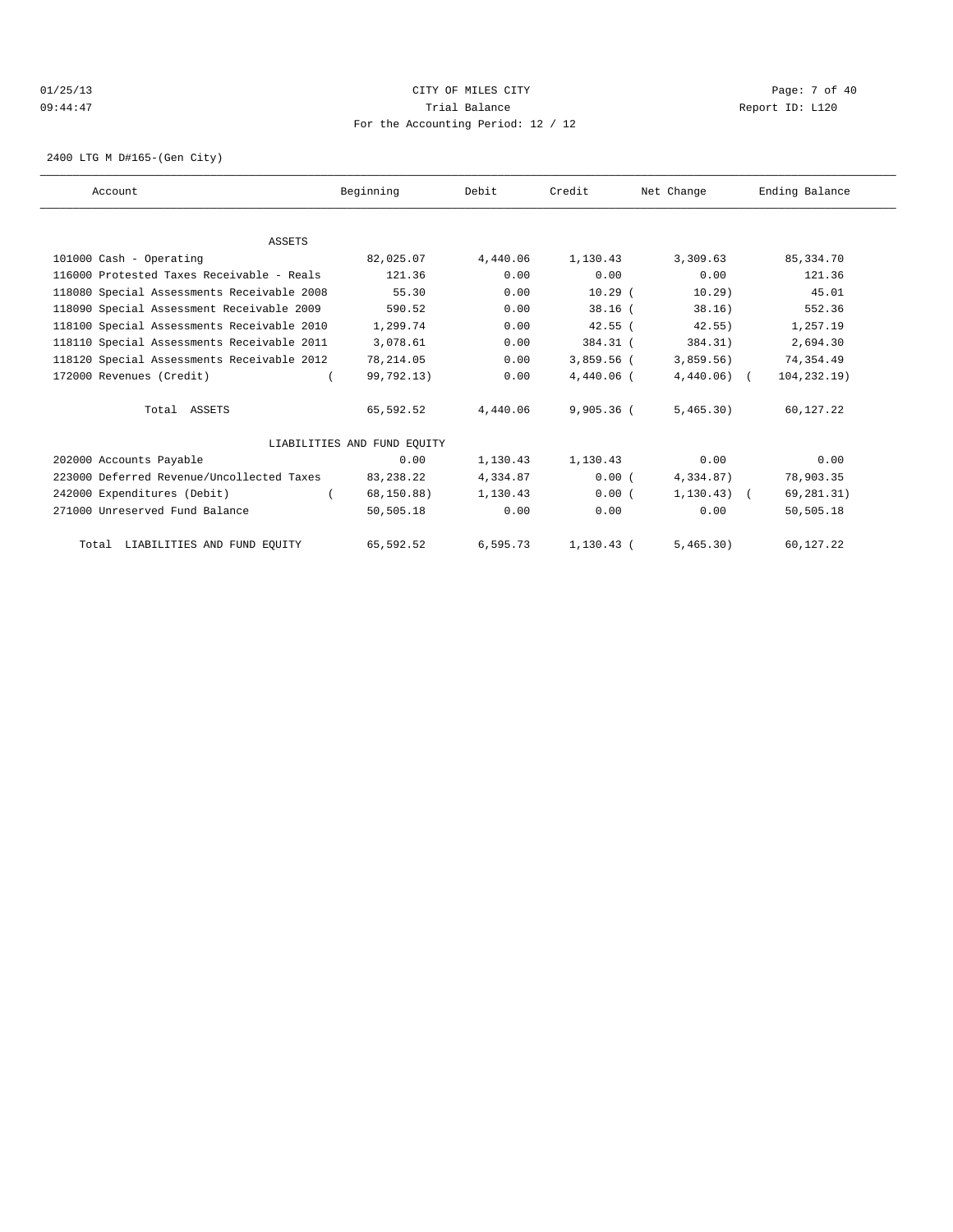#### 01/25/13 Page: 7 of 40 09:44:47 Trial Balance Report ID: L120 For the Accounting Period: 12 / 12

2400 LTG M D#165-(Gen City)

| Account                                    | Beginning                   | Debit    | Credit       | Net Change      | Ending Balance |  |
|--------------------------------------------|-----------------------------|----------|--------------|-----------------|----------------|--|
|                                            |                             |          |              |                 |                |  |
| <b>ASSETS</b>                              |                             |          |              |                 |                |  |
| 101000 Cash - Operating                    | 82,025.07                   | 4,440.06 | 1,130.43     | 3,309.63        | 85, 334. 70    |  |
| 116000 Protested Taxes Receivable - Reals  | 121.36                      | 0.00     | 0.00         | 0.00            | 121.36         |  |
| 118080 Special Assessments Receivable 2008 | 55.30                       | 0.00     | $10.29$ (    | 10.29)          | 45.01          |  |
| 118090 Special Assessment Receivable 2009  | 590.52                      | 0.00     | $38.16$ (    | 38.16)          | 552.36         |  |
| 118100 Special Assessments Receivable 2010 | 1,299.74                    | 0.00     | $42.55$ (    | 42.55)          | 1,257.19       |  |
| 118110 Special Assessments Receivable 2011 | 3,078.61                    | 0.00     | 384.31 (     | 384.31)         | 2,694.30       |  |
| 118120 Special Assessments Receivable 2012 | 78, 214.05                  | 0.00     | 3,859.56 (   | 3,859.56)       | 74,354.49      |  |
| 172000 Revenues (Credit)                   | 99,792.13)                  | 0.00     | $4,440.06$ ( | $4,440.06$ (    | 104, 232.19)   |  |
| Total ASSETS                               | 65,592.52                   | 4,440.06 | $9,905,36$ ( | 5,465.30)       | 60,127.22      |  |
|                                            | LIABILITIES AND FUND EOUITY |          |              |                 |                |  |
| 202000 Accounts Payable                    | 0.00                        | 1,130.43 | 1,130.43     | 0.00            | 0.00           |  |
| 223000 Deferred Revenue/Uncollected Taxes  | 83, 238. 22                 | 4,334.87 | 0.00(        | 4,334.87)       | 78,903.35      |  |
| 242000 Expenditures (Debit)                | 68, 150.88)                 | 1,130.43 | 0.00(        | $1, 130.43$ ) ( | 69,281.31)     |  |
| 271000 Unreserved Fund Balance             | 50,505.18                   | 0.00     | 0.00         | 0.00            | 50,505.18      |  |
| Total LIABILITIES AND FUND EQUITY          | 65,592.52                   | 6,595.73 | 1,130.43     | 5,465.30)       | 60,127.22      |  |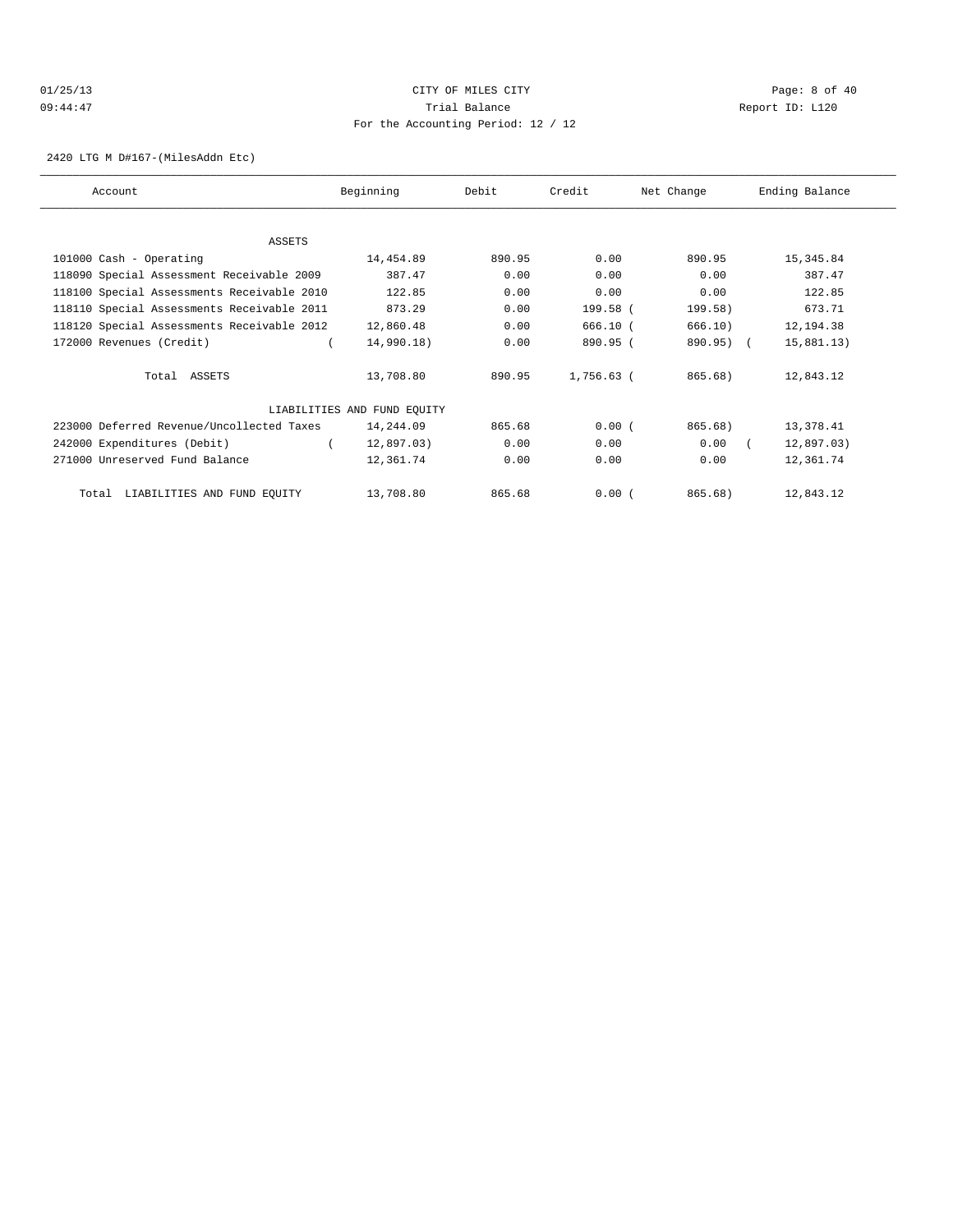# 01/25/13 Page: 8 of 40 09:44:47 Trial Balance Report ID: L120 For the Accounting Period: 12 / 12

2420 LTG M D#167-(MilesAddn Etc)

| Account                                    | Beginning                   | Debit  | Credit     | Net Change | Ending Balance |  |
|--------------------------------------------|-----------------------------|--------|------------|------------|----------------|--|
|                                            |                             |        |            |            |                |  |
| <b>ASSETS</b>                              |                             |        |            |            |                |  |
| 101000 Cash - Operating                    | 14,454.89                   | 890.95 | 0.00       | 890.95     | 15,345.84      |  |
| 118090 Special Assessment Receivable 2009  | 387.47                      | 0.00   | 0.00       | 0.00       | 387.47         |  |
| 118100 Special Assessments Receivable 2010 | 122.85                      | 0.00   | 0.00       | 0.00       | 122.85         |  |
| 118110 Special Assessments Receivable 2011 | 873.29                      | 0.00   | 199.58 (   | 199.58)    | 673.71         |  |
| 118120 Special Assessments Receivable 2012 | 12,860.48                   | 0.00   | 666.10 (   | 666.10)    | 12,194.38      |  |
| 172000 Revenues (Credit)                   | 14,990.18)                  | 0.00   | 890.95 (   | 890.95) (  | 15,881.13)     |  |
| Total ASSETS                               | 13,708.80                   | 890.95 | 1,756.63 ( | 865.68)    | 12,843.12      |  |
|                                            | LIABILITIES AND FUND EQUITY |        |            |            |                |  |
| 223000 Deferred Revenue/Uncollected Taxes  | 14,244.09                   | 865.68 | 0.00(      | 865.68)    | 13,378.41      |  |
| 242000 Expenditures (Debit)                | 12,897.03)                  | 0.00   | 0.00       | 0.00       | 12,897.03)     |  |
| 271000 Unreserved Fund Balance             | 12,361.74                   | 0.00   | 0.00       | 0.00       | 12,361.74      |  |
| LIABILITIES AND FUND EQUITY<br>Total       | 13,708.80                   | 865.68 | 0.00(      | $865.68$ ) | 12,843.12      |  |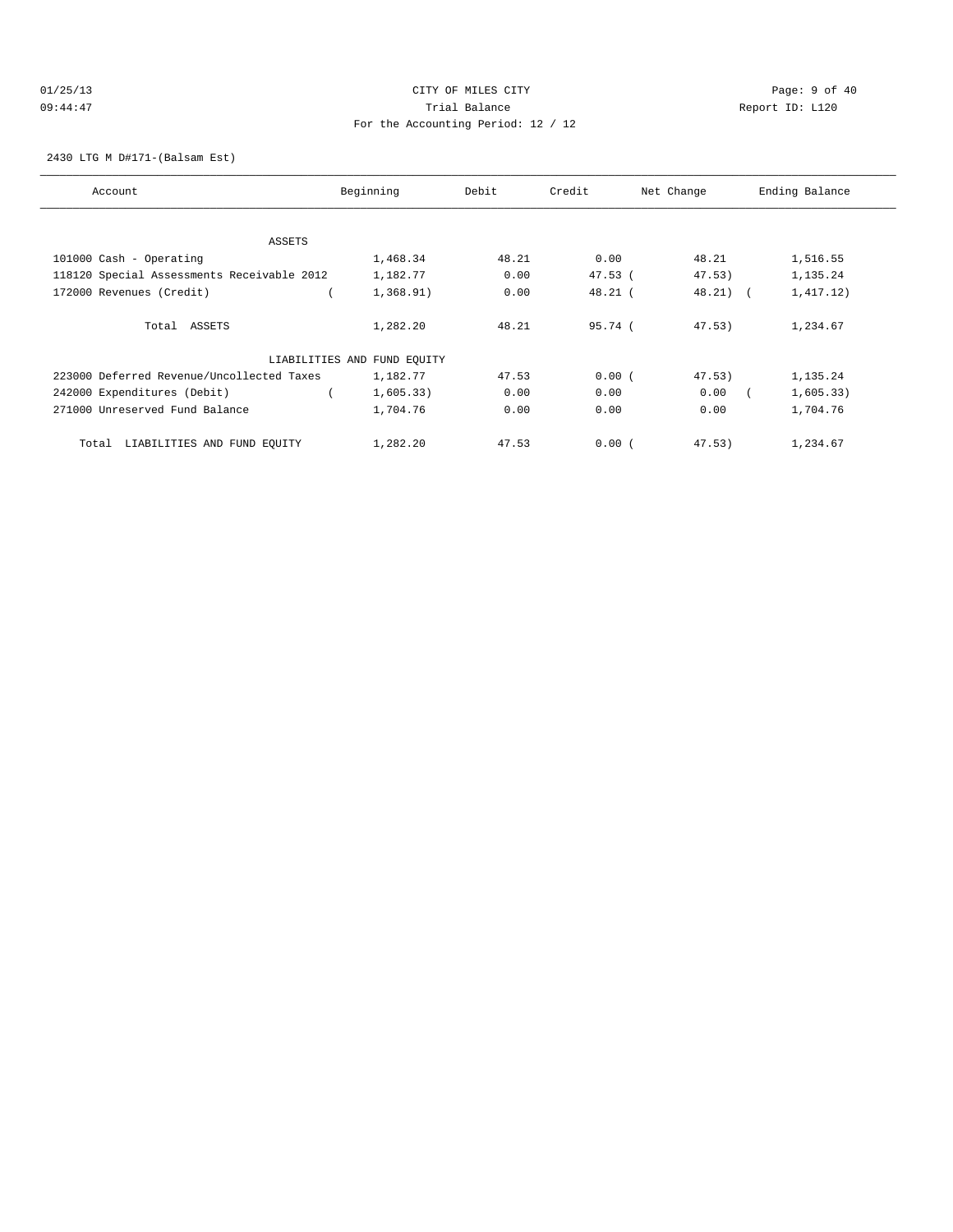# 01/25/13 Page: 9 of 40 09:44:47 Trial Balance Report ID: L120 For the Accounting Period: 12 / 12

#### 2430 LTG M D#171-(Balsam Est)

| Account                                    | Beginning                   | Debit | Credit    | Net Change | Ending Balance |
|--------------------------------------------|-----------------------------|-------|-----------|------------|----------------|
| ASSETS                                     |                             |       |           |            |                |
| 101000 Cash - Operating                    | 1,468.34                    | 48.21 | 0.00      | 48.21      | 1,516.55       |
| 118120 Special Assessments Receivable 2012 | 1,182.77                    | 0.00  | $47.53$ ( | 47.53)     | 1,135.24       |
| 172000 Revenues (Credit)                   | 1,368.91)                   | 0.00  | $48.21$ ( | $48.21$ (  | 1,417.12)      |
| Total ASSETS                               | 1,282.20                    | 48.21 | 95.74(    | 47.53)     | 1,234.67       |
|                                            | LIABILITIES AND FUND EQUITY |       |           |            |                |
| 223000 Deferred Revenue/Uncollected Taxes  | 1,182.77                    | 47.53 | 0.00(     | 47.53)     | 1,135.24       |
| 242000 Expenditures (Debit)                | 1,605.33)                   | 0.00  | 0.00      | 0.00       | 1,605.33)      |
| 271000 Unreserved Fund Balance             | 1,704.76                    | 0.00  | 0.00      | 0.00       | 1,704.76       |
| LIABILITIES AND FUND EQUITY<br>Total       | 1,282.20                    | 47.53 | 0.00(     | 47.53)     | 1,234.67       |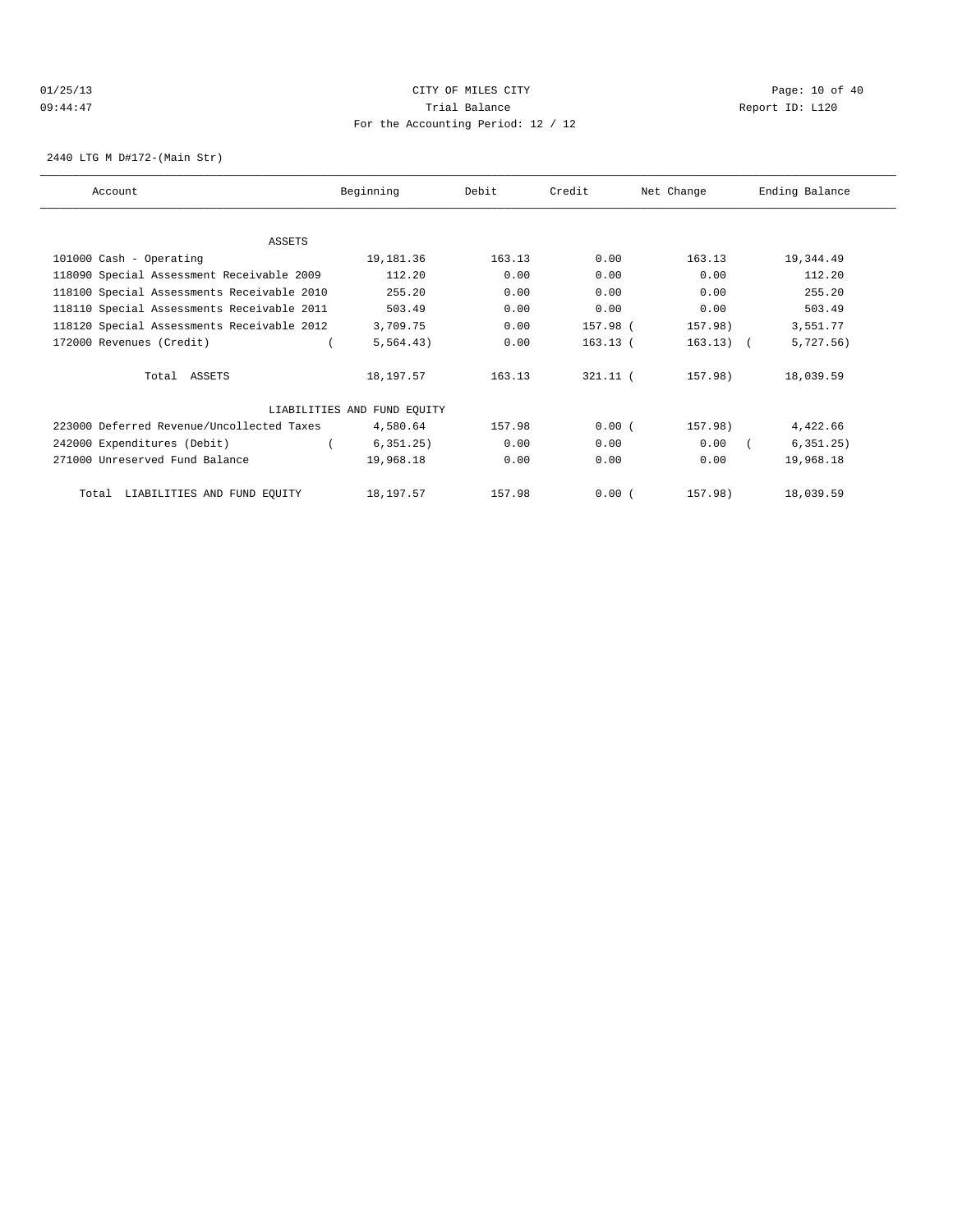#### 01/25/13 Page: 10 of 40 09:44:47 Trial Balance Report ID: L120 For the Accounting Period: 12 / 12

2440 LTG M D#172-(Main Str)

| Account                                    | Beginning                   | Debit  | Credit     | Net Change  | Ending Balance |
|--------------------------------------------|-----------------------------|--------|------------|-------------|----------------|
|                                            |                             |        |            |             |                |
| <b>ASSETS</b>                              |                             |        |            |             |                |
| 101000 Cash - Operating                    | 19,181.36                   | 163.13 | 0.00       | 163.13      | 19,344.49      |
| 118090 Special Assessment Receivable 2009  | 112.20                      | 0.00   | 0.00       | 0.00        | 112.20         |
| 118100 Special Assessments Receivable 2010 | 255.20                      | 0.00   | 0.00       | 0.00        | 255.20         |
| 118110 Special Assessments Receivable 2011 | 503.49                      | 0.00   | 0.00       | 0.00        | 503.49         |
| 118120 Special Assessments Receivable 2012 | 3,709.75                    | 0.00   | 157.98 (   | 157.98)     | 3,551.77       |
| 172000 Revenues (Credit)                   | 5, 564.43)                  | 0.00   | $163.13$ ( | $163.13)$ ( | 5,727.56)      |
| Total ASSETS                               | 18,197.57                   | 163.13 | $321.11$ ( | 157.98)     | 18,039.59      |
|                                            | LIABILITIES AND FUND EQUITY |        |            |             |                |
| 223000 Deferred Revenue/Uncollected Taxes  | 4,580.64                    | 157.98 | 0.00(      | 157.98)     | 4,422.66       |
| 242000 Expenditures (Debit)                | 6, 351, 25)                 | 0.00   | 0.00       | 0.00        | 6, 351.25)     |
| 271000 Unreserved Fund Balance             | 19,968.18                   | 0.00   | 0.00       | 0.00        | 19,968.18      |
| LIABILITIES AND FUND EQUITY<br>Total       | 18,197.57                   | 157.98 | 0.00(      | 157.98)     | 18,039.59      |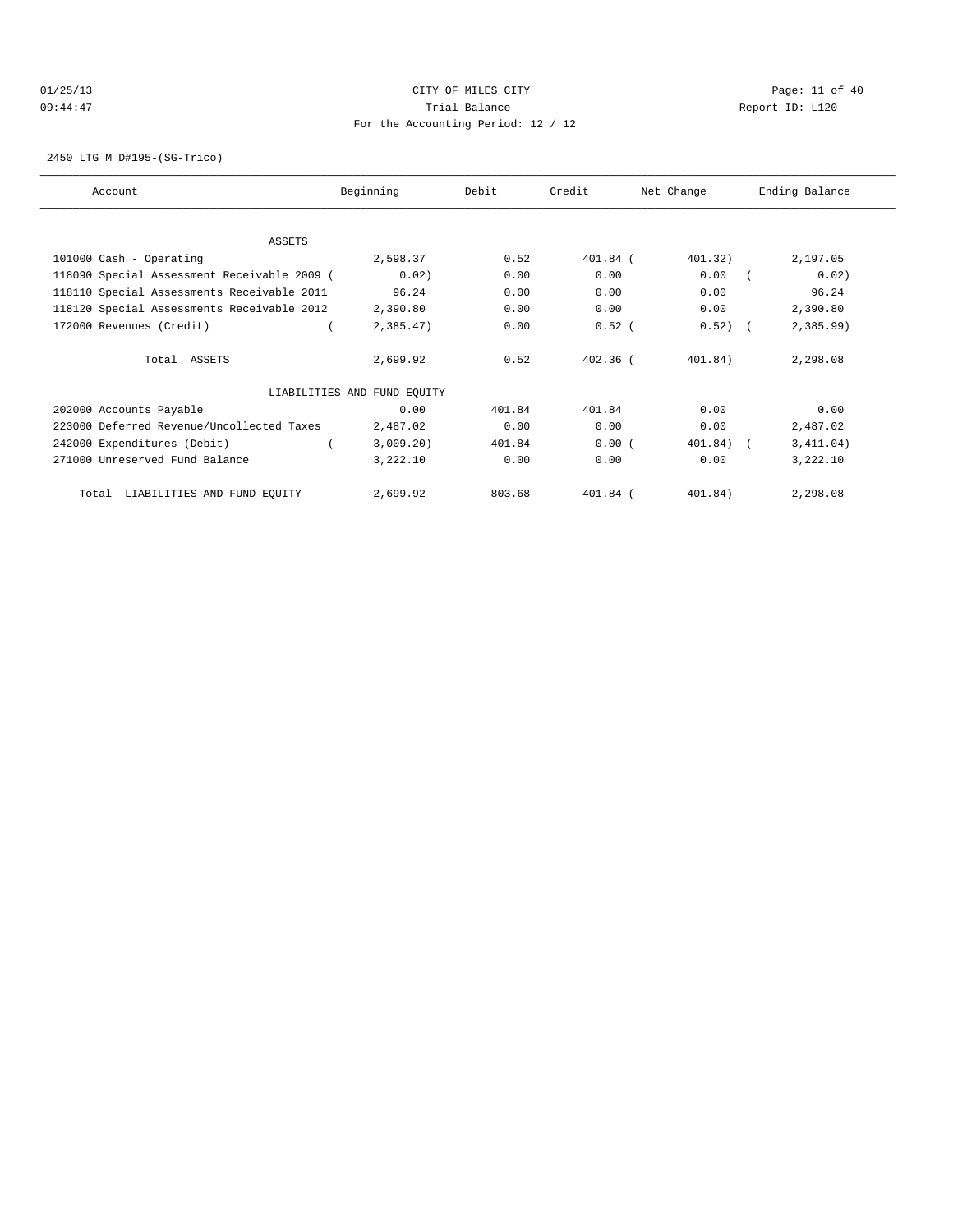# 01/25/13 Page: 11 of 40 09:44:47 Trial Balance Report ID: L120 For the Accounting Period: 12 / 12

2450 LTG M D#195-(SG-Trico)

| Account                                     | Beginning                   | Debit  | Credit     | Net Change | Ending Balance |
|---------------------------------------------|-----------------------------|--------|------------|------------|----------------|
|                                             |                             |        |            |            |                |
| ASSETS                                      |                             |        |            |            |                |
| 101000 Cash - Operating                     | 2,598.37                    | 0.52   | 401.84 (   | 401.32)    | 2,197.05       |
| 118090 Special Assessment Receivable 2009 ( | 0.02)                       | 0.00   | 0.00       | 0.00       | 0.02)          |
| 118110 Special Assessments Receivable 2011  | 96.24                       | 0.00   | 0.00       | 0.00       | 96.24          |
| 118120 Special Assessments Receivable 2012  | 2,390.80                    | 0.00   | 0.00       | 0.00       | 2,390.80       |
| 172000 Revenues (Credit)                    | 2,385.47                    | 0.00   | $0.52$ (   | $0.52)$ (  | 2,385.99       |
| Total ASSETS                                | 2,699.92                    | 0.52   | $402.36$ ( | 401.84)    | 2,298.08       |
|                                             | LIABILITIES AND FUND EQUITY |        |            |            |                |
| 202000 Accounts Payable                     | 0.00                        | 401.84 | 401.84     | 0.00       | 0.00           |
| 223000 Deferred Revenue/Uncollected Taxes   | 2,487.02                    | 0.00   | 0.00       | 0.00       | 2,487.02       |
| 242000 Expenditures (Debit)                 | 3,009.20)                   | 401.84 | 0.00(      | 401.84)    | 3,411.04)      |
| 271000 Unreserved Fund Balance              | 3,222.10                    | 0.00   | 0.00       | 0.00       | 3,222.10       |
| LIABILITIES AND FUND EQUITY<br>Total        | 2,699.92                    | 803.68 | 401.84 (   | 401.84)    | 2,298.08       |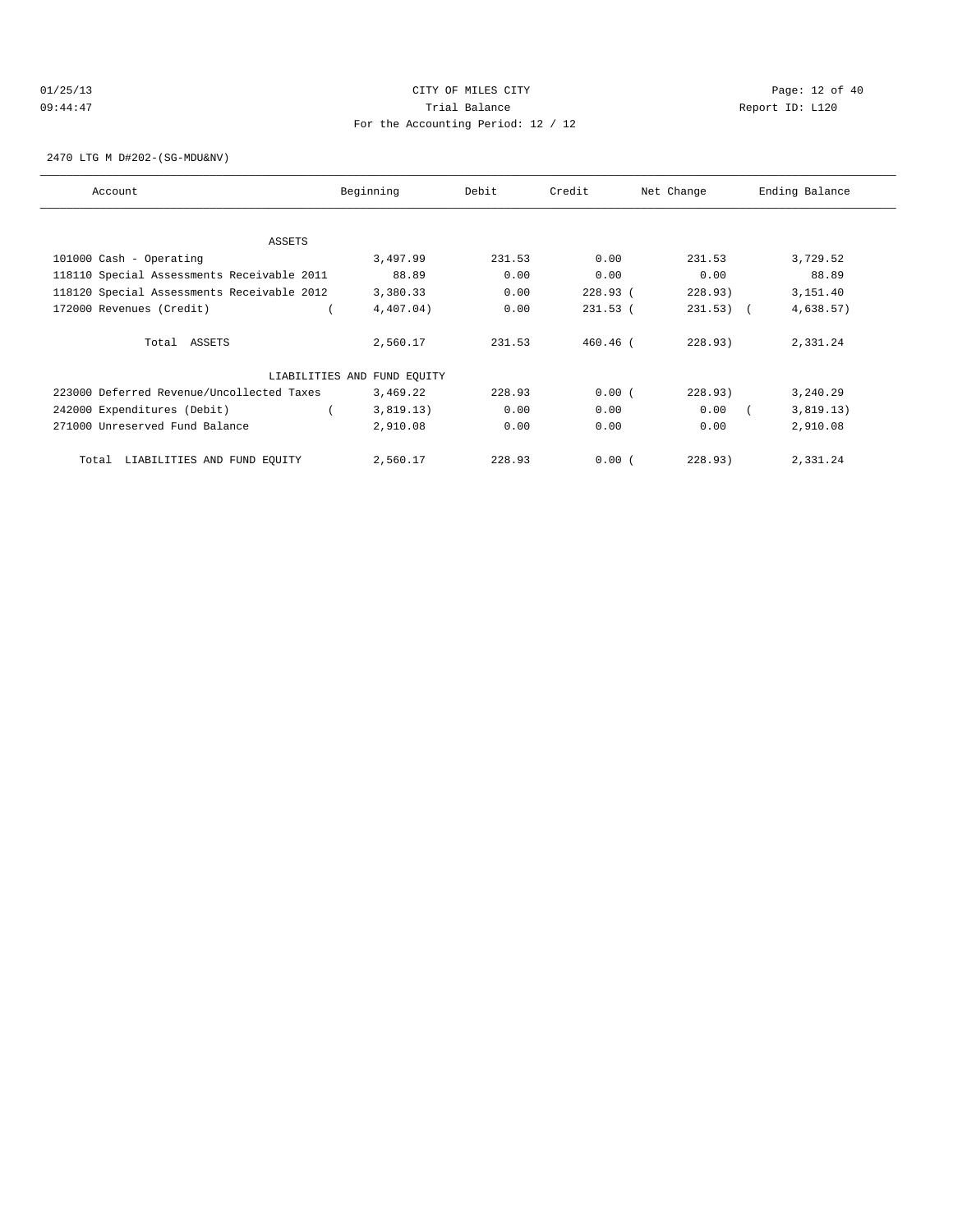# 01/25/13 Page: 12 of 40 09:44:47 Trial Balance Report ID: L120 For the Accounting Period: 12 / 12

2470 LTG M D#202-(SG-MDU&NV)

| Account                                    | Beginning                   | Debit  | Credit     | Net Change  | Ending Balance |
|--------------------------------------------|-----------------------------|--------|------------|-------------|----------------|
|                                            |                             |        |            |             |                |
| ASSETS                                     |                             |        |            |             |                |
| 101000 Cash - Operating                    | 3,497.99                    | 231.53 | 0.00       | 231.53      | 3,729.52       |
| 118110 Special Assessments Receivable 2011 | 88.89                       | 0.00   | 0.00       | 0.00        | 88.89          |
| 118120 Special Assessments Receivable 2012 | 3,380.33                    | 0.00   | 228.93(    | 228.93)     | 3,151.40       |
| 172000 Revenues (Credit)                   | 4,407.04)                   | 0.00   | $231.53$ ( | $231.53)$ ( | 4,638.57)      |
|                                            |                             |        |            |             |                |
| Total ASSETS                               | 2,560.17                    | 231.53 | $460.46$ ( | 228.93)     | 2,331.24       |
|                                            |                             |        |            |             |                |
|                                            | LIABILITIES AND FUND EQUITY |        |            |             |                |
| 223000 Deferred Revenue/Uncollected Taxes  | 3,469.22                    | 228.93 | 0.00(      | 228.93)     | 3,240.29       |
| 242000 Expenditures (Debit)                | 3,819.13)                   | 0.00   | 0.00       | 0.00        | 3,819.13)      |
| 271000 Unreserved Fund Balance             | 2,910.08                    | 0.00   | 0.00       | 0.00        | 2,910.08       |
|                                            |                             |        |            |             |                |
| LIABILITIES AND FUND EQUITY<br>Total       | 2,560.17                    | 228.93 | 0.00(      | 228.93)     | 2,331.24       |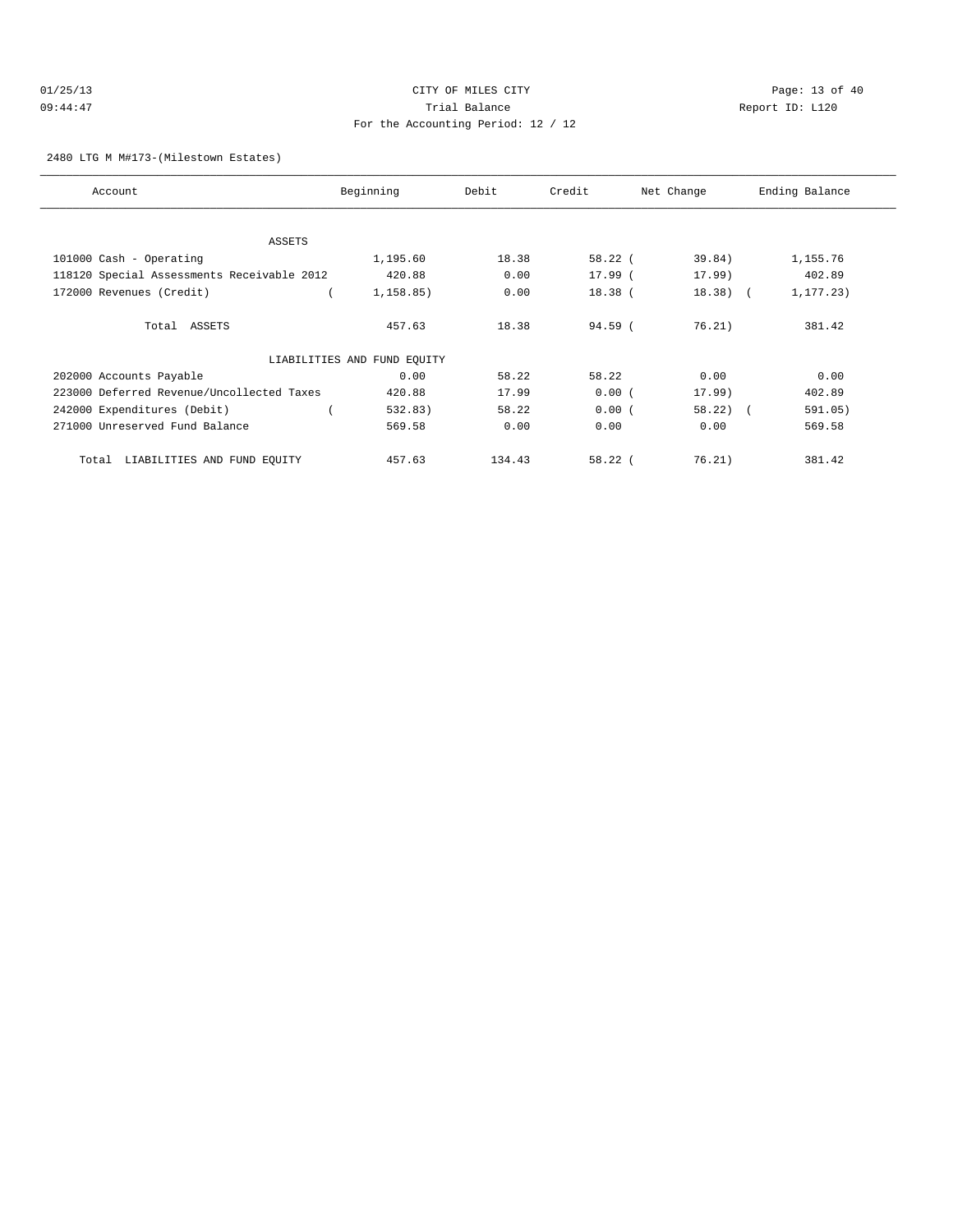# 01/25/13 Page: 13 of 40 09:44:47 Trial Balance Report ID: L120 For the Accounting Period: 12 / 12

#### 2480 LTG M M#173-(Milestown Estates)

| Account                                    | Beginning                   | Debit  | Credit    | Net Change  | Ending Balance |
|--------------------------------------------|-----------------------------|--------|-----------|-------------|----------------|
|                                            |                             |        |           |             |                |
| <b>ASSETS</b>                              |                             |        |           |             |                |
| 101000 Cash - Operating                    | 1,195.60                    | 18.38  | $58.22$ ( | 39.84)      | 1,155.76       |
| 118120 Special Assessments Receivable 2012 | 420.88                      | 0.00   | 17.99 (   | 17.99)      | 402.89         |
| 172000 Revenues (Credit)                   | 1,158.85)                   | 0.00   | $18.38$ ( | $18.38$ (   | 1,177.23)      |
| Total ASSETS                               | 457.63                      | 18.38  | $94.59$ ( | 76.21)      | 381.42         |
|                                            | LIABILITIES AND FUND EQUITY |        |           |             |                |
| 202000 Accounts Payable                    | 0.00                        | 58.22  | 58.22     | 0.00        | 0.00           |
| 223000 Deferred Revenue/Uncollected Taxes  | 420.88                      | 17.99  | 0.00(     | 17.99)      | 402.89         |
| 242000 Expenditures (Debit)                | 532.83)                     | 58.22  | 0.00(     | $58.22$ ) ( | 591.05)        |
| 271000 Unreserved Fund Balance             | 569.58                      | 0.00   | 0.00      | 0.00        | 569.58         |
| LIABILITIES AND FUND EQUITY<br>Total       | 457.63                      | 134.43 | $58.22$ ( | 76.21)      | 381.42         |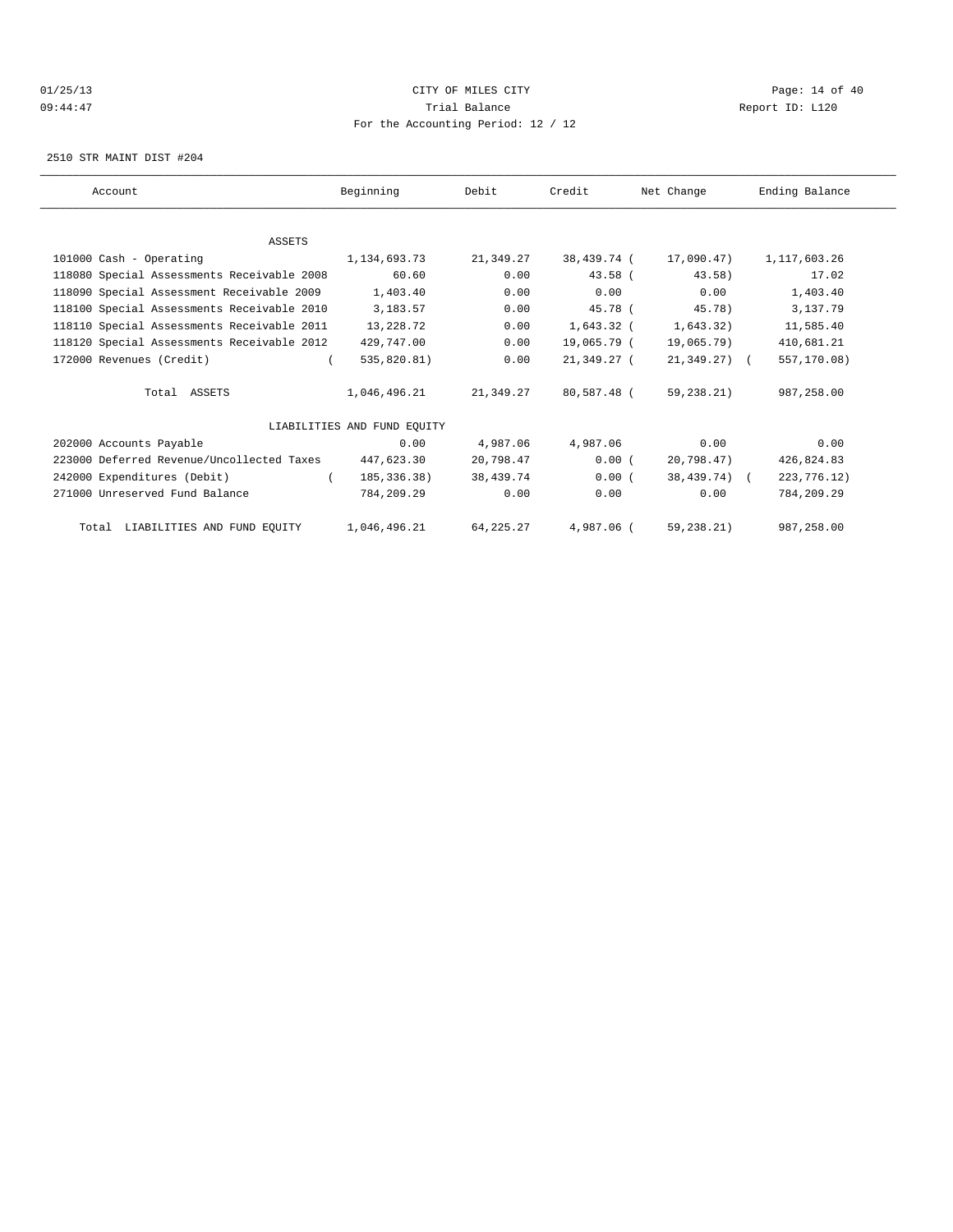#### $CITY$   $CITY$   $CITY$   $PAGE: 14$  of 40 09:44:47 Trial Balance Report ID: L120 For the Accounting Period: 12 / 12

2510 STR MAINT DIST #204

| Account                                    | Beginning                   | Debit     | Credit       | Net Change   | Ending Balance |
|--------------------------------------------|-----------------------------|-----------|--------------|--------------|----------------|
|                                            |                             |           |              |              |                |
|                                            |                             |           |              |              |                |
| <b>ASSETS</b>                              |                             |           |              |              |                |
| 101000 Cash - Operating                    | 1,134,693.73                | 21,349.27 | 38,439.74 (  | 17,090.47)   | 1,117,603.26   |
| 118080 Special Assessments Receivable 2008 | 60.60                       | 0.00      | $43.58$ (    | 43.58)       | 17.02          |
| 118090 Special Assessment Receivable 2009  | 1,403.40                    | 0.00      | 0.00         | 0.00         | 1,403.40       |
| 118100 Special Assessments Receivable 2010 | 3,183.57                    | 0.00      | 45.78 (      | 45.78)       | 3,137.79       |
| 118110 Special Assessments Receivable 2011 | 13,228.72                   | 0.00      | 1,643.32 (   | 1.643.32)    | 11,585.40      |
| 118120 Special Assessments Receivable 2012 | 429,747.00                  | 0.00      | 19,065.79 (  | 19,065.79)   | 410,681.21     |
| 172000 Revenues (Credit)                   | 535,820.81)                 | 0.00      | 21,349.27 (  | 21,349.27) ( | 557,170.08)    |
|                                            |                             |           |              |              |                |
| Total ASSETS                               | 1,046,496.21                | 21,349.27 | 80,587.48 (  | 59,238.21)   | 987,258.00     |
|                                            |                             |           |              |              |                |
|                                            | LIABILITIES AND FUND EOUITY |           |              |              |                |
| 202000 Accounts Payable                    | 0.00                        | 4,987.06  | 4,987.06     | 0.00         | 0.00           |
| 223000 Deferred Revenue/Uncollected Taxes  | 447,623.30                  | 20,798.47 | 0.00(        | 20,798.47)   | 426,824.83     |
| 242000 Expenditures (Debit)                | 185,336.38)                 | 38,439.74 | 0.00(        | 38,439,74) ( | 223, 776.12)   |
| 271000 Unreserved Fund Balance             | 784,209.29                  | 0.00      | 0.00         | 0.00         | 784,209.29     |
|                                            |                             |           |              |              |                |
| Total LIABILITIES AND FUND EQUITY          | 1,046,496.21                | 64,225.27 | $4.987.06$ ( | 59,238.21)   | 987,258.00     |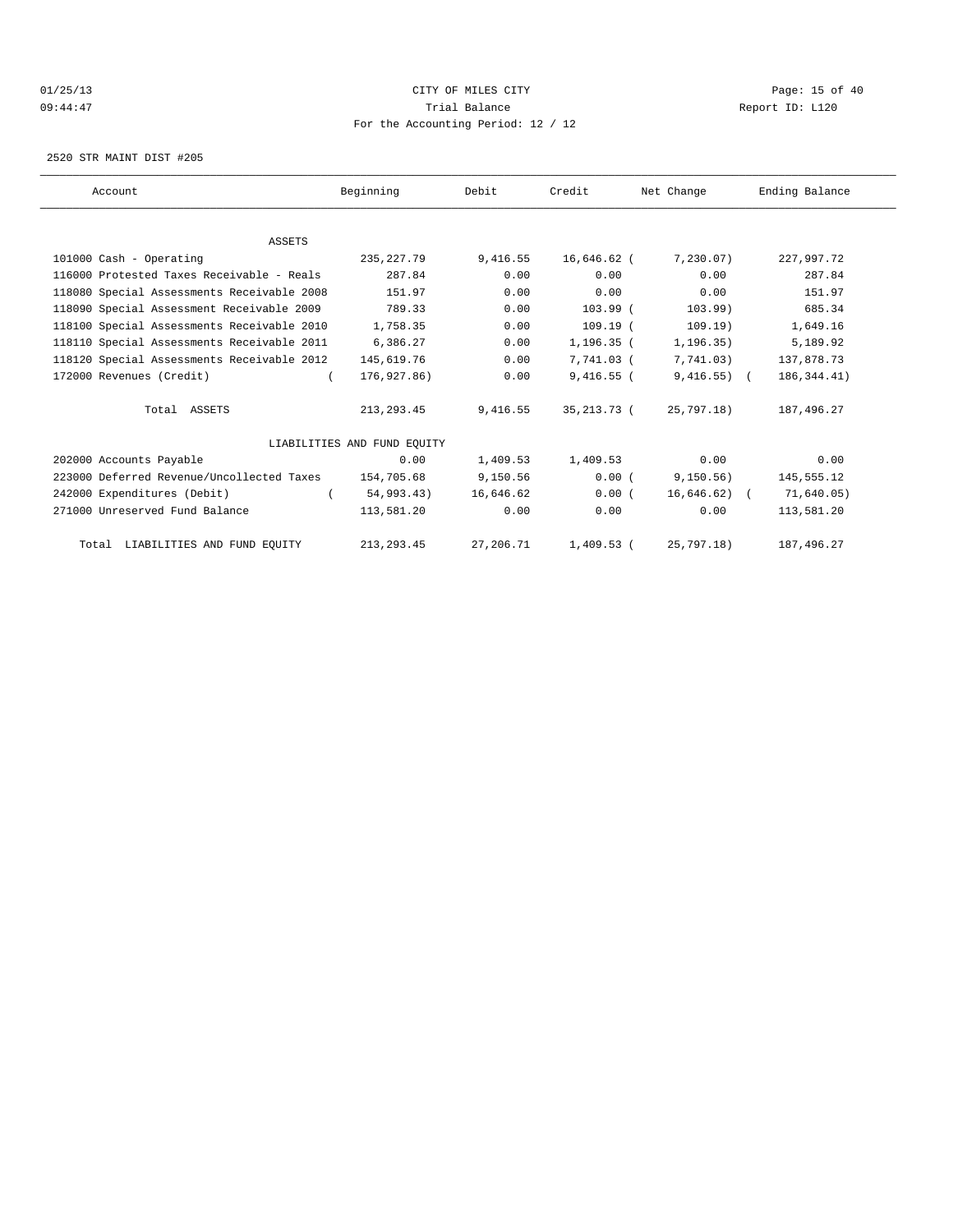#### 01/25/13 Page: 15 of 40 09:44:47 Trial Balance Report ID: L120 For the Accounting Period: 12 / 12

2520 STR MAINT DIST #205

| Account                                    | Beginning                   | Debit     | Credit       | Net Change    | Ending Balance |  |
|--------------------------------------------|-----------------------------|-----------|--------------|---------------|----------------|--|
|                                            |                             |           |              |               |                |  |
| <b>ASSETS</b>                              |                             |           |              |               |                |  |
| 101000 Cash - Operating                    | 235, 227. 79                | 9,416.55  | 16,646.62 (  | 7,230.07)     | 227,997.72     |  |
| 116000 Protested Taxes Receivable - Reals  | 287.84                      | 0.00      | 0.00         | 0.00          | 287.84         |  |
| 118080 Special Assessments Receivable 2008 | 151.97                      | 0.00      | 0.00         | 0.00          | 151.97         |  |
| 118090 Special Assessment Receivable 2009  | 789.33                      | 0.00      | $103.99$ (   | 103.99)       | 685.34         |  |
| 118100 Special Assessments Receivable 2010 | 1,758.35                    | 0.00      | 109.19(      | 109.19)       | 1,649.16       |  |
| 118110 Special Assessments Receivable 2011 | 6,386.27                    | 0.00      | $1,196.35$ ( | 1, 196.35)    | 5,189.92       |  |
| 118120 Special Assessments Receivable 2012 | 145,619.76                  | 0.00      | 7,741.03 (   | 7,741.03)     | 137,878.73     |  |
| 172000 Revenues (Credit)                   | 176,927.86)                 | 0.00      | $9,416.55$ ( | $9,416.55)$ ( | 186, 344.41)   |  |
| Total ASSETS                               | 213, 293.45                 | 9,416.55  | 35,213.73 (  | 25,797.18)    | 187,496.27     |  |
|                                            | LIABILITIES AND FUND EOUITY |           |              |               |                |  |
| 202000 Accounts Payable                    | 0.00                        | 1,409.53  | 1,409.53     | 0.00          | 0.00           |  |
| 223000 Deferred Revenue/Uncollected Taxes  | 154,705.68                  | 9,150.56  | 0.00(        | 9, 150.56)    | 145,555.12     |  |
| 242000 Expenditures (Debit)                | 54,993.43)                  | 16,646.62 | 0.00(        | $16,646.62$ ( | 71,640.05)     |  |
| 271000 Unreserved Fund Balance             | 113,581.20                  | 0.00      | 0.00         | 0.00          | 113,581.20     |  |
| Total LIABILITIES AND FUND EQUITY          | 213, 293.45                 | 27,206.71 | $1,409.53$ ( | 25,797.18)    | 187,496.27     |  |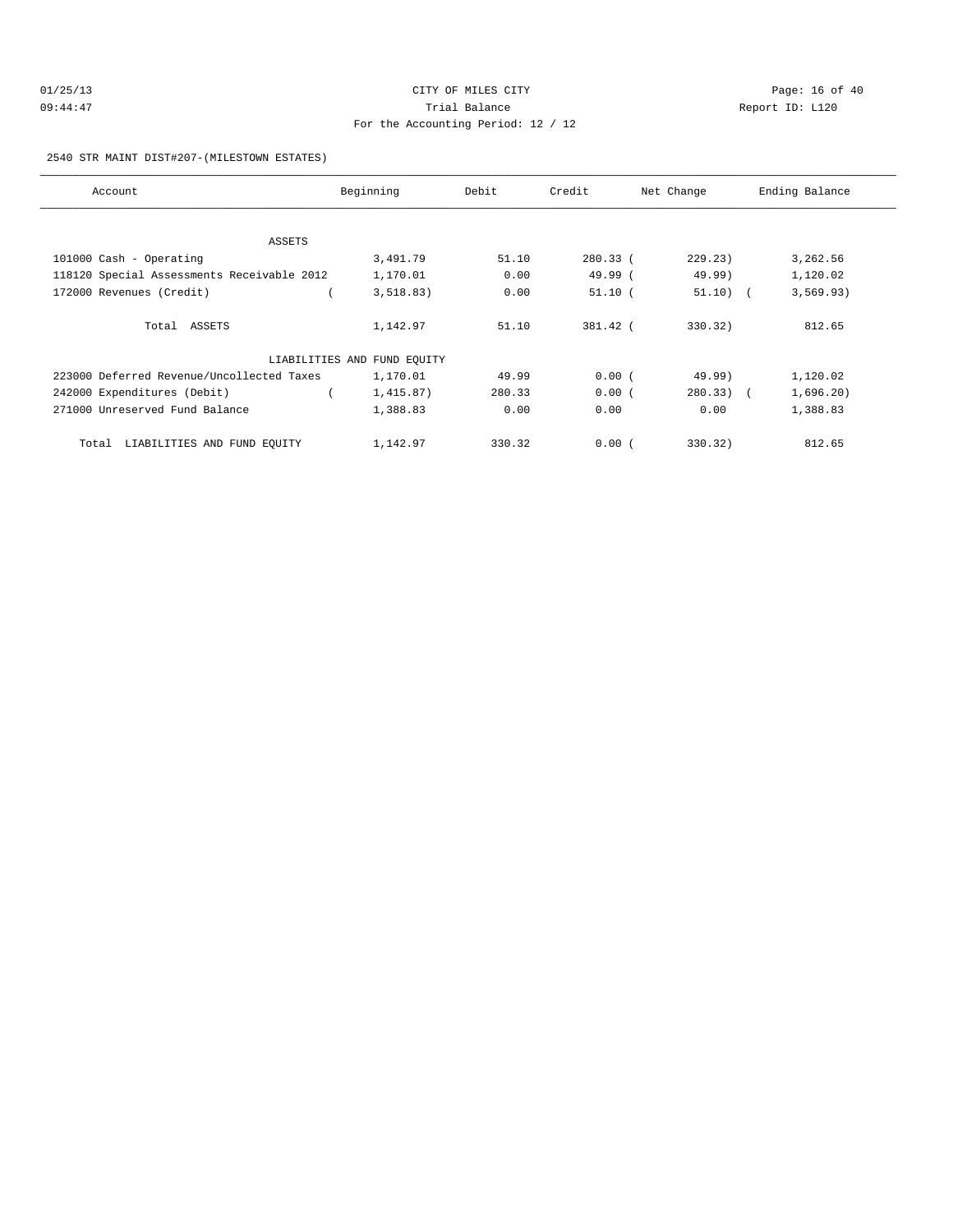# 2540 STR MAINT DIST#207-(MILESTOWN ESTATES)

| Account                                    | Beginning                   | Debit  | Credit     | Net Change  | Ending Balance |
|--------------------------------------------|-----------------------------|--------|------------|-------------|----------------|
|                                            |                             |        |            |             |                |
| ASSETS                                     |                             |        |            |             |                |
| 101000 Cash - Operating                    | 3,491.79                    | 51.10  | $280.33$ ( | 229.23)     | 3,262.56       |
| 118120 Special Assessments Receivable 2012 | 1,170.01                    | 0.00   | 49.99 (    | 49.99       | 1,120.02       |
| 172000 Revenues (Credit)                   | 3,518.83)                   | 0.00   | 51.10(     | $51.10)$ (  | 3,569.93)      |
| Total ASSETS                               | 1,142.97                    | 51.10  | 381.42 (   | 330.32      | 812.65         |
|                                            | LIABILITIES AND FUND EQUITY |        |            |             |                |
| 223000 Deferred Revenue/Uncollected Taxes  | 1,170.01                    | 49.99  | 0.00(      | 49.99)      | 1,120.02       |
| 242000 Expenditures (Debit)                | 1,415.87)                   | 280.33 | 0.00(      | $280.33)$ ( | 1,696.20)      |
| 271000 Unreserved Fund Balance             | 1,388.83                    | 0.00   | 0.00       | 0.00        | 1,388.83       |
| Total LIABILITIES AND FUND EQUITY          | 1,142.97                    | 330.32 | 0.00(      | 330.32)     | 812.65         |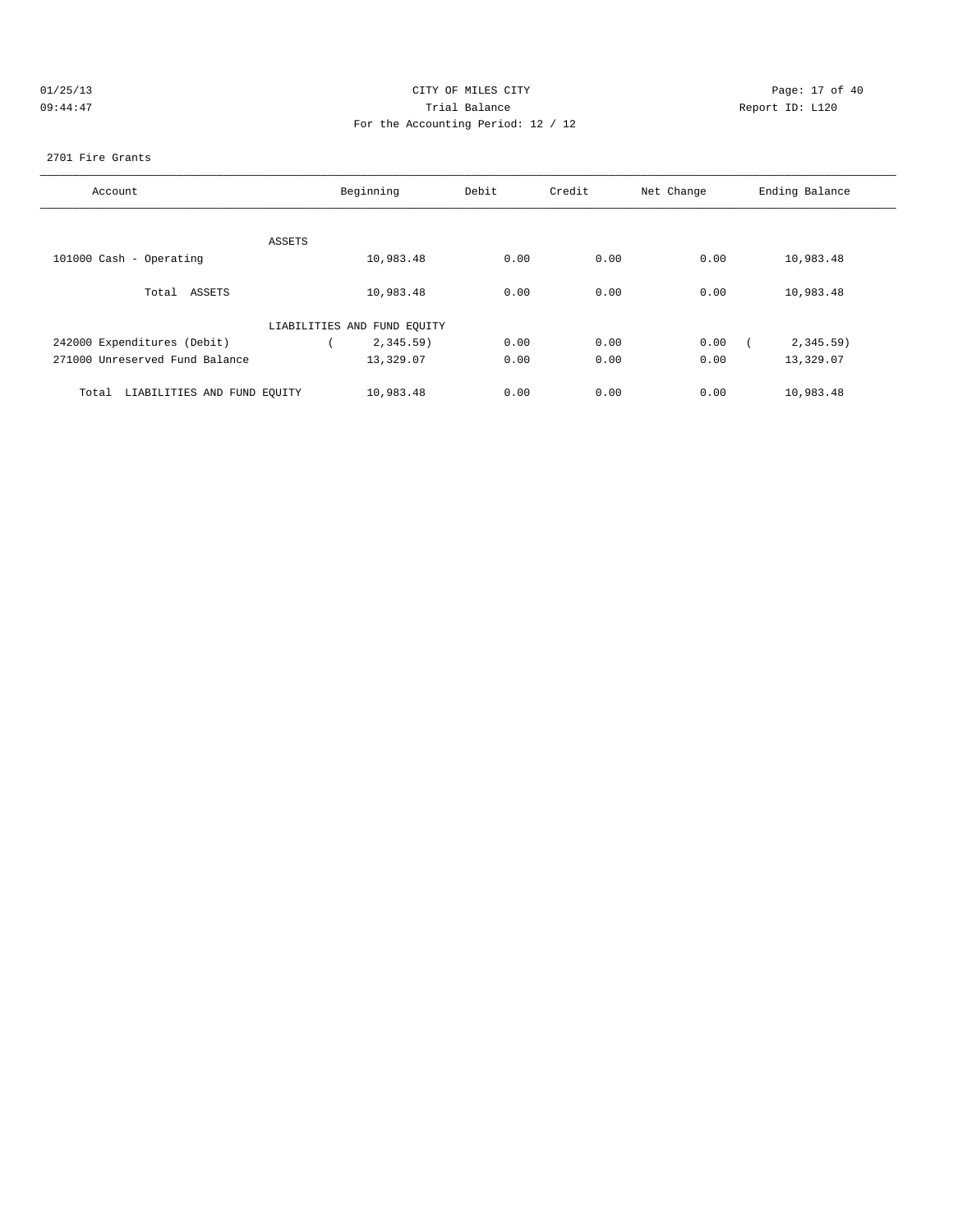# 01/25/13 Page: 17 of 40 09:44:47 Trial Balance Report ID: L120 For the Accounting Period: 12 / 12

#### 2701 Fire Grants

| Account                              | Beginning                   | Debit | Credit | Net Change | Ending Balance |
|--------------------------------------|-----------------------------|-------|--------|------------|----------------|
|                                      |                             |       |        |            |                |
|                                      | ASSETS                      |       |        |            |                |
| 101000 Cash - Operating              | 10,983.48                   | 0.00  | 0.00   | 0.00       | 10,983.48      |
| Total ASSETS                         | 10,983.48                   | 0.00  | 0.00   | 0.00       | 10,983.48      |
|                                      | LIABILITIES AND FUND EQUITY |       |        |            |                |
| 242000 Expenditures (Debit)          | $2,345.59$ )                | 0.00  | 0.00   | 0.00       | 2,345.59       |
| 271000 Unreserved Fund Balance       | 13,329.07                   | 0.00  | 0.00   | 0.00       | 13,329.07      |
| LIABILITIES AND FUND EQUITY<br>Total | 10,983.48                   | 0.00  | 0.00   | 0.00       | 10,983.48      |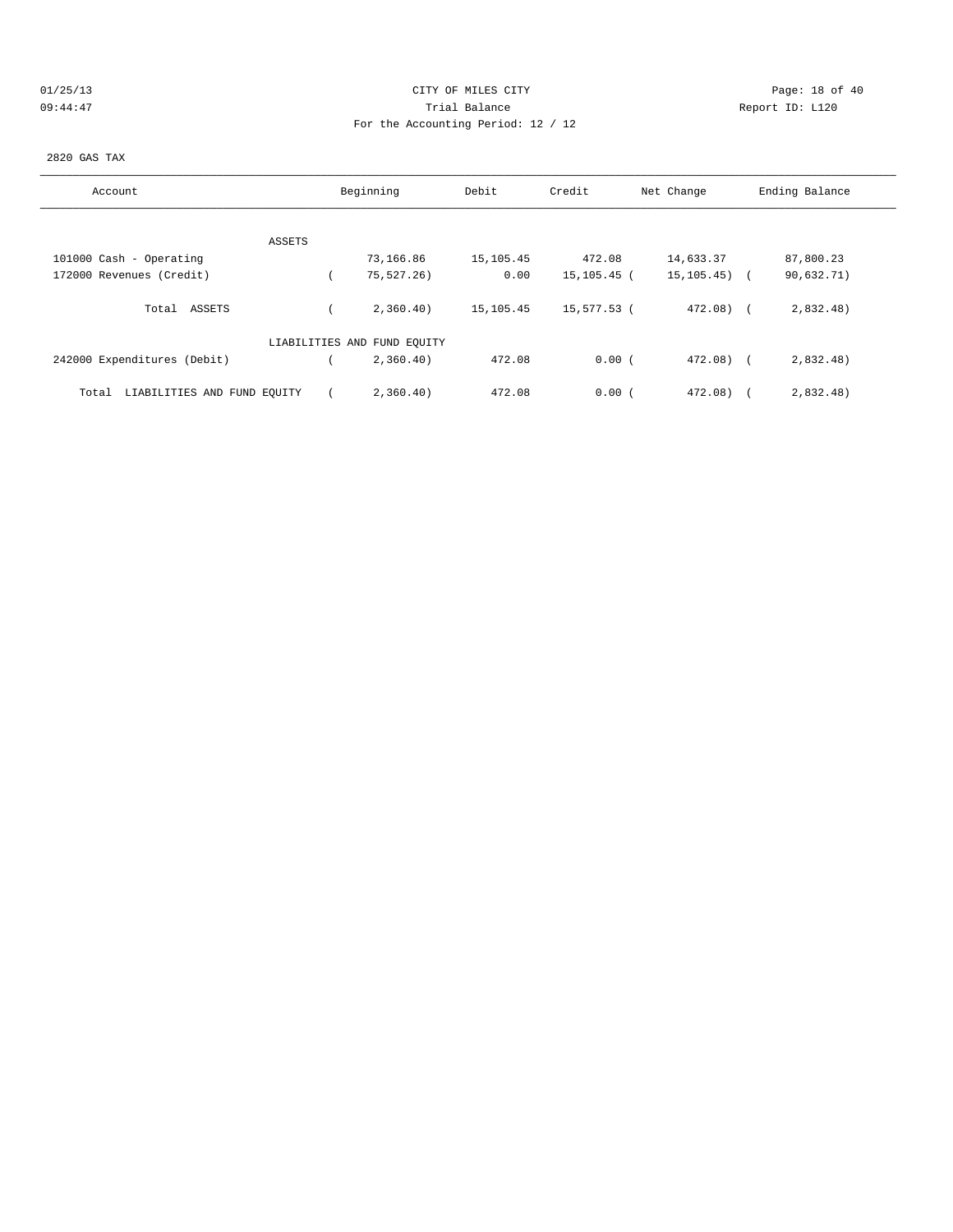# 01/25/13 Page: 18 of 40 09:44:47 Trial Balance Report ID: L120 For the Accounting Period: 12 / 12

2820 GAS TAX

| Account                              |        | Beginning                   | Debit     | Credit      | Net Change       | Ending Balance |
|--------------------------------------|--------|-----------------------------|-----------|-------------|------------------|----------------|
|                                      |        |                             |           |             |                  |                |
|                                      | ASSETS |                             |           |             |                  |                |
| 101000 Cash - Operating              |        | 73,166.86                   | 15,105.45 | 472.08      | 14,633.37        | 87,800.23      |
| 172000 Revenues (Credit)             |        | 75,527.26)                  | 0.00      | 15,105.45 ( | $15, 105, 45)$ ( | 90,632.71)     |
| ASSETS<br>Total                      |        | 2,360.40)                   | 15,105.45 | 15,577.53 ( | 472.08) (        | 2,832.48)      |
|                                      |        | LIABILITIES AND FUND EQUITY |           |             |                  |                |
| 242000 Expenditures (Debit)          |        | 2,360.40)                   | 472.08    | 0.00(       | $472.08$ $($     | 2,832.48)      |
| LIABILITIES AND FUND EQUITY<br>Total |        | 2,360.40)                   | 472.08    | 0.00(       | 472.08)          | 2,832.48)      |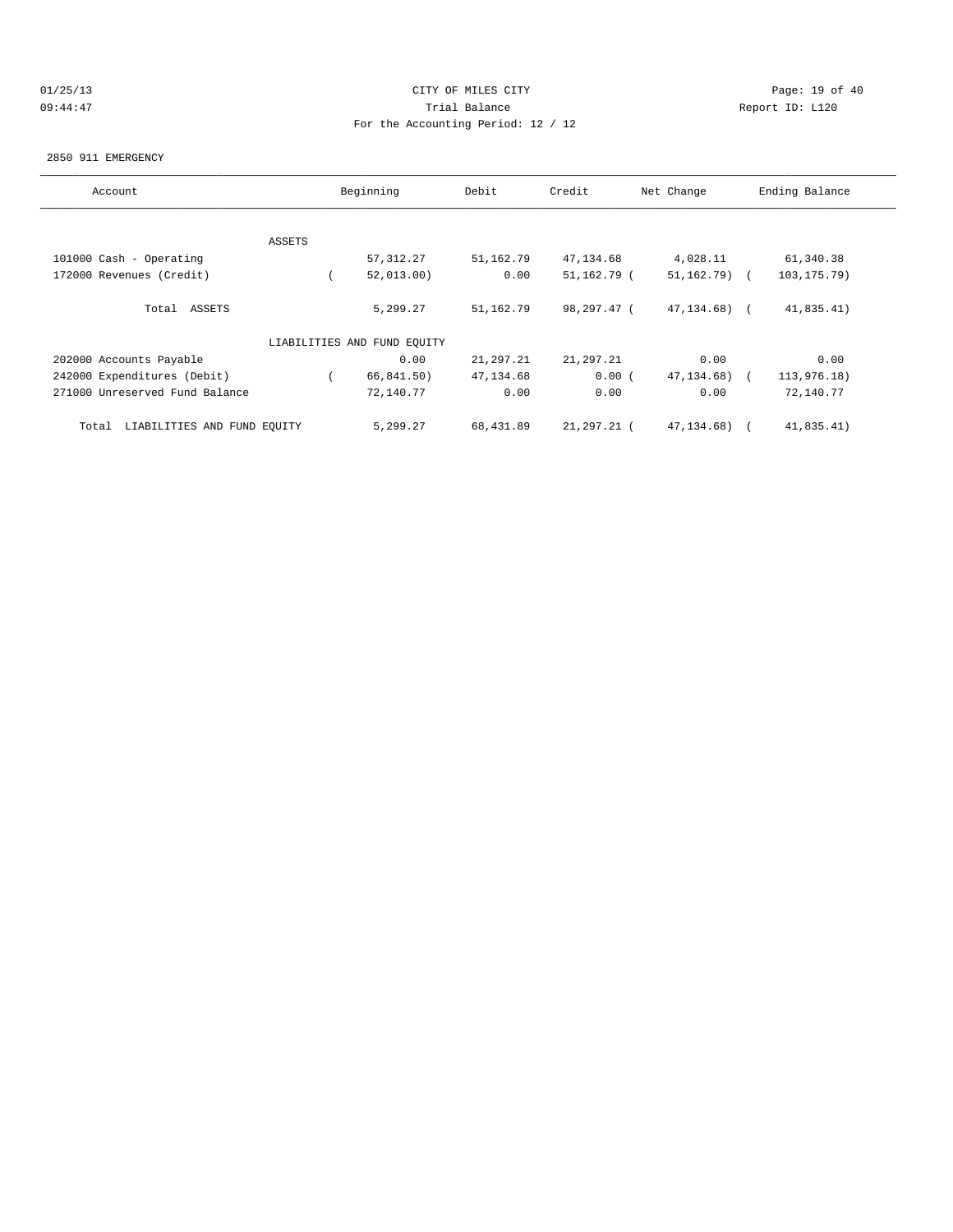# 01/25/13 Page: 19 of 40 09:44:47 Trial Balance Report ID: L120 For the Accounting Period: 12 / 12

#### 2850 911 EMERGENCY

| Account                              |        | Beginning                   | Debit     | Credit          | Net Change      | Ending Balance |
|--------------------------------------|--------|-----------------------------|-----------|-----------------|-----------------|----------------|
|                                      |        |                             |           |                 |                 |                |
|                                      | ASSETS |                             |           |                 |                 |                |
| 101000 Cash - Operating              |        | 57, 312.27                  | 51,162.79 | 47,134.68       | 4,028.11        | 61,340.38      |
| 172000 Revenues (Credit)             |        | 52,013.00)                  | 0.00      | 51,162.79 (     | $51, 162, 79$ ( | 103, 175. 79)  |
| Total ASSETS                         |        | 5,299.27                    | 51,162.79 | 98,297.47 (     | 47, 134. 68) (  | 41,835.41)     |
|                                      |        | LIABILITIES AND FUND EQUITY |           |                 |                 |                |
| 202000 Accounts Payable              |        | 0.00                        | 21,297.21 | 21,297.21       | 0.00            | 0.00           |
| 242000 Expenditures (Debit)          |        | 66,841.50)                  | 47,134.68 | 0.00(           | 47, 134, 68)    | 113,976.18)    |
| 271000 Unreserved Fund Balance       |        | 72,140.77                   | 0.00      | 0.00            | 0.00            | 72,140.77      |
| LIABILITIES AND FUND EQUITY<br>Total |        | 5,299.27                    | 68,431.89 | $21, 297, 21$ ( | 47.134.68)      | 41,835.41)     |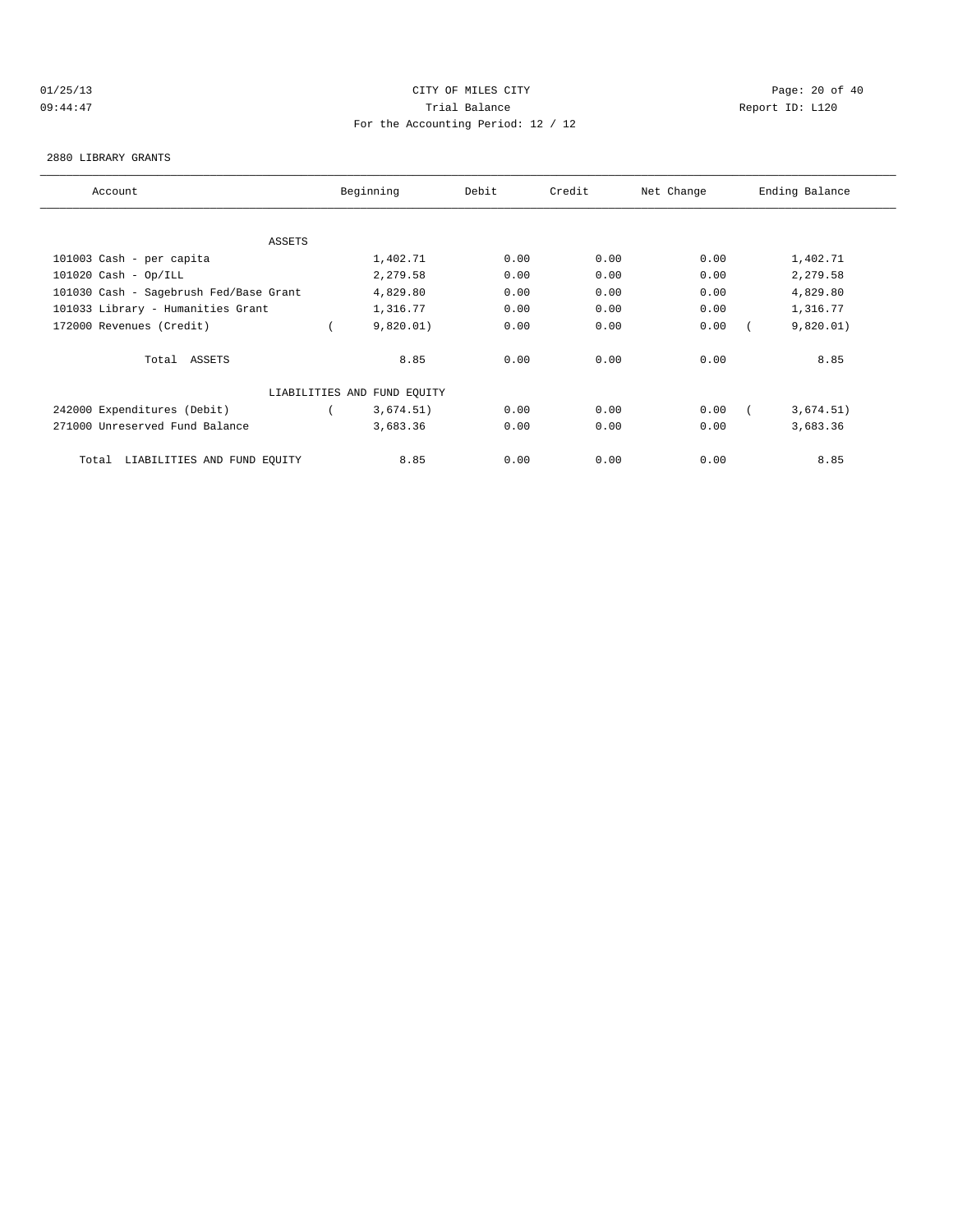# 01/25/13 Page: 20 of 40 09:44:47 Trial Balance Report ID: L120 For the Accounting Period: 12 / 12

#### 2880 LIBRARY GRANTS

| Account                                | Beginning                   | Debit | Credit | Net Change | Ending Balance |
|----------------------------------------|-----------------------------|-------|--------|------------|----------------|
|                                        |                             |       |        |            |                |
| ASSETS                                 |                             |       |        |            |                |
| 101003 Cash - per capita               | 1,402.71                    | 0.00  | 0.00   | 0.00       | 1,402.71       |
| $101020$ Cash - Op/ILL                 | 2,279.58                    | 0.00  | 0.00   | 0.00       | 2,279.58       |
| 101030 Cash - Sagebrush Fed/Base Grant | 4,829.80                    | 0.00  | 0.00   | 0.00       | 4,829.80       |
| 101033 Library - Humanities Grant      | 1,316.77                    | 0.00  | 0.00   | 0.00       | 1,316.77       |
| 172000 Revenues (Credit)               | 9,820.01)                   | 0.00  | 0.00   | 0.00       | 9,820.01)      |
| Total ASSETS                           | 8.85                        | 0.00  | 0.00   | 0.00       | 8.85           |
|                                        | LIABILITIES AND FUND EQUITY |       |        |            |                |
| 242000 Expenditures (Debit)            | 3,674.51)                   | 0.00  | 0.00   | 0.00       | 3,674.51)      |
| 271000 Unreserved Fund Balance         | 3,683.36                    | 0.00  | 0.00   | 0.00       | 3,683.36       |
| LIABILITIES AND FUND EQUITY<br>Total   | 8.85                        | 0.00  | 0.00   | 0.00       | 8.85           |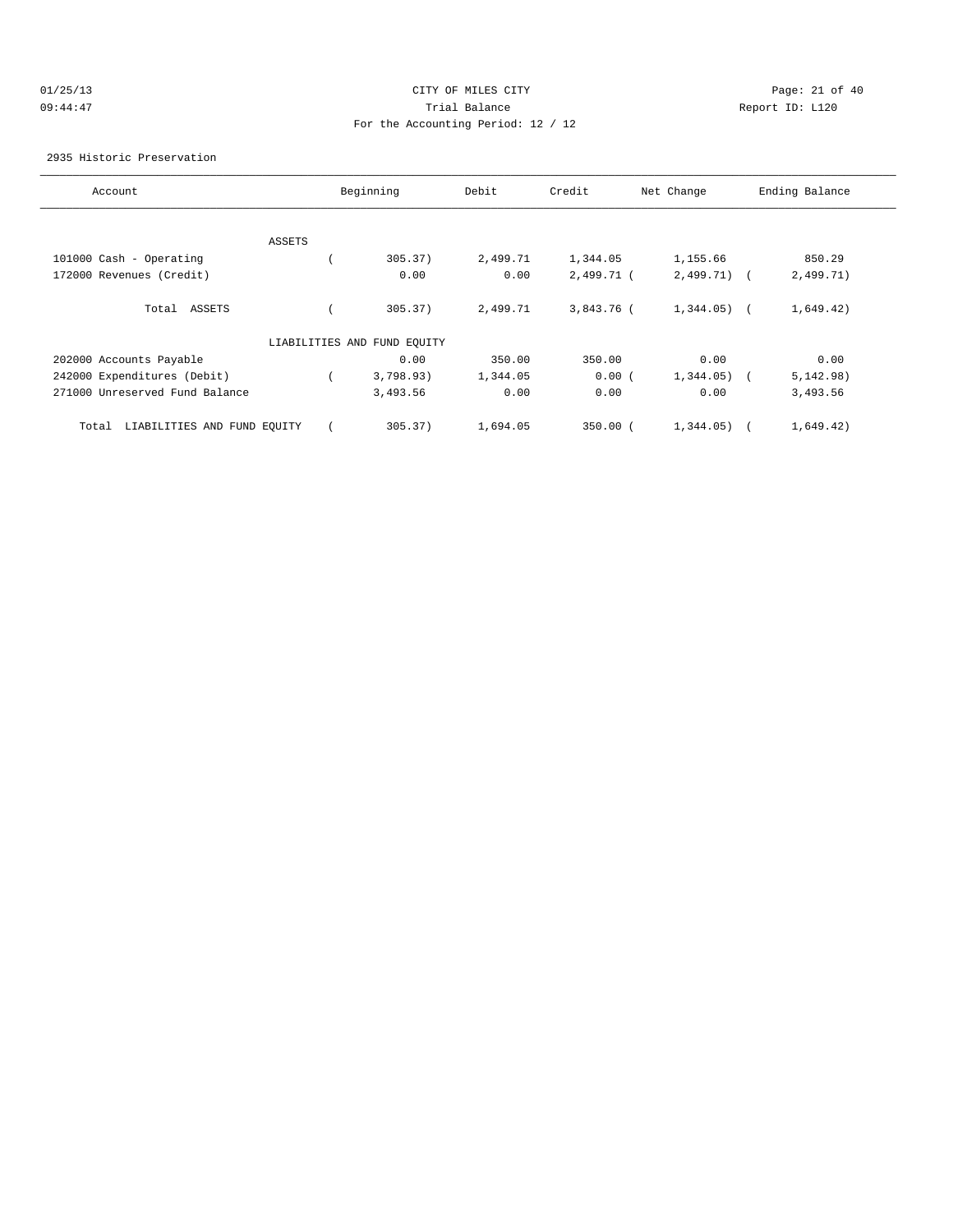#### 01/25/13 Page: 21 of 40 09:44:47 Trial Balance Report ID: L120 For the Accounting Period: 12 / 12

2935 Historic Preservation

| Account                              | Beginning                   | Debit    | Credit       | Net Change   | Ending Balance |
|--------------------------------------|-----------------------------|----------|--------------|--------------|----------------|
|                                      |                             |          |              |              |                |
| ASSETS                               |                             |          |              |              |                |
| 101000 Cash - Operating              | 305.37)                     | 2,499.71 | 1,344.05     | 1,155.66     | 850.29         |
| 172000 Revenues (Credit)             | 0.00                        | 0.00     | 2,499.71 (   | $2,499.71$ ( | 2,499.71)      |
| ASSETS<br>Total                      | 305.37)                     | 2,499.71 | 3,843.76 (   | $1,344.05$ ( | 1,649.42)      |
|                                      | LIABILITIES AND FUND EQUITY |          |              |              |                |
| 202000 Accounts Payable              | 0.00                        | 350.00   | 350.00       | 0.00         | 0.00           |
| 242000 Expenditures (Debit)          | 3,798.93)                   | 1,344.05 | 0.00(        | 1,344.05)    | 5, 142.98)     |
| 271000 Unreserved Fund Balance       | 3,493.56                    | 0.00     | 0.00         | 0.00         | 3,493.56       |
| LIABILITIES AND FUND EQUITY<br>Total | 305.37                      | 1,694.05 | $350.00$ $($ | 1,344.05)    | 1,649.42)      |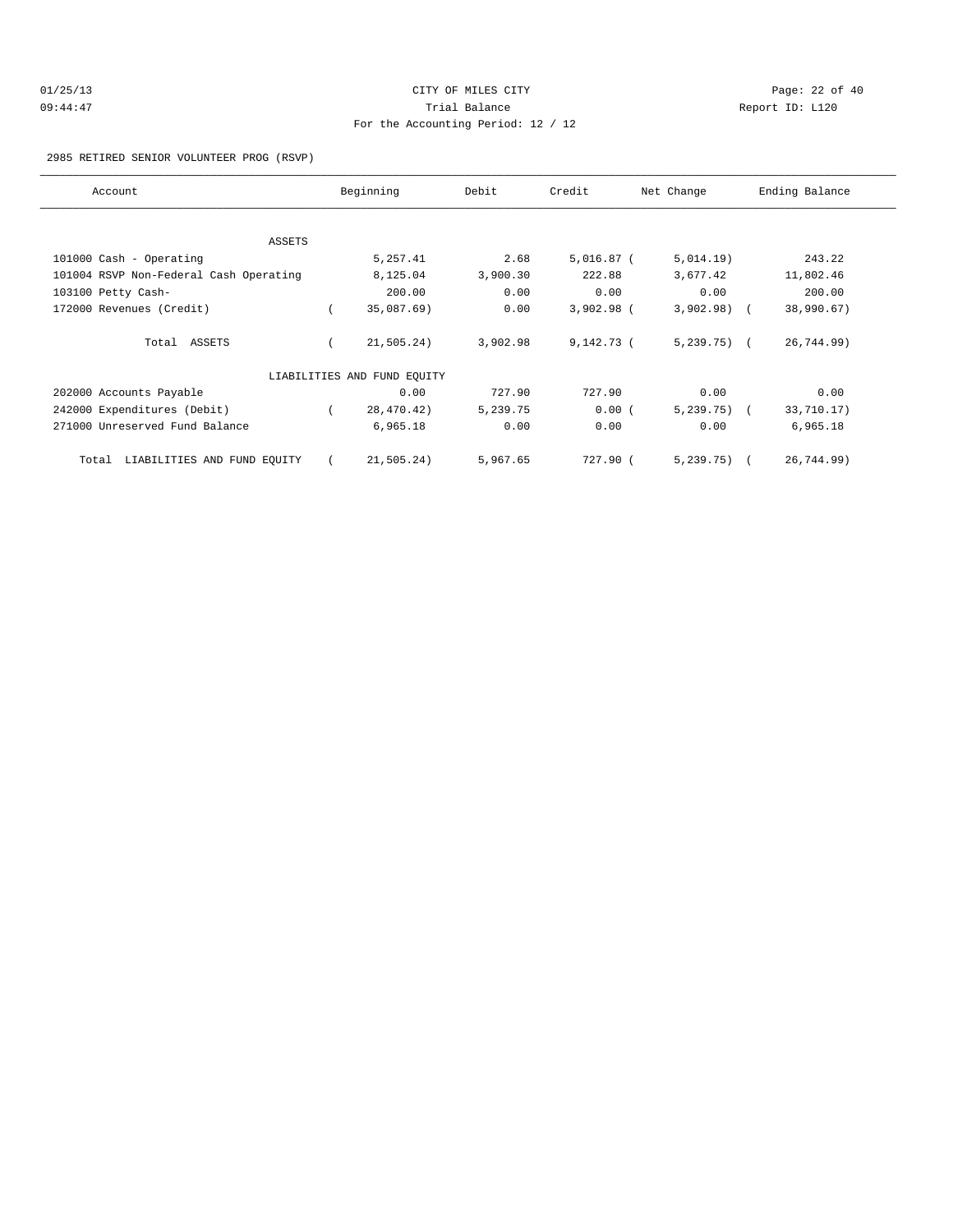# 01/25/13 Page: 22 of 40 09:44:47 Trial Balance Report ID: L120 For the Accounting Period: 12 / 12

#### 2985 RETIRED SENIOR VOLUNTEER PROG (RSVP)

| Account                                | Beginning                   | Debit    | Credit       | Net Change   | Ending Balance |
|----------------------------------------|-----------------------------|----------|--------------|--------------|----------------|
|                                        |                             |          |              |              |                |
| ASSETS                                 |                             |          |              |              |                |
| 101000 Cash - Operating                | 5,257.41                    | 2.68     | $5,016.87$ ( | 5,014.19)    | 243.22         |
| 101004 RSVP Non-Federal Cash Operating | 8,125.04                    | 3,900.30 | 222.88       | 3,677.42     | 11,802.46      |
| 103100 Petty Cash-                     | 200.00                      | 0.00     | 0.00         | 0.00         | 200.00         |
| 172000 Revenues (Credit)               | 35,087.69)                  | 0.00     | $3,902.98$ ( | $3,902.98$ ( | 38,990.67)     |
| Total ASSETS                           | 21,505.24)                  | 3,902.98 | 9,142.73 (   | $5,239.75$ ( | 26,744.99)     |
|                                        | LIABILITIES AND FUND EQUITY |          |              |              |                |
| 202000 Accounts Payable                | 0.00                        | 727.90   | 727.90       | 0.00         | 0.00           |
| 242000 Expenditures (Debit)            | 28,470.42)                  | 5,239.75 | 0.00(        | $5,239.75$ ( | 33,710.17)     |
| 271000 Unreserved Fund Balance         | 6,965.18                    | 0.00     | 0.00         | 0.00         | 6,965.18       |
| LIABILITIES AND FUND EQUITY<br>Total   | 21,505.24)                  | 5,967.65 | 727.90 (     | $5,239.75$ ( | 26,744.99)     |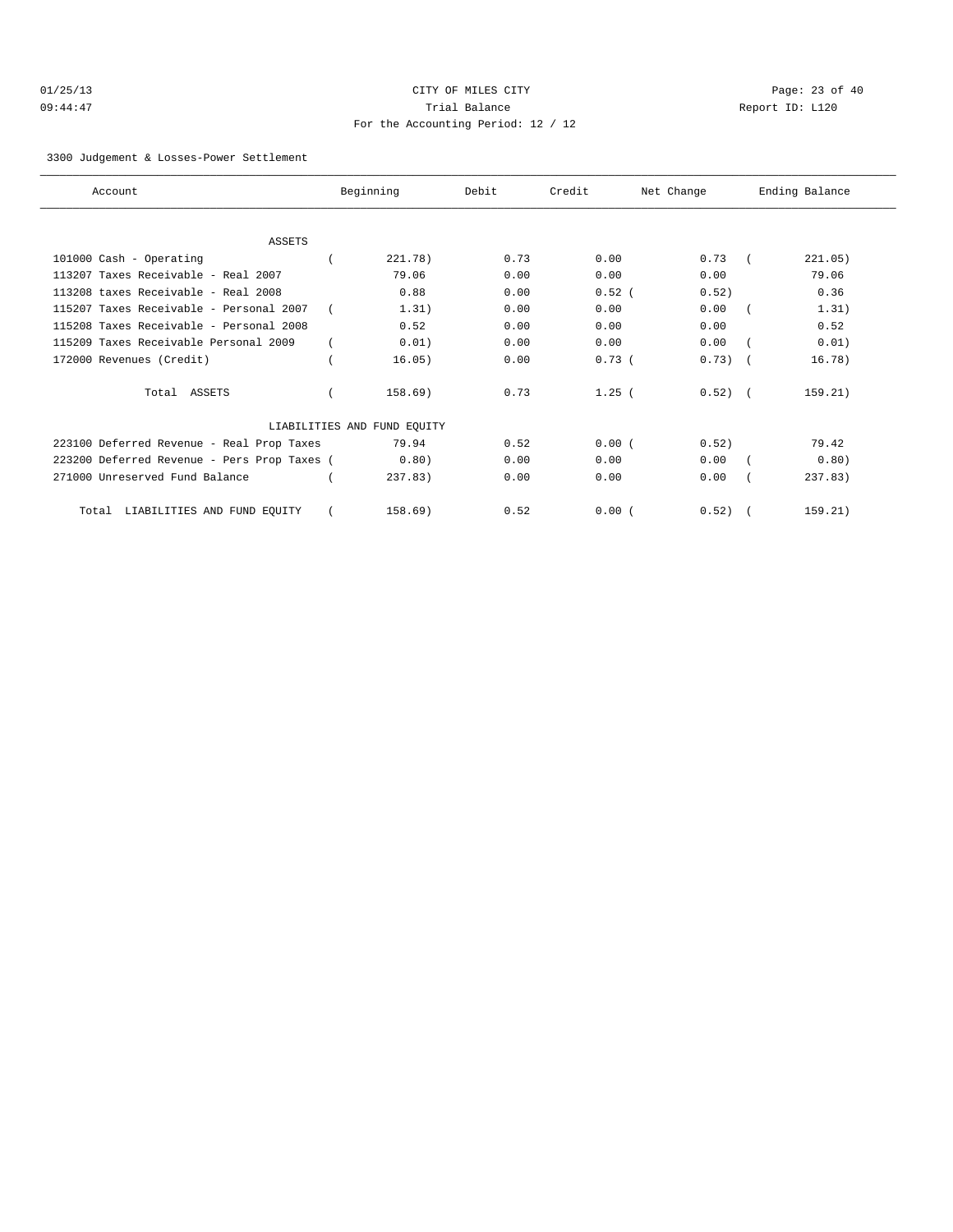# 01/25/13 Page: 23 of 40 09:44:47 Trial Balance Report ID: L120 For the Accounting Period: 12 / 12

#### 3300 Judgement & Losses-Power Settlement

| Account                                     | Beginning                   | Debit | Credit   | Net Change   | Ending Balance |
|---------------------------------------------|-----------------------------|-------|----------|--------------|----------------|
|                                             |                             |       |          |              |                |
| <b>ASSETS</b>                               |                             |       |          |              |                |
| 101000 Cash - Operating                     | 221.78)                     | 0.73  | 0.00     | 0.73         | 221.05)        |
| 113207 Taxes Receivable - Real 2007         | 79.06                       | 0.00  | 0.00     | 0.00         | 79.06          |
| 113208 taxes Receivable - Real 2008         | 0.88                        | 0.00  | $0.52$ ( | 0.52)        | 0.36           |
| 115207 Taxes Receivable - Personal 2007     | 1.31)                       | 0.00  | 0.00     | 0.00         | 1.31)          |
| 115208 Taxes Receivable - Personal 2008     | 0.52                        | 0.00  | 0.00     | 0.00         | 0.52           |
| 115209 Taxes Receivable Personal 2009       | 0.01)                       | 0.00  | 0.00     | 0.00         | 0.01)          |
| 172000 Revenues (Credit)                    | 16.05)                      | 0.00  | 0.73(    | $0.73)$ (    | 16.78)         |
| Total ASSETS                                | 158.69)                     | 0.73  | 1.25(    | $0.52$ ) $($ | 159.21)        |
|                                             | LIABILITIES AND FUND EOUITY |       |          |              |                |
| 223100 Deferred Revenue - Real Prop Taxes   | 79.94                       | 0.52  | 0.00(    | 0.52)        | 79.42          |
| 223200 Deferred Revenue - Pers Prop Taxes ( | 0.80)                       | 0.00  | 0.00     | 0.00         | 0.80)          |
| 271000 Unreserved Fund Balance              | 237.83                      | 0.00  | 0.00     | 0.00         | 237.83         |
| LIABILITIES AND FUND EQUITY<br>Total        | 158.69)                     | 0.52  | 0.00(    | 0.52)        | 159.21)        |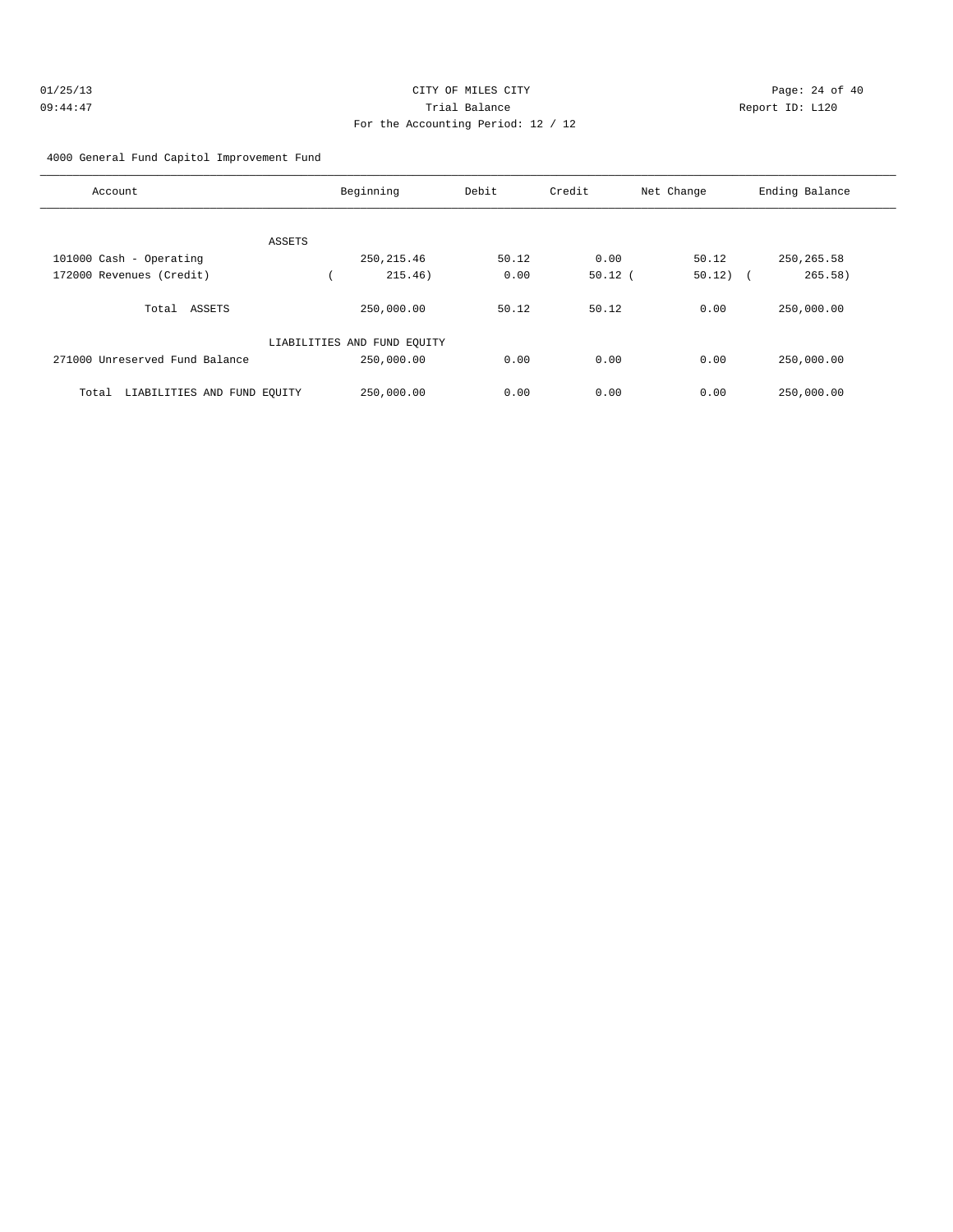# 4000 General Fund Capitol Improvement Fund

| Account                              | Beginning                   | Debit | Credit    | Net Change | Ending Balance                      |
|--------------------------------------|-----------------------------|-------|-----------|------------|-------------------------------------|
| ASSETS                               |                             |       |           |            |                                     |
| 101000 Cash - Operating              | 250, 215.46                 | 50.12 | 0.00      | 50.12      | 250, 265.58                         |
| 172000 Revenues (Credit)             | 215.46)                     | 0.00  | $50.12$ ( | 50.12)     | 265.58)<br>$\overline{\phantom{a}}$ |
| Total ASSETS                         | 250,000.00                  | 50.12 | 50.12     | 0.00       | 250,000.00                          |
|                                      | LIABILITIES AND FUND EQUITY |       |           |            |                                     |
| 271000 Unreserved Fund Balance       | 250,000.00                  | 0.00  | 0.00      | 0.00       | 250,000.00                          |
| LIABILITIES AND FUND EQUITY<br>Total | 250,000.00                  | 0.00  | 0.00      | 0.00       | 250,000.00                          |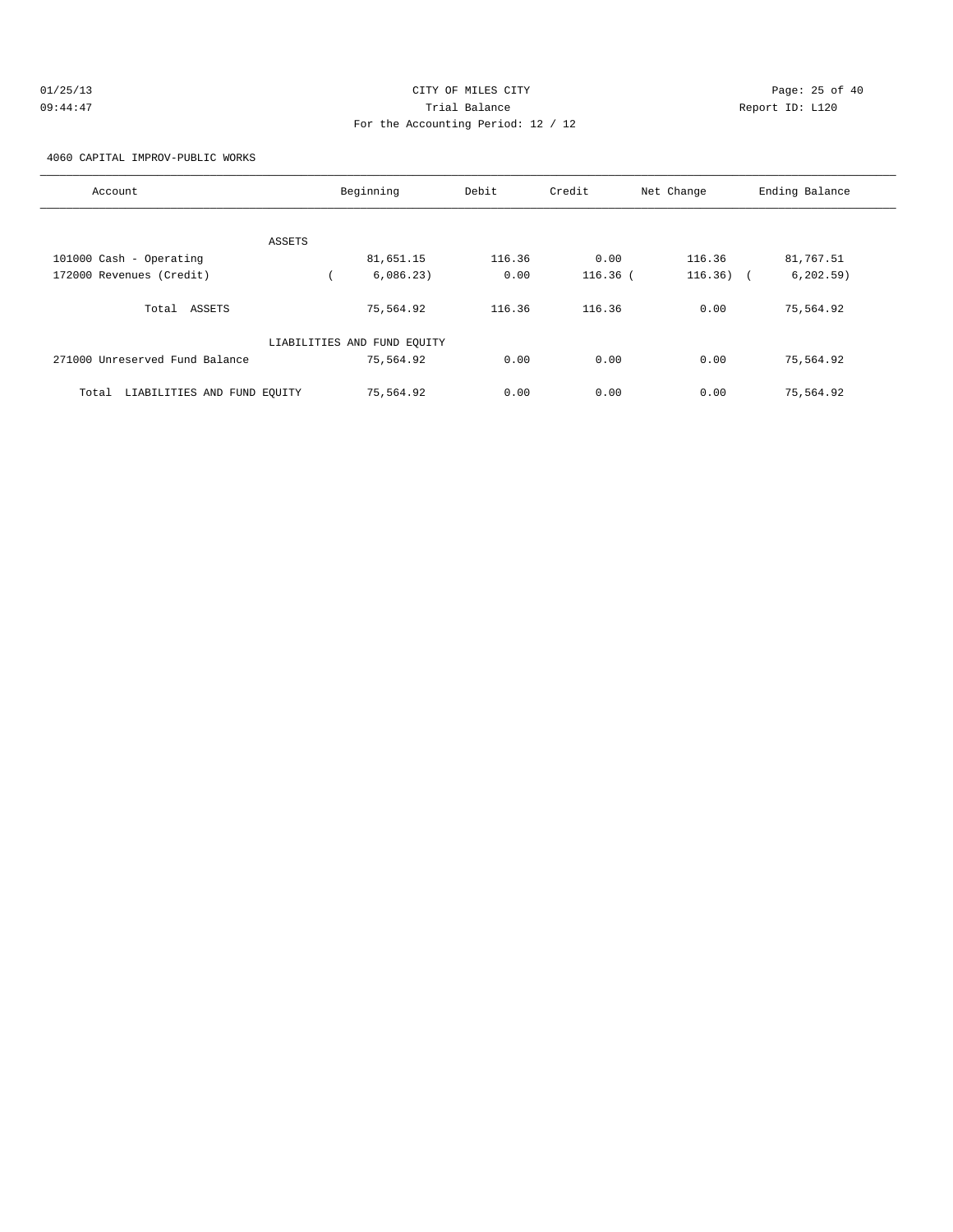# 01/25/13 Page: 25 of 40 09:44:47 Trial Balance Report ID: L120 For the Accounting Period: 12 / 12

4060 CAPITAL IMPROV-PUBLIC WORKS

| Account                              |               | Beginning                   | Debit  | Credit     | Net Change  | Ending Balance |
|--------------------------------------|---------------|-----------------------------|--------|------------|-------------|----------------|
|                                      |               |                             |        |            |             |                |
|                                      | <b>ASSETS</b> |                             |        |            |             |                |
| 101000 Cash - Operating              |               | 81,651.15                   | 116.36 | 0.00       | 116.36      | 81,767.51      |
| 172000 Revenues (Credit)             |               | 6,086.23)                   | 0.00   | $116.36$ ( | $116.36)$ ( | 6, 202.59)     |
| Total ASSETS                         |               | 75,564.92                   | 116.36 | 116.36     | 0.00        | 75,564.92      |
|                                      |               | LIABILITIES AND FUND EQUITY |        |            |             |                |
| 271000 Unreserved Fund Balance       |               | 75,564.92                   | 0.00   | 0.00       | 0.00        | 75,564.92      |
| LIABILITIES AND FUND EOUITY<br>Total |               | 75,564.92                   | 0.00   | 0.00       | 0.00        | 75,564.92      |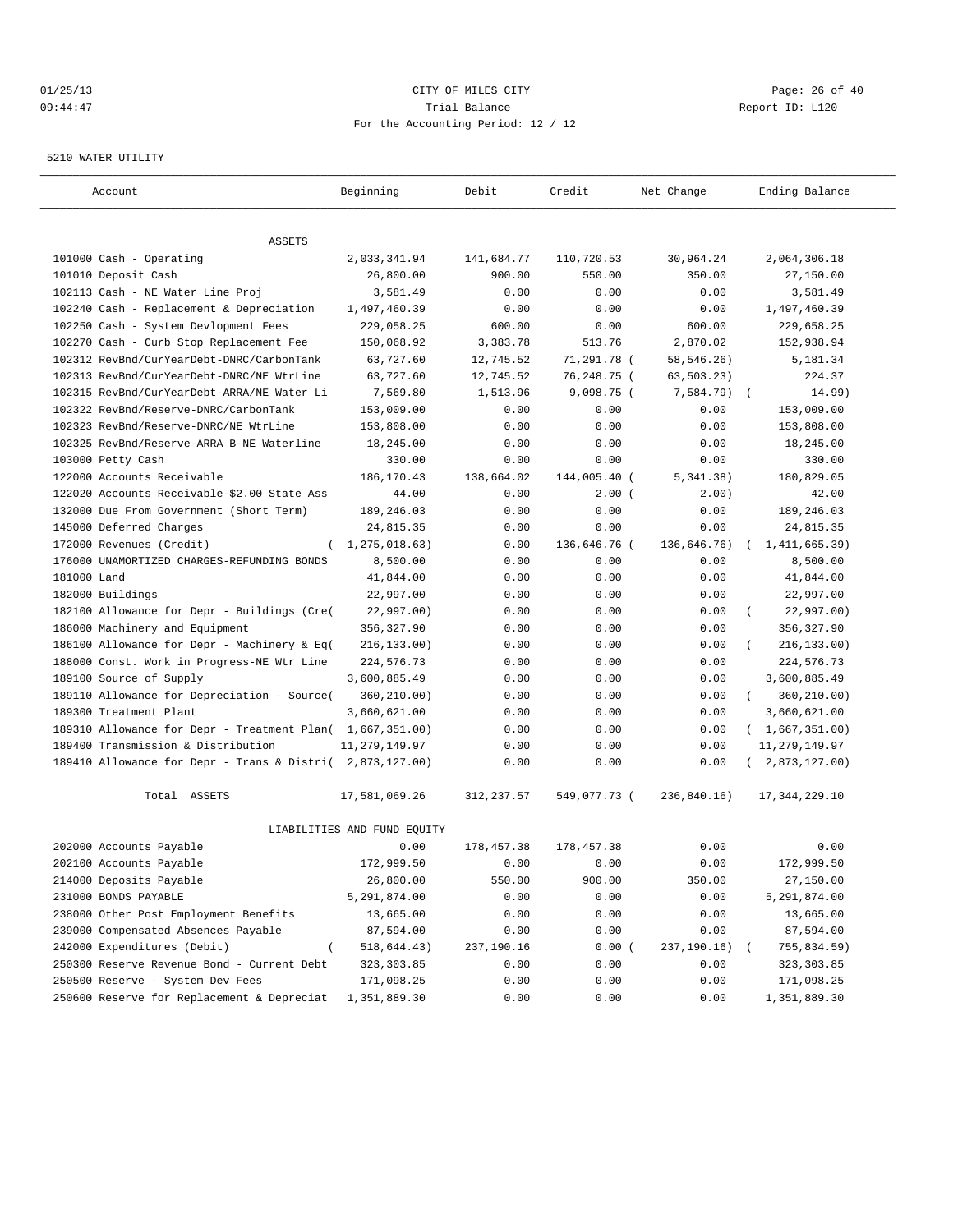#### 01/25/13 Page: 26 of 40 09:44:47 Trial Balance Report ID: L120 For the Accounting Period: 12 / 12

#### 5210 WATER UTILITY

| Account                                                                                | Beginning                   | Debit                  | Credit                | Net Change          | Ending Balance           |
|----------------------------------------------------------------------------------------|-----------------------------|------------------------|-----------------------|---------------------|--------------------------|
|                                                                                        |                             |                        |                       |                     |                          |
| ASSETS                                                                                 |                             |                        |                       |                     |                          |
| 101000 Cash - Operating                                                                | 2,033,341.94                | 141,684.77             | 110,720.53<br>550.00  | 30,964.24<br>350.00 | 2,064,306.18             |
| 101010 Deposit Cash                                                                    | 26,800.00                   | 900.00                 |                       | 0.00                | 27,150.00                |
| 102113 Cash - NE Water Line Proj                                                       | 3,581.49                    | 0.00                   | 0.00                  |                     | 3,581.49                 |
| 102240 Cash - Replacement & Depreciation                                               | 1,497,460.39                | 0.00                   | 0.00<br>0.00          | 0.00<br>600.00      | 1,497,460.39             |
| 102250 Cash - System Devlopment Fees                                                   | 229,058.25                  | 600.00                 |                       |                     | 229,658.25<br>152,938.94 |
| 102270 Cash - Curb Stop Replacement Fee                                                | 150,068.92<br>63,727.60     | 3,383.78               | 513.76<br>71,291.78 ( | 2,870.02            | 5,181.34                 |
| 102312 RevBnd/CurYearDebt-DNRC/CarbonTank<br>102313 RevBnd/CurYearDebt-DNRC/NE WtrLine | 63,727.60                   | 12,745.52<br>12,745.52 | 76,248.75 (           | 58,546.26)          | 224.37                   |
|                                                                                        |                             | 1,513.96               |                       | 63,503.23)          |                          |
| 102315 RevBnd/CurYearDebt-ARRA/NE Water Li                                             | 7,569.80                    |                        | $9,098.75$ (<br>0.00  | 7,584.79)<br>0.00   | 14.99)<br>$\sqrt{2}$     |
| 102322 RevBnd/Reserve-DNRC/CarbonTank<br>102323 RevBnd/Reserve-DNRC/NE WtrLine         | 153,009.00                  | 0.00                   | 0.00                  | 0.00                | 153,009.00               |
| 102325 RevBnd/Reserve-ARRA B-NE Waterline                                              | 153,808.00<br>18,245.00     | 0.00<br>0.00           | 0.00                  | 0.00                | 153,808.00<br>18,245.00  |
| 103000 Petty Cash                                                                      | 330.00                      | 0.00                   | 0.00                  | 0.00                | 330.00                   |
| 122000 Accounts Receivable                                                             | 186, 170.43                 | 138,664.02             | 144,005.40 (          | 5,341.38)           | 180,829.05               |
| 122020 Accounts Receivable-\$2.00 State Ass                                            | 44.00                       | 0.00                   | 2.00(                 | 2.00)               | 42.00                    |
| 132000 Due From Government (Short Term)                                                | 189,246.03                  | 0.00                   | 0.00                  | 0.00                | 189,246.03               |
| 145000 Deferred Charges                                                                | 24,815.35                   | 0.00                   | 0.00                  | 0.00                | 24,815.35                |
| 172000 Revenues (Credit)<br>$\left($                                                   | 1,275,018.63)               | 0.00                   | 136,646.76 (          | 136,646.76)         | 1, 411, 665.39)          |
| 176000 UNAMORTIZED CHARGES-REFUNDING BONDS                                             | 8,500.00                    | 0.00                   | 0.00                  | 0.00                | 8,500.00                 |
| 181000 Land                                                                            | 41,844.00                   | 0.00                   | 0.00                  | 0.00                | 41,844.00                |
| 182000 Buildings                                                                       | 22,997.00                   | 0.00                   | 0.00                  | 0.00                | 22,997.00                |
| 182100 Allowance for Depr - Buildings (Cre(                                            | 22,997.00)                  | 0.00                   | 0.00                  | 0.00                | 22,997.00)<br>- 1        |
| 186000 Machinery and Equipment                                                         | 356,327.90                  | 0.00                   | 0.00                  | 0.00                | 356, 327.90              |
| 186100 Allowance for Depr - Machinery & Eq(                                            | 216, 133.00)                | 0.00                   | 0.00                  | 0.00                | 216, 133.00)<br>$\left($ |
| 188000 Const. Work in Progress-NE Wtr Line                                             | 224,576.73                  | 0.00                   | 0.00                  | 0.00                | 224,576.73               |
| 189100 Source of Supply                                                                | 3,600,885.49                | 0.00                   | 0.00                  | 0.00                | 3,600,885.49             |
| 189110 Allowance for Depreciation - Source(                                            | 360,210.00)                 | 0.00                   | 0.00                  | 0.00                | 360,210.00)<br>$\left($  |
| 189300 Treatment Plant                                                                 | 3,660,621.00                | 0.00                   | 0.00                  | 0.00                | 3,660,621.00             |
| 189310 Allowance for Depr - Treatment Plan(                                            | 1,667,351.00)               | 0.00                   | 0.00                  | 0.00                | (1,667,351.00)           |
| 189400 Transmission & Distribution                                                     | 11, 279, 149.97             | 0.00                   | 0.00                  | 0.00                | 11, 279, 149.97          |
| 189410 Allowance for Depr - Trans & Distri( 2,873,127.00)                              |                             | 0.00                   | 0.00                  | 0.00                | 2,873,127.00)            |
|                                                                                        |                             |                        |                       |                     |                          |
| Total ASSETS                                                                           | 17,581,069.26               | 312,237.57             | 549,077.73 (          | 236,840.16)         | 17, 344, 229.10          |
|                                                                                        | LIABILITIES AND FUND EQUITY |                        |                       |                     |                          |
| 202000 Accounts Payable                                                                | 0.00                        | 178,457.38             | 178, 457.38           | 0.00                | 0.00                     |
| 202100 Accounts Payable                                                                | 172,999.50                  | 0.00                   | 0.00                  | 0.00                | 172,999.50               |
| 214000 Deposits Payable                                                                | 26,800.00                   | 550.00                 | 900.00                | 350.00              | 27,150.00                |
| 231000 BONDS PAYABLE                                                                   | 5,291,874.00                | 0.00                   | 0.00                  | 0.00                | 5,291,874.00             |
| 238000 Other Post Employment Benefits                                                  | 13,665.00                   | 0.00                   | 0.00                  | 0.00                | 13,665.00                |
| 239000 Compensated Absences Payable                                                    | 87,594.00                   | 0.00                   | 0.00                  | 0.00                | 87,594.00                |
| 242000 Expenditures (Debit)                                                            | 518,644.43)                 | 237,190.16             | 0.00(                 | 237,190.16) (       | 755,834.59)              |
| 250300 Reserve Revenue Bond - Current Debt                                             | 323, 303.85                 | 0.00                   | 0.00                  | 0.00                | 323, 303.85              |
| 250500 Reserve - System Dev Fees                                                       | 171,098.25                  | 0.00                   | 0.00                  | 0.00                | 171,098.25               |
| 250600 Reserve for Replacement & Depreciat                                             | 1,351,889.30                | 0.00                   | 0.00                  | 0.00                | 1,351,889.30             |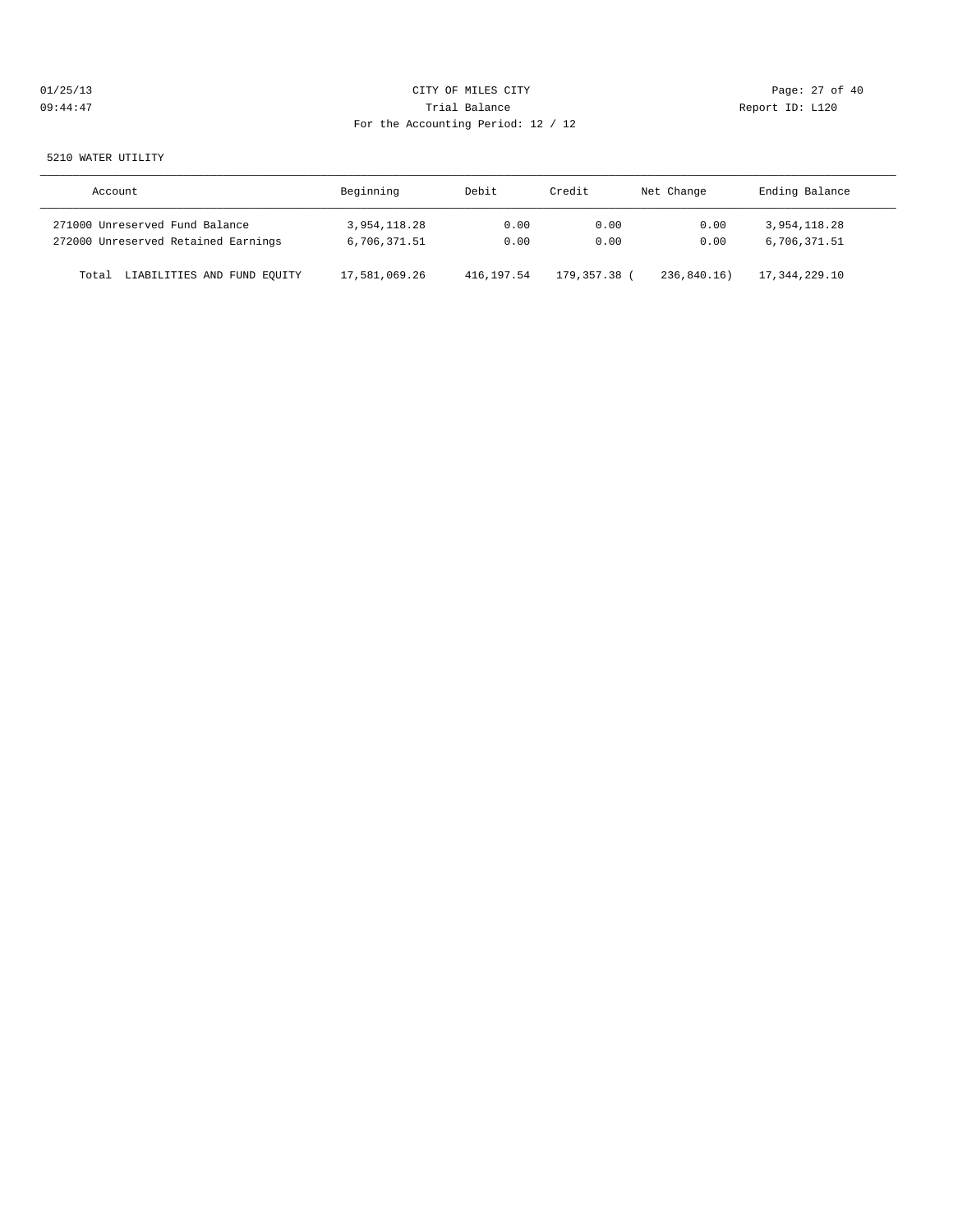# 01/25/13 Page: 27 of 40 09:44:47 Trial Balance Report ID: L120 For the Accounting Period: 12 / 12

#### 5210 WATER UTILITY

| Account                              | Beginning     | Debit      | Credit       | Net Change  | Ending Balance |
|--------------------------------------|---------------|------------|--------------|-------------|----------------|
| 271000 Unreserved Fund Balance       | 3,954,118.28  | 0.00       | 0.00         | 0.00        | 3,954,118.28   |
| 272000 Unreserved Retained Earnings  | 6,706,371.51  | 0.00       | 0.00         | 0.00        | 6,706,371.51   |
| LIABILITIES AND FUND EQUITY<br>Total | 17,581,069.26 | 416,197.54 | 179, 357, 38 | 236,840.16) | 17,344,229.10  |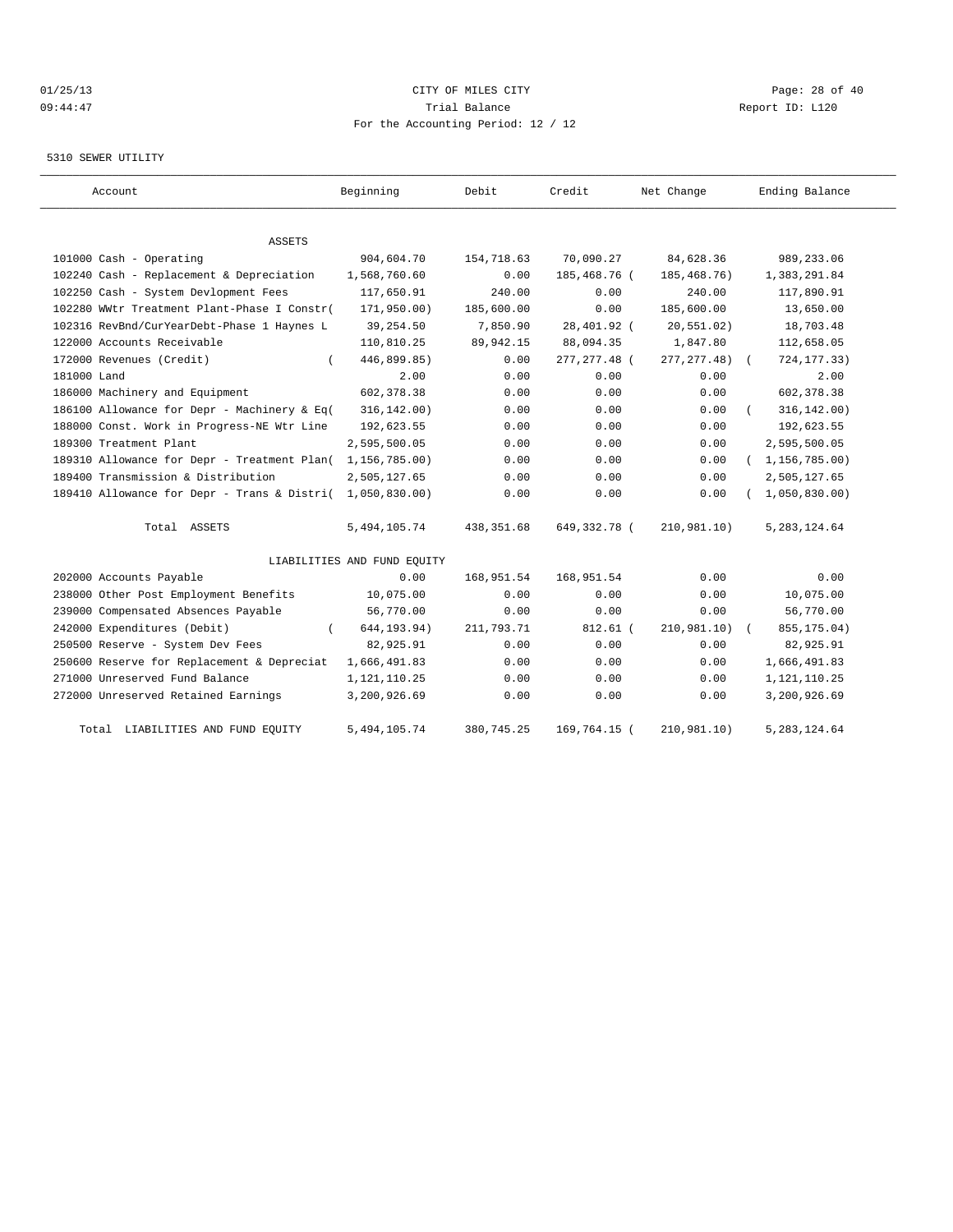# 01/25/13 Page: 28 of 40 09:44:47 Trial Balance Report ID: L120 For the Accounting Period: 12 / 12

# 5310 SEWER UTILITY

| Account                                     | Beginning                   | Debit       | Credit         | Net Change   | Ending Balance   |
|---------------------------------------------|-----------------------------|-------------|----------------|--------------|------------------|
| <b>ASSETS</b>                               |                             |             |                |              |                  |
| 101000 Cash - Operating                     | 904,604.70                  | 154,718.63  | 70,090.27      | 84,628.36    | 989,233.06       |
| 102240 Cash - Replacement & Depreciation    | 1,568,760.60                | 0.00        | 185,468.76 (   | 185,468.76)  | 1,383,291.84     |
| 102250 Cash - System Devlopment Fees        | 117,650.91                  | 240.00      | 0.00           | 240.00       | 117,890.91       |
| 102280 WWtr Treatment Plant-Phase I Constr( | 171,950.00)                 | 185,600.00  | 0.00           | 185,600.00   | 13,650.00        |
| 102316 RevBnd/CurYearDebt-Phase 1 Haynes L  | 39,254.50                   | 7,850.90    | 28,401.92 (    | 20, 551.02)  | 18,703.48        |
| 122000 Accounts Receivable                  | 110,810.25                  | 89,942.15   | 88,094.35      | 1,847.80     | 112,658.05       |
| 172000 Revenues (Credit)                    | 446,899.85)                 | 0.00        | 277, 277. 48 ( | 277, 277.48) | 724, 177.33)     |
| 181000 Land                                 | 2.00                        | 0.00        | 0.00           | 0.00         | 2.00             |
| 186000 Machinery and Equipment              | 602, 378.38                 | 0.00        | 0.00           | 0.00         | 602, 378.38      |
| 186100 Allowance for Depr - Machinery & Eq( | 316, 142.00)                | 0.00        | 0.00           | 0.00         | 316, 142.00)     |
| 188000 Const. Work in Progress-NE Wtr Line  | 192,623.55                  | 0.00        | 0.00           | 0.00         | 192,623.55       |
| 189300 Treatment Plant                      | 2,595,500.05                | 0.00        | 0.00           | 0.00         | 2,595,500.05     |
| 189310 Allowance for Depr - Treatment Plan( | 1,156,785.00)               | 0.00        | 0.00           | 0.00         | (1, 156, 785.00) |
| 189400 Transmission & Distribution          | 2,505,127.65                | 0.00        | 0.00           | 0.00         | 2,505,127.65     |
| 189410 Allowance for Depr - Trans & Distri( | 1,050,830.00                | 0.00        | 0.00           | 0.00         | 1,050,830.00     |
| Total ASSETS                                | 5, 494, 105. 74             | 438, 351.68 | 649, 332. 78 ( | 210,981.10)  | 5, 283, 124.64   |
|                                             | LIABILITIES AND FUND EQUITY |             |                |              |                  |
| 202000 Accounts Payable                     | 0.00                        | 168,951.54  | 168,951.54     | 0.00         | 0.00             |
| 238000 Other Post Employment Benefits       | 10,075.00                   | 0.00        | 0.00           | 0.00         | 10,075.00        |
| 239000 Compensated Absences Payable         | 56,770.00                   | 0.00        | 0.00           | 0.00         | 56,770.00        |
| 242000 Expenditures (Debit)                 | 644, 193.94)                | 211,793.71  | 812.61 (       | 210,981.10)  | 855, 175.04)     |
| 250500 Reserve - System Dev Fees            | 82,925.91                   | 0.00        | 0.00           | 0.00         | 82,925.91        |
| 250600 Reserve for Replacement & Depreciat  | 1,666,491.83                | 0.00        | 0.00           | 0.00         | 1,666,491.83     |
| 271000 Unreserved Fund Balance              | 1, 121, 110.25              | 0.00        | 0.00           | 0.00         | 1, 121, 110.25   |
| 272000 Unreserved Retained Earnings         | 3,200,926.69                | 0.00        | 0.00           | 0.00         | 3,200,926.69     |
| LIABILITIES AND FUND EQUITY<br>Total        | 5,494,105.74                | 380,745.25  | 169,764.15 (   | 210,981.10)  | 5, 283, 124.64   |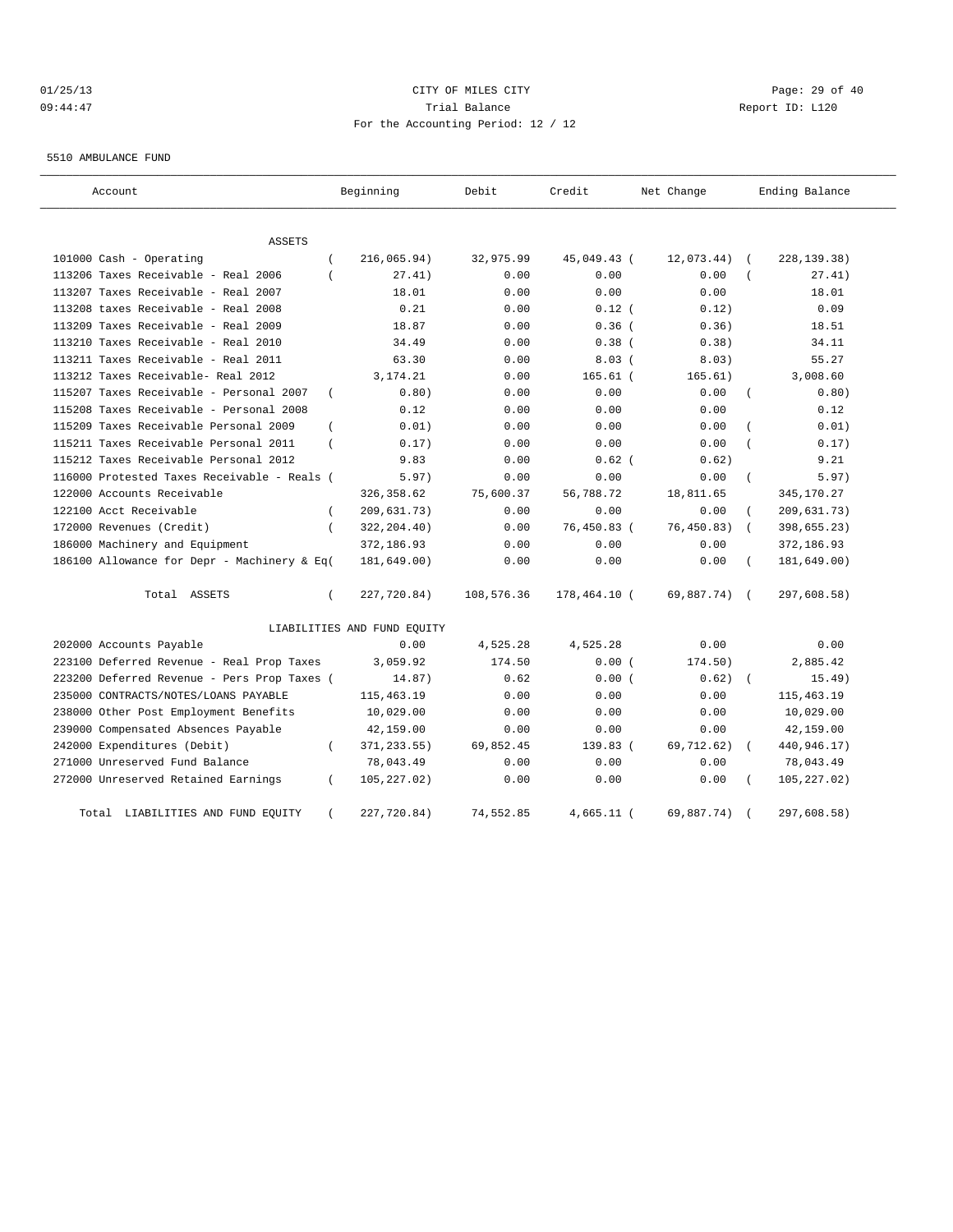# 01/25/13 Page: 29 of 40 09:44:47 Trial Balance Report ID: L120 For the Accounting Period: 12 / 12

5510 AMBULANCE FUND

| Account                                     |                | Beginning                   | Debit      | Credit       | Net Change |            | Ending Balance |
|---------------------------------------------|----------------|-----------------------------|------------|--------------|------------|------------|----------------|
| ASSETS                                      |                |                             |            |              |            |            |                |
| 101000 Cash - Operating                     |                | 216,065.94)                 | 32,975.99  | 45,049.43 (  | 12,073.44) |            | 228, 139. 38)  |
| 113206 Taxes Receivable - Real 2006         |                | 27.41)                      | 0.00       | 0.00         | 0.00       |            | 27.41)         |
| 113207 Taxes Receivable - Real 2007         |                | 18.01                       | 0.00       | 0.00         | 0.00       |            | 18.01          |
| 113208 taxes Receivable - Real 2008         |                | 0.21                        | 0.00       | $0.12$ (     | 0.12)      |            | 0.09           |
| 113209 Taxes Receivable - Real 2009         |                | 18.87                       | 0.00       | $0.36$ (     | 0.36)      |            | 18.51          |
| 113210 Taxes Receivable - Real 2010         |                | 34.49                       | 0.00       | $0.38$ (     | 0.38)      |            | 34.11          |
| 113211 Taxes Receivable - Real 2011         |                | 63.30                       | 0.00       | 8.03(        | 8.03)      |            | 55.27          |
| 113212 Taxes Receivable- Real 2012          |                | 3,174.21                    | 0.00       | $165.61$ (   | 165.61)    |            | 3,008.60       |
| 115207 Taxes Receivable - Personal 2007     | $\overline{ }$ | 0.80)                       | 0.00       | 0.00         | 0.00       |            | 0.80)          |
| 115208 Taxes Receivable - Personal 2008     |                | 0.12                        | 0.00       | 0.00         | 0.00       |            | 0.12           |
| 115209 Taxes Receivable Personal 2009       |                | 0.01)                       | 0.00       | 0.00         | 0.00       |            | 0.01)          |
| 115211 Taxes Receivable Personal 2011       |                | 0.17)                       | 0.00       | 0.00         | 0.00       |            | 0.17)          |
| 115212 Taxes Receivable Personal 2012       |                | 9.83                        | 0.00       | $0.62$ (     | 0.62)      |            | 9.21           |
| 116000 Protested Taxes Receivable - Reals ( |                | 5.97)                       | 0.00       | 0.00         | 0.00       |            | 5.97)          |
| 122000 Accounts Receivable                  |                | 326,358.62                  | 75,600.37  | 56,788.72    | 18,811.65  |            | 345,170.27     |
| 122100 Acct Receivable                      |                | 209,631.73)                 | 0.00       | 0.00         | 0.00       |            | 209,631.73)    |
| 172000 Revenues (Credit)                    | $\left($       | 322, 204.40)                | 0.00       | 76,450.83 (  | 76,450.83) |            | 398,655.23)    |
| 186000 Machinery and Equipment              |                | 372,186.93                  | 0.00       | 0.00         | 0.00       |            | 372,186.93     |
| 186100 Allowance for Depr - Machinery & Eq( |                | 181,649.00)                 | 0.00       | 0.00         | 0.00       |            | 181,649.00)    |
| Total ASSETS                                | $\left($       | 227,720.84)                 | 108,576.36 | 178,464.10 ( | 69,887.74) | $\sqrt{2}$ | 297,608.58)    |
|                                             |                | LIABILITIES AND FUND EQUITY |            |              |            |            |                |
| 202000 Accounts Payable                     |                | 0.00                        | 4,525.28   | 4,525.28     | 0.00       |            | 0.00           |
| 223100 Deferred Revenue - Real Prop Taxes   |                | 3,059.92                    | 174.50     | 0.00(        | 174.50)    |            | 2,885.42       |
| 223200 Deferred Revenue - Pers Prop Taxes ( |                | 14.87)                      | 0.62       | 0.00(        | 0.62)      |            | 15.49)         |
| 235000 CONTRACTS/NOTES/LOANS PAYABLE        |                | 115, 463. 19                | 0.00       | 0.00         | 0.00       |            | 115, 463.19    |
| 238000 Other Post Employment Benefits       |                | 10,029.00                   | 0.00       | 0.00         | 0.00       |            | 10,029.00      |
| 239000 Compensated Absences Payable         |                | 42,159.00                   | 0.00       | 0.00         | 0.00       |            | 42,159.00      |
| 242000 Expenditures (Debit)                 | $\left($       | 371, 233.55)                | 69,852.45  | 139.83 (     | 69,712.62) | $\left($   | 440,946.17)    |
| 271000 Unreserved Fund Balance              |                | 78,043.49                   | 0.00       | 0.00         | 0.00       |            | 78,043.49      |
| 272000 Unreserved Retained Earnings         | $\left($       | 105, 227.02)                | 0.00       | 0.00         | 0.00       |            | 105, 227.02)   |
| LIABILITIES AND FUND EQUITY<br>Total        |                | 227,720.84)                 | 74,552.85  | 4,665.11 (   | 69,887.74) |            | 297,608.58)    |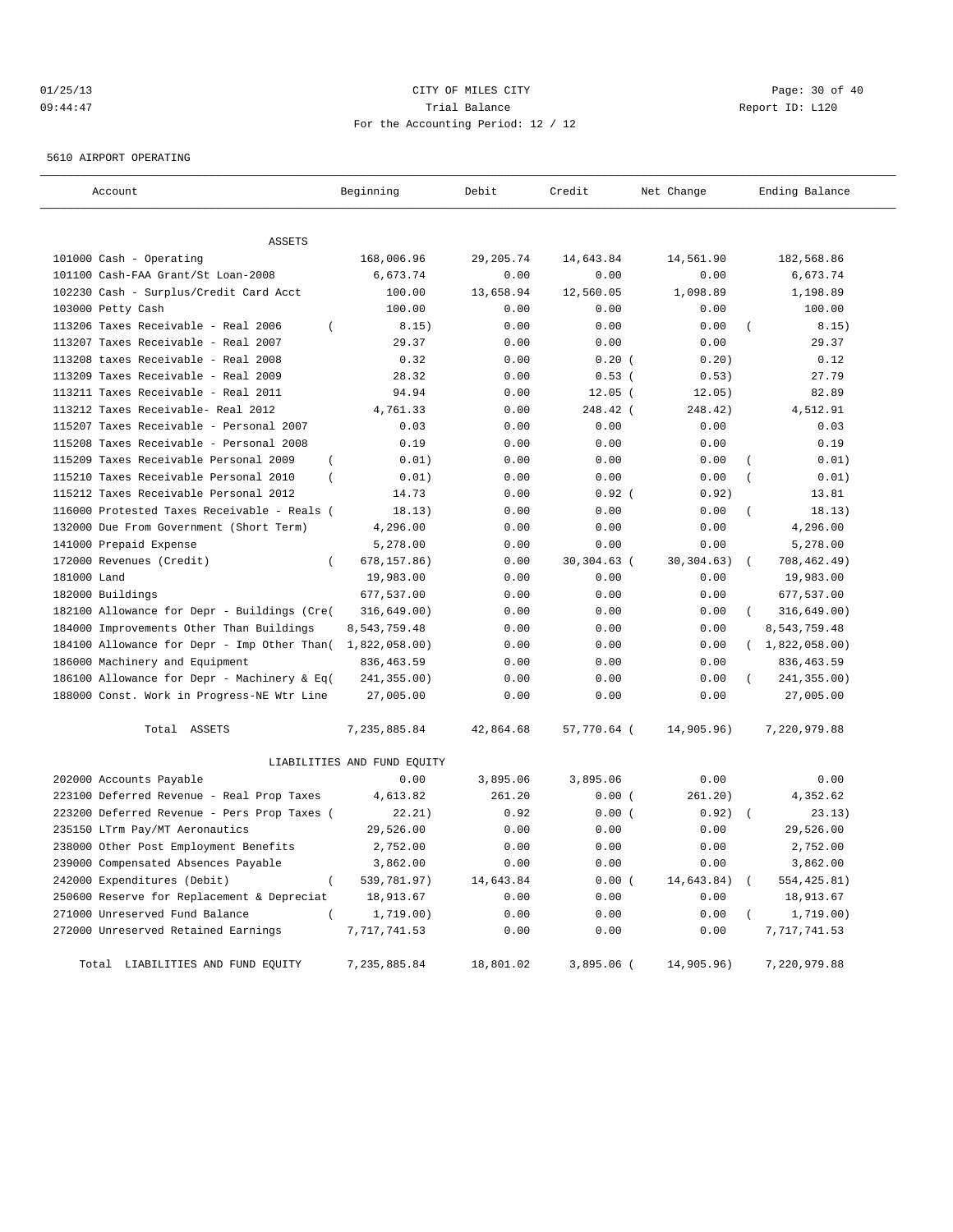# 01/25/13 Page: 30 of 40 09:44:47 Trial Balance Report ID: L120 For the Accounting Period: 12 / 12

5610 AIRPORT OPERATING

| Account                                                                                          | Beginning                   | Debit        | Credit       | Net Change    | Ending Balance                            |
|--------------------------------------------------------------------------------------------------|-----------------------------|--------------|--------------|---------------|-------------------------------------------|
|                                                                                                  |                             |              |              |               |                                           |
| <b>ASSETS</b>                                                                                    |                             |              |              |               |                                           |
| 101000 Cash - Operating                                                                          | 168,006.96                  | 29, 205.74   | 14,643.84    | 14,561.90     | 182,568.86                                |
| 101100 Cash-FAA Grant/St Loan-2008                                                               | 6,673.74                    | 0.00         | 0.00         | 0.00          | 6,673.74                                  |
| 102230 Cash - Surplus/Credit Card Acct                                                           | 100.00                      | 13,658.94    | 12,560.05    | 1,098.89      | 1,198.89                                  |
| 103000 Petty Cash                                                                                | 100.00                      | 0.00         | 0.00         | 0.00          | 100.00                                    |
| 113206 Taxes Receivable - Real 2006<br>$\overline{ }$                                            | 8.15)                       | 0.00         | 0.00         | 0.00          | 8.15)                                     |
| 113207 Taxes Receivable - Real 2007<br>113208 taxes Receivable - Real 2008                       | 29.37<br>0.32               | 0.00<br>0.00 | 0.00         | 0.00<br>0.20) | 29.37<br>0.12                             |
| 113209 Taxes Receivable - Real 2009                                                              |                             |              | $0.20$ (     |               |                                           |
|                                                                                                  | 28.32                       | 0.00         | $0.53$ (     | 0.53)         | 27.79                                     |
| 113211 Taxes Receivable - Real 2011                                                              | 94.94                       | 0.00         | $12.05$ (    | 12.05)        | 82.89                                     |
| 113212 Taxes Receivable- Real 2012                                                               | 4,761.33                    | 0.00         | 248.42 (     | 248.42)       | 4,512.91                                  |
| 115207 Taxes Receivable - Personal 2007<br>115208 Taxes Receivable - Personal 2008               | 0.03<br>0.19                | 0.00<br>0.00 | 0.00<br>0.00 | 0.00<br>0.00  | 0.03<br>0.19                              |
|                                                                                                  |                             |              |              |               |                                           |
| 115209 Taxes Receivable Personal 2009<br>$\overline{ }$<br>115210 Taxes Receivable Personal 2010 | 0.01)                       | 0.00         | 0.00         | 0.00<br>0.00  | 0.01)<br>$\overline{(}$<br>$\overline{(}$ |
| $\left($<br>115212 Taxes Receivable Personal 2012                                                | 0.01)<br>14.73              | 0.00         | 0.00         | 0.92)         | 0.01)<br>13.81                            |
|                                                                                                  |                             | 0.00         | $0.92$ (     |               |                                           |
| 116000 Protested Taxes Receivable - Reals (                                                      | 18.13)                      | 0.00         | 0.00         | 0.00          | 18.13)                                    |
| 132000 Due From Government (Short Term)                                                          | 4,296.00                    | 0.00         | 0.00         | 0.00          | 4,296.00                                  |
| 141000 Prepaid Expense                                                                           | 5,278.00                    | 0.00         | 0.00         | 0.00          | 5,278.00                                  |
| 172000 Revenues (Credit)<br>$\overline{ }$                                                       | 678, 157.86)                | 0.00         | 30,304.63 (  | 30, 304.63)   | 708,462.49)<br>$\sqrt{ }$                 |
| 181000 Land                                                                                      | 19,983.00                   | 0.00         | 0.00         | 0.00          | 19,983.00                                 |
| 182000 Buildings                                                                                 | 677,537.00                  | 0.00         | 0.00         | 0.00          | 677,537.00                                |
| 182100 Allowance for Depr - Buildings (Cre(                                                      | 316, 649.00)                | 0.00         | 0.00         | 0.00          | 316, 649.00)                              |
| 184000 Improvements Other Than Buildings                                                         | 8,543,759.48                | 0.00         | 0.00         | 0.00          | 8,543,759.48                              |
| 184100 Allowance for Depr - Imp Other Than(                                                      | 1,822,058.00                | 0.00         | 0.00         | 0.00          | (1,822,058.00)                            |
| 186000 Machinery and Equipment                                                                   | 836, 463.59                 | 0.00         | 0.00         | 0.00          | 836, 463.59                               |
| 186100 Allowance for Depr - Machinery & Eq(                                                      | 241,355.00)                 | 0.00         | 0.00         | 0.00          | 241,355.00)                               |
| 188000 Const. Work in Progress-NE Wtr Line                                                       | 27,005.00                   | 0.00         | 0.00         | 0.00          | 27,005.00                                 |
| Total ASSETS                                                                                     | 7,235,885.84                | 42,864.68    | 57,770.64 (  | 14,905.96)    | 7,220,979.88                              |
|                                                                                                  | LIABILITIES AND FUND EQUITY |              |              |               |                                           |
| 202000 Accounts Payable                                                                          | 0.00                        | 3,895.06     | 3,895.06     | 0.00          | 0.00                                      |
| 223100 Deferred Revenue - Real Prop Taxes                                                        | 4,613.82                    | 261.20       | 0.00(        | 261.20)       | 4,352.62                                  |
| 223200 Deferred Revenue - Pers Prop Taxes (                                                      | 22.21)                      | 0.92         | 0.00(        | 0.92)         | $\sqrt{ }$<br>23.13)                      |
| 235150 LTrm Pay/MT Aeronautics                                                                   | 29,526.00                   | 0.00         | 0.00         | 0.00          | 29,526.00                                 |
| 238000 Other Post Employment Benefits                                                            | 2,752.00                    | 0.00         | 0.00         | 0.00          | 2,752.00                                  |
| 239000 Compensated Absences Payable                                                              | 3,862.00                    | 0.00         | 0.00         | 0.00          | 3,862.00                                  |
| 242000 Expenditures (Debit)                                                                      | 539,781.97)                 | 14,643.84    | 0.00(        | 14,643.84)    | 554, 425.81)                              |
| 250600 Reserve for Replacement & Depreciat                                                       | 18,913.67                   | 0.00         | 0.00         | 0.00          | 18,913.67                                 |
| 271000 Unreserved Fund Balance<br>$\left($                                                       | 1,719.00)                   | 0.00         | 0.00         | 0.00          | 1,719.00)                                 |
| 272000 Unreserved Retained Earnings                                                              | 7,717,741.53                | 0.00         | 0.00         | 0.00          | 7,717,741.53                              |
| Total LIABILITIES AND FUND EQUITY                                                                | 7,235,885.84                | 18,801.02    | $3,895.06$ ( | 14,905.96)    | 7,220,979.88                              |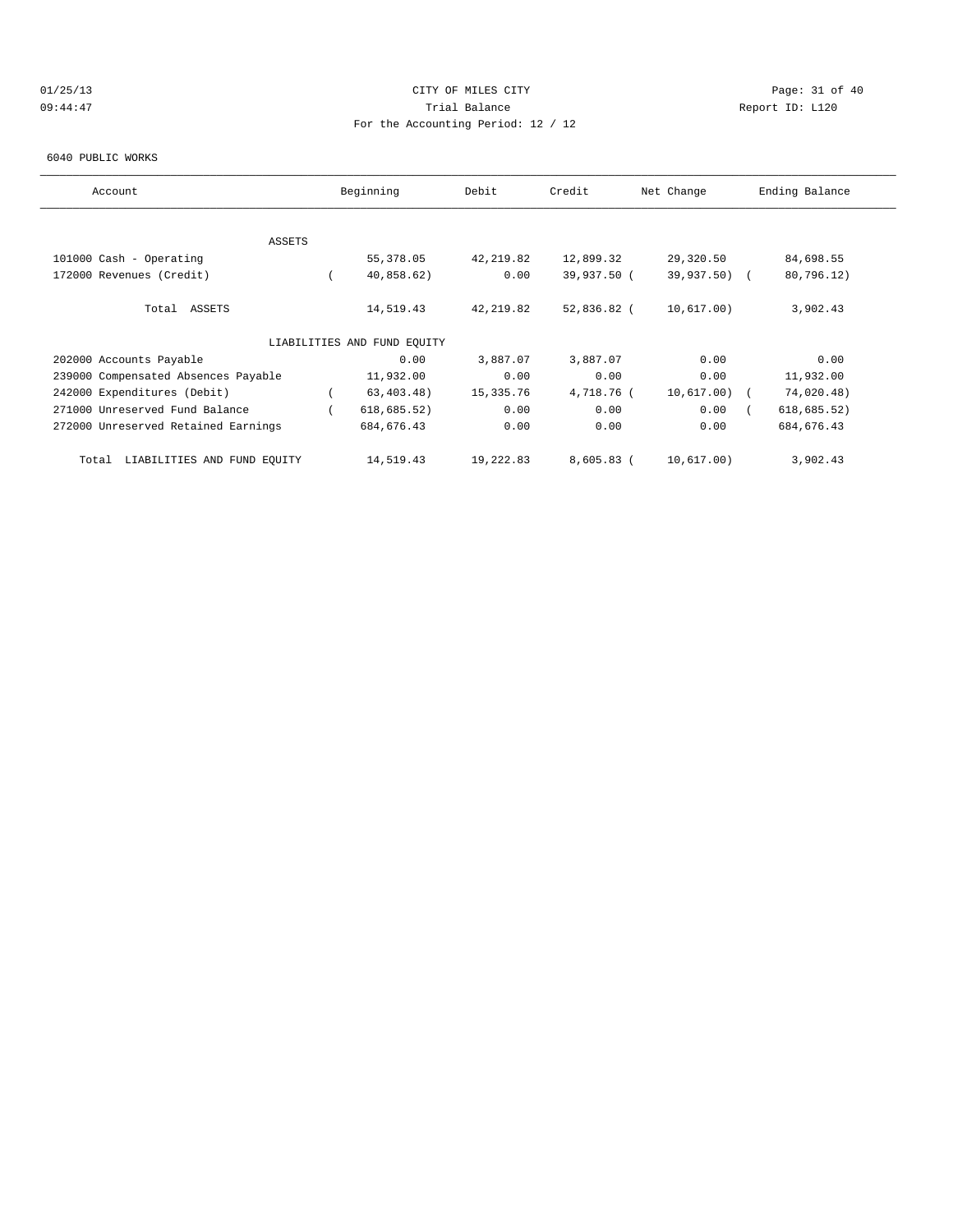# 01/25/13 Page: 31 of 40 09:44:47 Trial Balance Report ID: L120 For the Accounting Period: 12 / 12

#### 6040 PUBLIC WORKS

| Account                              | Beginning                   | Debit     | Credit       | Net Change   | Ending Balance |
|--------------------------------------|-----------------------------|-----------|--------------|--------------|----------------|
|                                      |                             |           |              |              |                |
| <b>ASSETS</b>                        |                             |           |              |              |                |
| 101000 Cash - Operating              | 55,378.05                   | 42,219.82 | 12,899.32    | 29,320.50    | 84,698.55      |
| 172000 Revenues (Credit)             | 40,858.62)                  | 0.00      | 39,937.50 (  | 39,937.50) ( | 80,796.12)     |
| Total ASSETS                         | 14,519.43                   | 42,219.82 | 52,836.82 (  | 10,617.00)   | 3,902.43       |
|                                      | LIABILITIES AND FUND EOUITY |           |              |              |                |
| 202000 Accounts Payable              | 0.00                        | 3,887.07  | 3,887.07     | 0.00         | 0.00           |
| 239000 Compensated Absences Payable  | 11,932.00                   | 0.00      | 0.00         | 0.00         | 11,932.00      |
| 242000 Expenditures (Debit)          | 63, 403.48)                 | 15,335.76 | 4,718.76 (   | 10,617.00) ( | 74,020.48)     |
| 271000 Unreserved Fund Balance       | 618, 685.52)                | 0.00      | 0.00         | 0.00         | 618, 685.52)   |
| 272000 Unreserved Retained Earnings  | 684, 676.43                 | 0.00      | 0.00         | 0.00         | 684, 676.43    |
| LIABILITIES AND FUND EOUITY<br>Total | 14,519.43                   | 19,222.83 | $8,605.83$ ( | 10,617.00)   | 3,902.43       |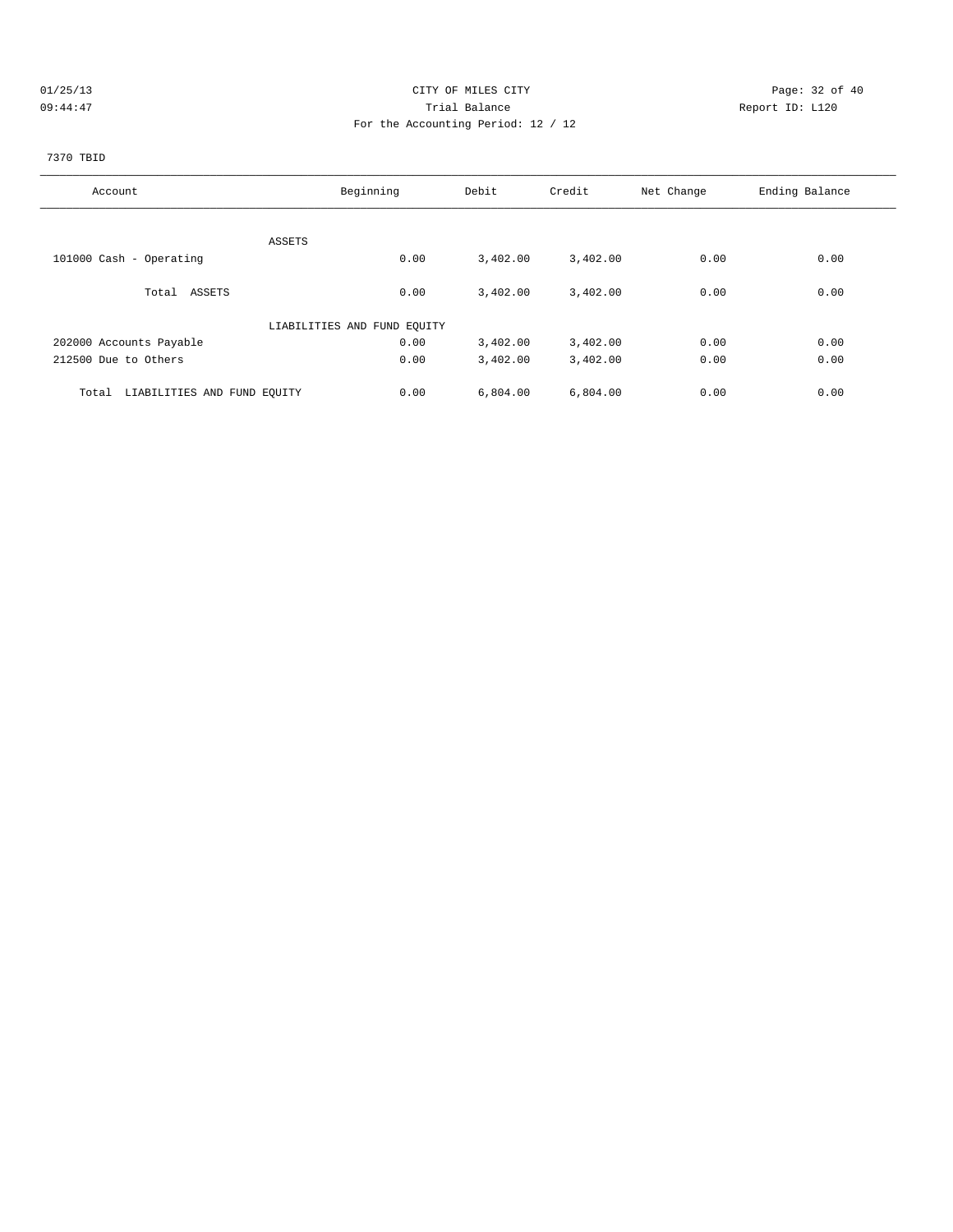# 01/25/13 Page: 32 of 40 09:44:47 Trial Balance Report ID: L120 For the Accounting Period: 12 / 12

# 7370 TBID

| Account                              | Beginning                   | Debit    | Credit   | Net Change | Ending Balance |
|--------------------------------------|-----------------------------|----------|----------|------------|----------------|
|                                      |                             |          |          |            |                |
|                                      | ASSETS                      |          |          |            |                |
| 101000 Cash - Operating              | 0.00                        | 3,402.00 | 3,402.00 | 0.00       | 0.00           |
| Total ASSETS                         | 0.00                        | 3,402.00 | 3,402.00 | 0.00       | 0.00           |
|                                      | LIABILITIES AND FUND EQUITY |          |          |            |                |
| 202000 Accounts Payable              | 0.00                        | 3,402.00 | 3,402.00 | 0.00       | 0.00           |
| 212500 Due to Others                 | 0.00                        | 3,402.00 | 3,402.00 | 0.00       | 0.00           |
| Total<br>LIABILITIES AND FUND EQUITY | 0.00                        | 6,804.00 | 6,804.00 | 0.00       | 0.00           |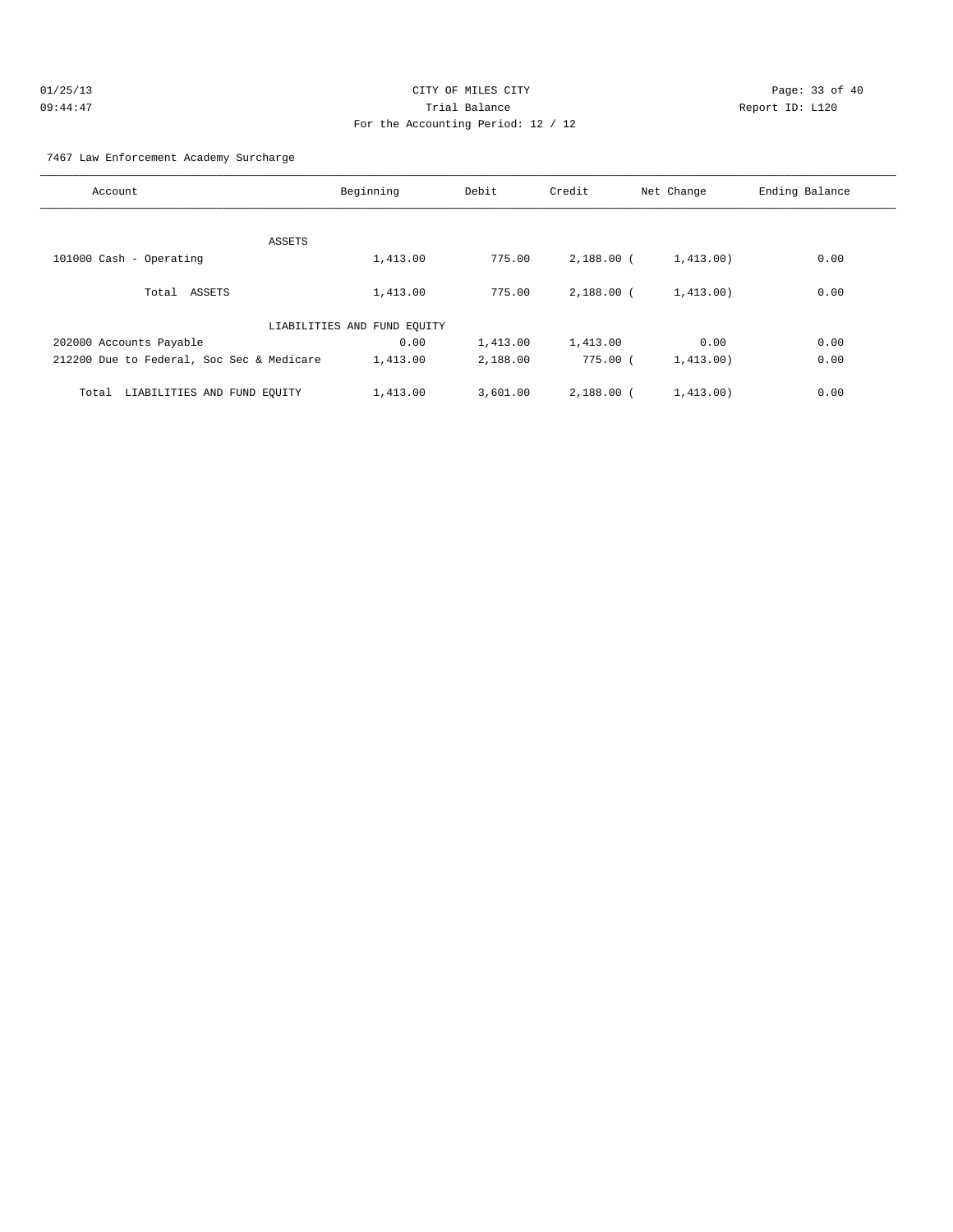#### 7467 Law Enforcement Academy Surcharge

| Account                                   | Beginning                   | Debit    | Credit       | Net Change | Ending Balance |
|-------------------------------------------|-----------------------------|----------|--------------|------------|----------------|
|                                           |                             |          |              |            |                |
|                                           |                             |          |              |            |                |
| ASSETS                                    |                             |          |              |            |                |
| 101000 Cash - Operating                   | 1,413.00                    | 775.00   | $2,188.00$ ( | 1,413,00)  | 0.00           |
|                                           |                             |          |              |            |                |
| Total ASSETS                              | 1,413.00                    | 775.00   | $2.188.00$ ( | 1,413.00)  | 0.00           |
|                                           |                             |          |              |            |                |
|                                           | LIABILITIES AND FUND EQUITY |          |              |            |                |
| 202000 Accounts Payable                   | 0.00                        | 1,413.00 | 1,413.00     | 0.00       | 0.00           |
| 212200 Due to Federal, Soc Sec & Medicare | 1,413.00                    | 2,188.00 | 775.00(      | 1,413.00)  | 0.00           |
|                                           |                             |          |              |            |                |
|                                           |                             |          |              |            |                |
| LIABILITIES AND FUND EQUITY<br>Total      | 1,413.00                    | 3.601.00 | $2.188.00$ ( | 1,413,00)  | 0.00           |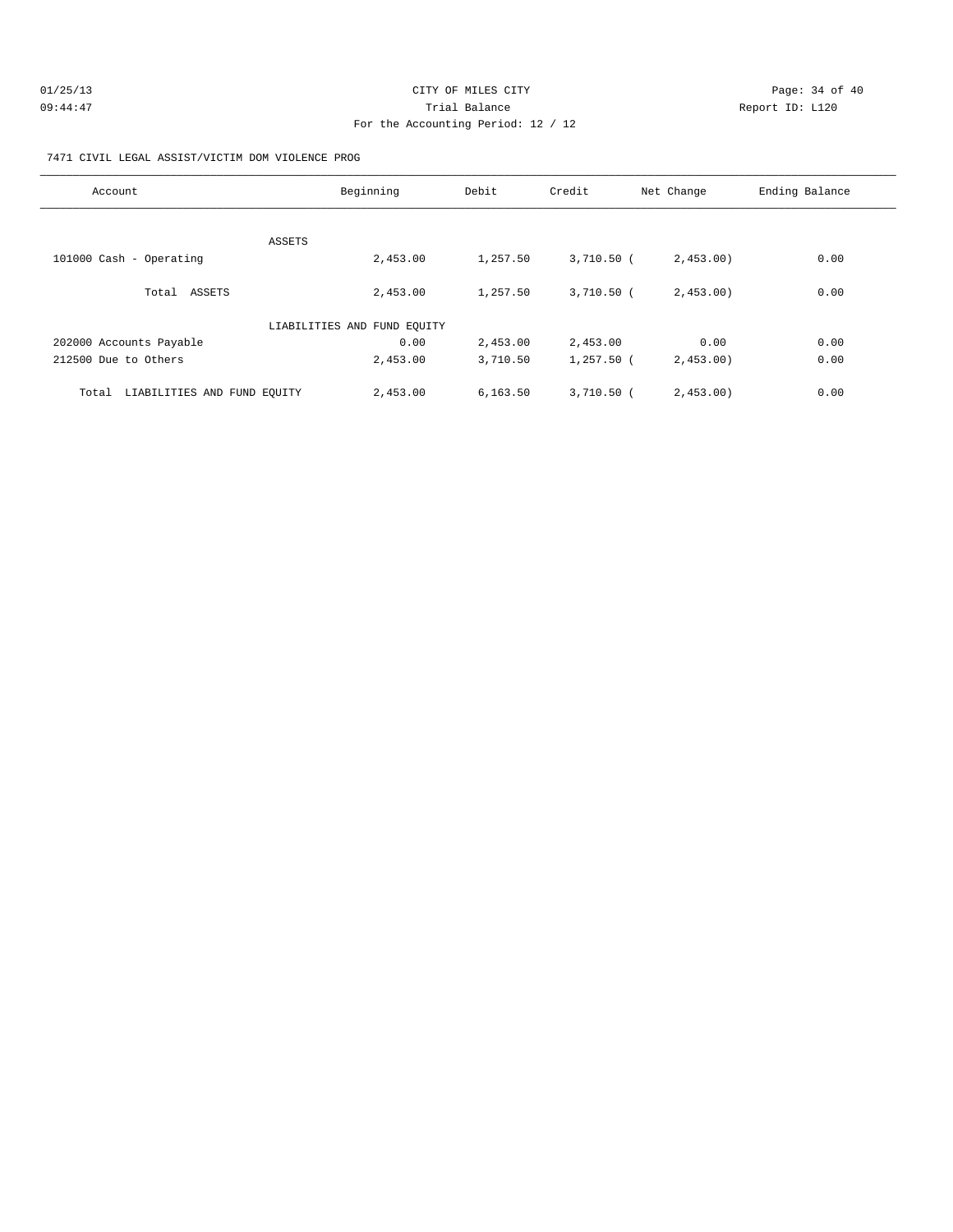| 01/25/13 | CITY OF MILES CITY                 | Page: 34 of 40  |
|----------|------------------------------------|-----------------|
| 09:44:47 | Trial Balance                      | Report ID: L120 |
|          | For the Accounting Period: 12 / 12 |                 |

#### 7471 CIVIL LEGAL ASSIST/VICTIM DOM VIOLENCE PROG

| Account                              | Beginning                   | Debit    | Credit       | Net Change | Ending Balance |
|--------------------------------------|-----------------------------|----------|--------------|------------|----------------|
| ASSETS                               |                             |          |              |            |                |
| 101000 Cash - Operating              | 2,453.00                    | 1,257.50 | $3,710.50$ ( | 2,453.00   | 0.00           |
| Total ASSETS                         | 2,453.00                    | 1,257.50 | $3,710.50$ ( | 2,453.00   | 0.00           |
|                                      | LIABILITIES AND FUND EQUITY |          |              |            |                |
| 202000 Accounts Payable              | 0.00                        | 2,453.00 | 2,453.00     | 0.00       | 0.00           |
| 212500 Due to Others                 | 2,453.00                    | 3,710.50 | $1,257.50$ ( | 2,453.00   | 0.00           |
| LIABILITIES AND FUND EQUITY<br>Total | 2,453.00                    | 6,163.50 | $3,710.50$ ( | 2,453.00   | 0.00           |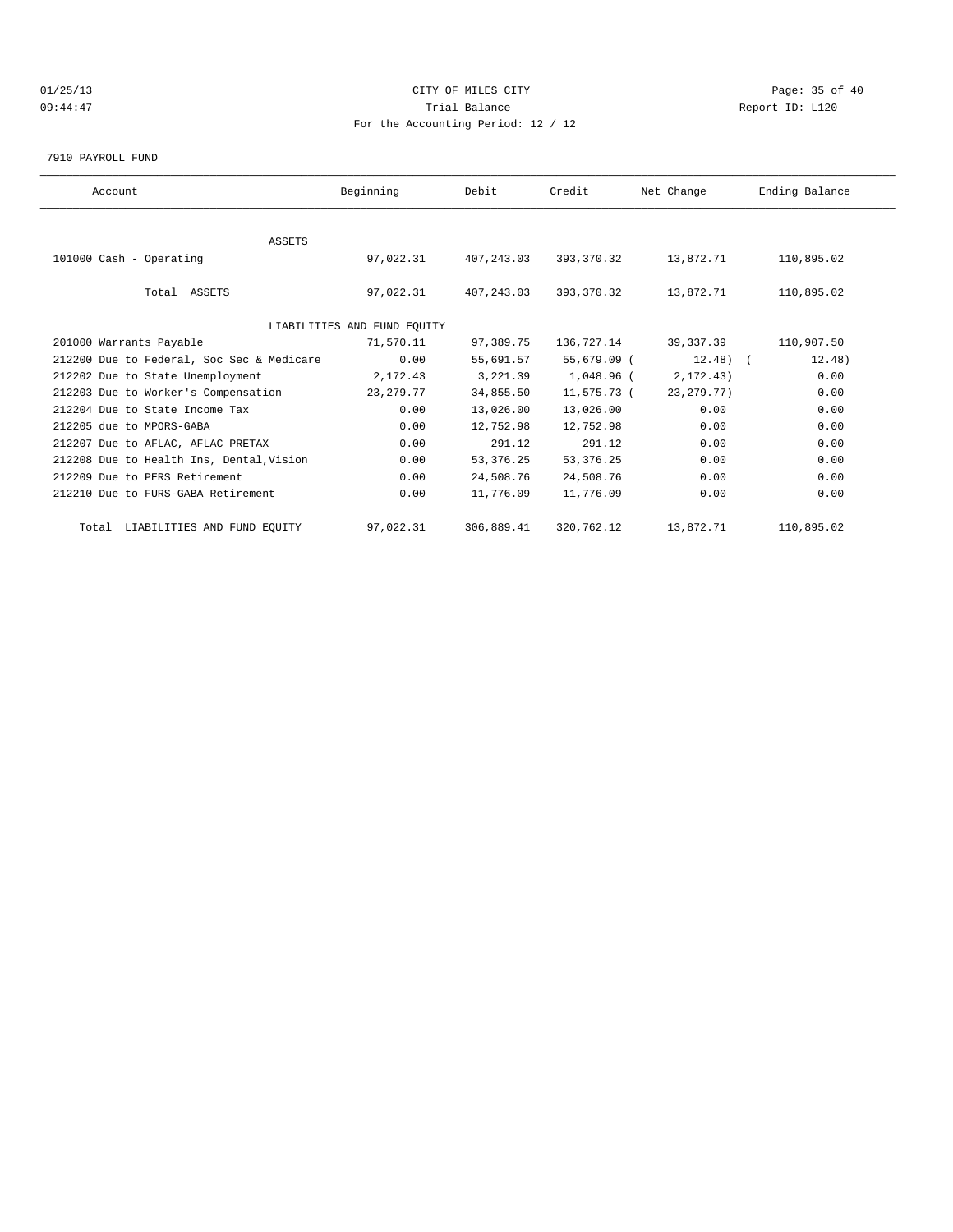# 01/25/13 Page: 35 of 40 09:44:47 Trial Balance Report ID: L120 For the Accounting Period: 12 / 12

7910 PAYROLL FUND

| Account                                   | Beginning                   | Debit      | Credit      | Net Change   | Ending Balance |
|-------------------------------------------|-----------------------------|------------|-------------|--------------|----------------|
|                                           |                             |            |             |              |                |
| <b>ASSETS</b>                             |                             |            |             |              |                |
| 101000 Cash - Operating                   | 97,022.31                   | 407,243.03 | 393,370.32  | 13,872.71    | 110,895.02     |
|                                           |                             |            |             |              |                |
| Total ASSETS                              | 97,022.31                   | 407,243.03 | 393,370.32  | 13,872.71    | 110,895.02     |
|                                           |                             |            |             |              |                |
|                                           | LIABILITIES AND FUND EQUITY |            |             |              |                |
| 201000 Warrants Payable                   | 71,570.11                   | 97,389.75  | 136,727.14  | 39,337.39    | 110,907.50     |
| 212200 Due to Federal, Soc Sec & Medicare | 0.00                        | 55,691.57  | 55,679.09 ( | $12.48$ ) (  | 12.48)         |
| 212202 Due to State Unemployment          | 2,172.43                    | 3,221.39   | 1,048.96 (  | 2, 172, 43)  | 0.00           |
| 212203 Due to Worker's Compensation       | 23, 279. 77                 | 34,855.50  | 11,575.73 ( | 23, 279. 77) | 0.00           |
| 212204 Due to State Income Tax            | 0.00                        | 13,026.00  | 13,026.00   | 0.00         | 0.00           |
| 212205 due to MPORS-GABA                  | 0.00                        | 12,752.98  | 12,752.98   | 0.00         | 0.00           |
| 212207 Due to AFLAC, AFLAC PRETAX         | 0.00                        | 291.12     | 291.12      | 0.00         | 0.00           |
| 212208 Due to Health Ins, Dental, Vision  | 0.00                        | 53,376.25  | 53, 376. 25 | 0.00         | 0.00           |
| 212209 Due to PERS Retirement             | 0.00                        | 24,508.76  | 24,508.76   | 0.00         | 0.00           |
| 212210 Due to FURS-GABA Retirement        | 0.00                        | 11,776.09  | 11,776.09   | 0.00         | 0.00           |
| Total LIABILITIES AND FUND EQUITY         | 97,022.31                   | 306,889.41 | 320,762.12  | 13,872.71    | 110,895.02     |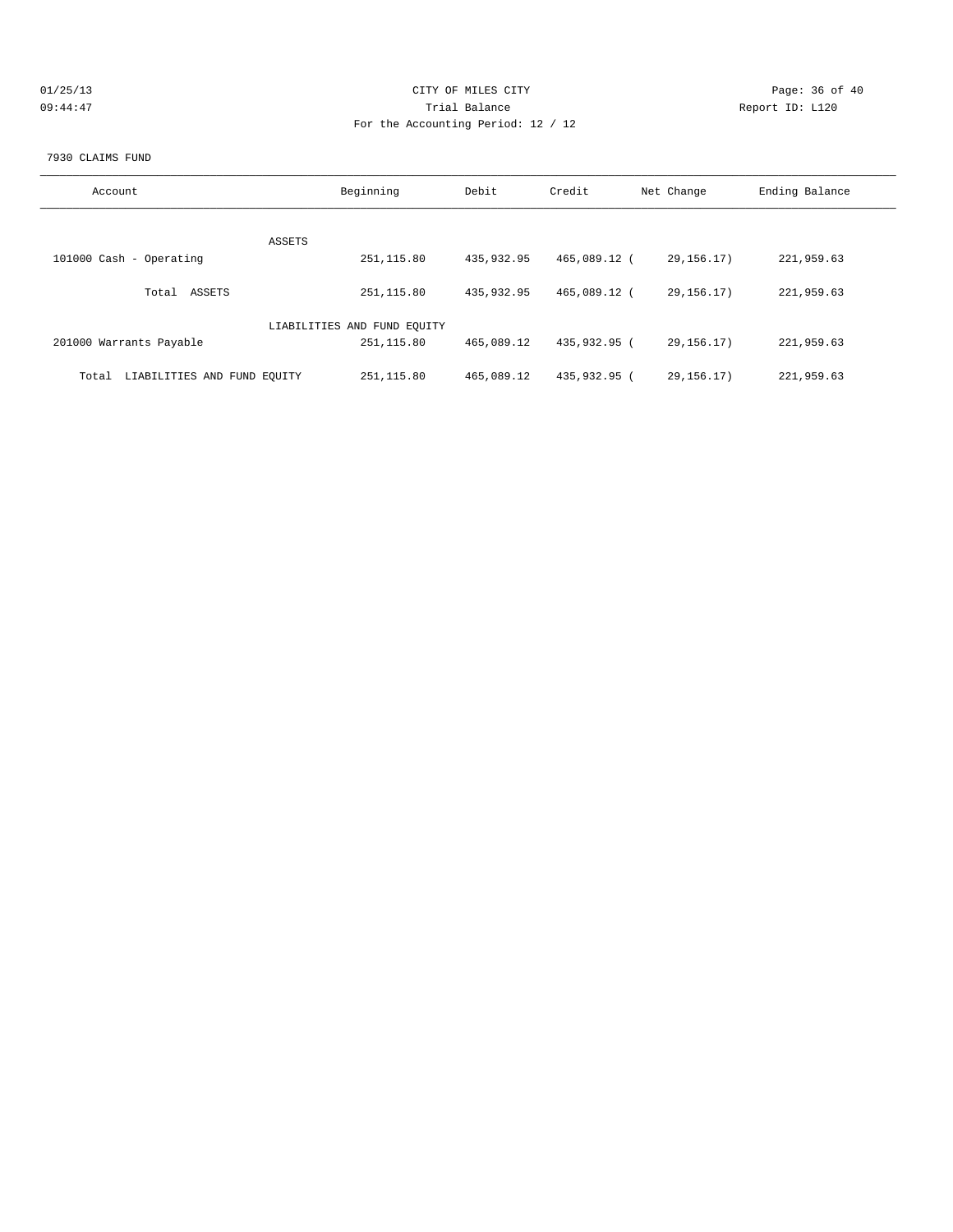| 01/25/13 |  |
|----------|--|
| 09:44:47 |  |

# CITY OF MILES CITY CONTROL CONTROL CONTROL CONTROL CONTROL PAGE: 36 of 40 09:44:47 Trial Balance Report ID: L120 For the Accounting Period: 12 / 12

#### 7930 CLAIMS FUND

| Account                              | Beginning                   | Debit      | Credit       | Net Change   | Ending Balance |
|--------------------------------------|-----------------------------|------------|--------------|--------------|----------------|
| ASSETS                               |                             |            |              |              |                |
| 101000 Cash - Operating              | 251,115.80                  | 435,932.95 | 465,089.12 ( | 29, 156. 17) | 221,959.63     |
| Total ASSETS                         | 251,115.80                  | 435,932.95 | 465,089.12 ( | 29, 156, 17) | 221,959.63     |
|                                      | LIABILITIES AND FUND EQUITY |            |              |              |                |
| 201000 Warrants Payable              | 251, 115.80                 | 465,089.12 | 435,932.95 ( | 29, 156, 17) | 221,959.63     |
| LIABILITIES AND FUND EQUITY<br>Total | 251, 115.80                 | 465,089.12 | 435,932.95 ( | 29, 156, 17) | 221,959.63     |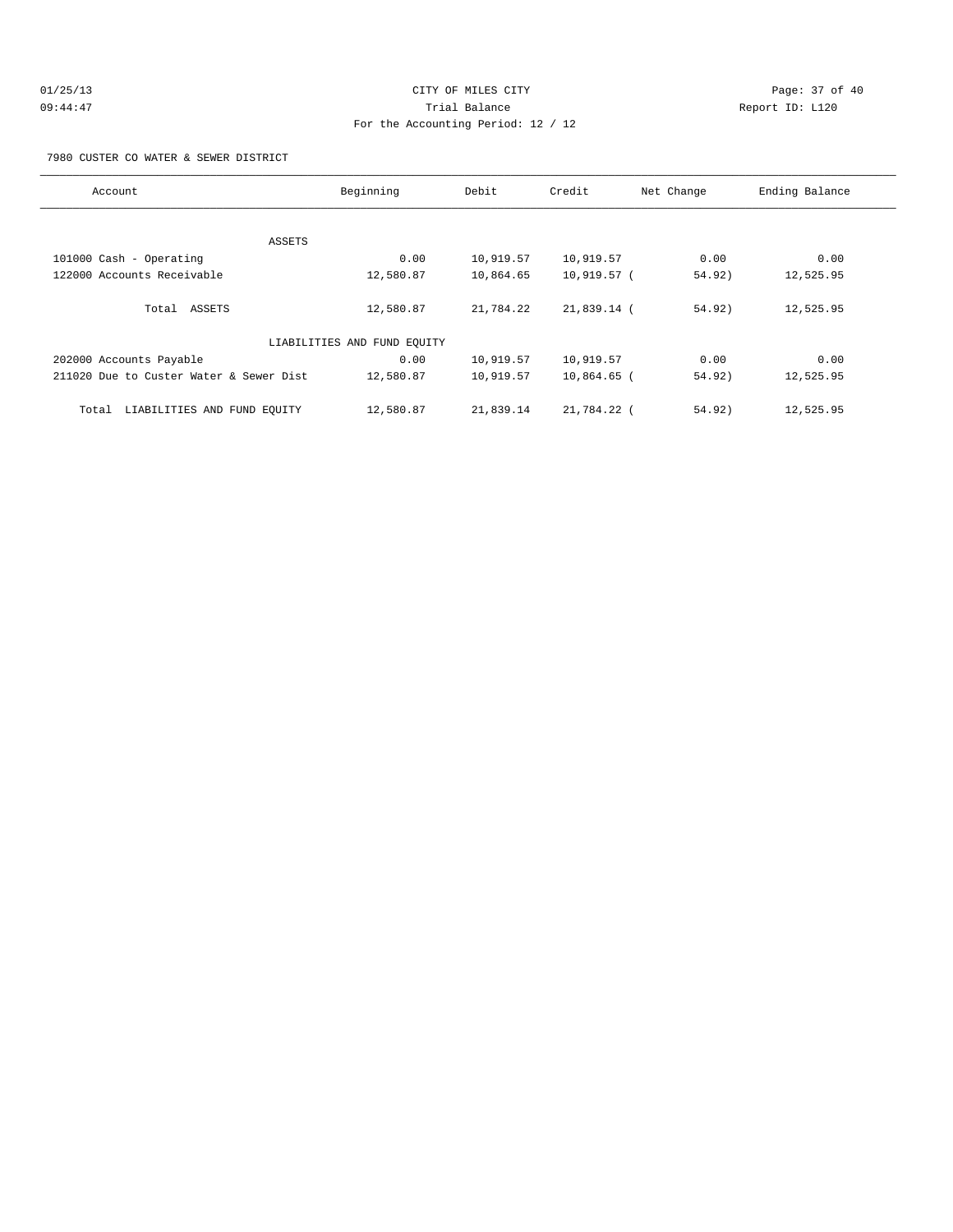# 01/25/13 Page: 37 of 40 09:44:47 Trial Balance Report ID: L120 For the Accounting Period: 12 / 12

7980 CUSTER CO WATER & SEWER DISTRICT

| Account                                 | Beginning                   | Debit     | Credit        | Net Change | Ending Balance |
|-----------------------------------------|-----------------------------|-----------|---------------|------------|----------------|
|                                         |                             |           |               |            |                |
|                                         | ASSETS                      |           |               |            |                |
| 101000 Cash - Operating                 | 0.00                        | 10,919.57 | 10,919.57     | 0.00       | 0.00           |
| 122000 Accounts Receivable              | 12,580.87                   | 10,864.65 | 10,919.57 (   | 54.92)     | 12,525.95      |
| Total ASSETS                            | 12,580.87                   | 21,784.22 | 21,839.14 (   | 54.92)     | 12,525.95      |
|                                         | LIABILITIES AND FUND EOUITY |           |               |            |                |
| 202000 Accounts Payable                 | 0.00                        | 10,919.57 | 10,919.57     | 0.00       | 0.00           |
| 211020 Due to Custer Water & Sewer Dist | 12,580.87                   | 10,919.57 | $10,864.65$ ( | 54.92)     | 12,525.95      |
| LIABILITIES AND FUND EQUITY<br>Total    | 12,580.87                   | 21,839.14 | 21,784.22 (   | 54.92)     | 12,525.95      |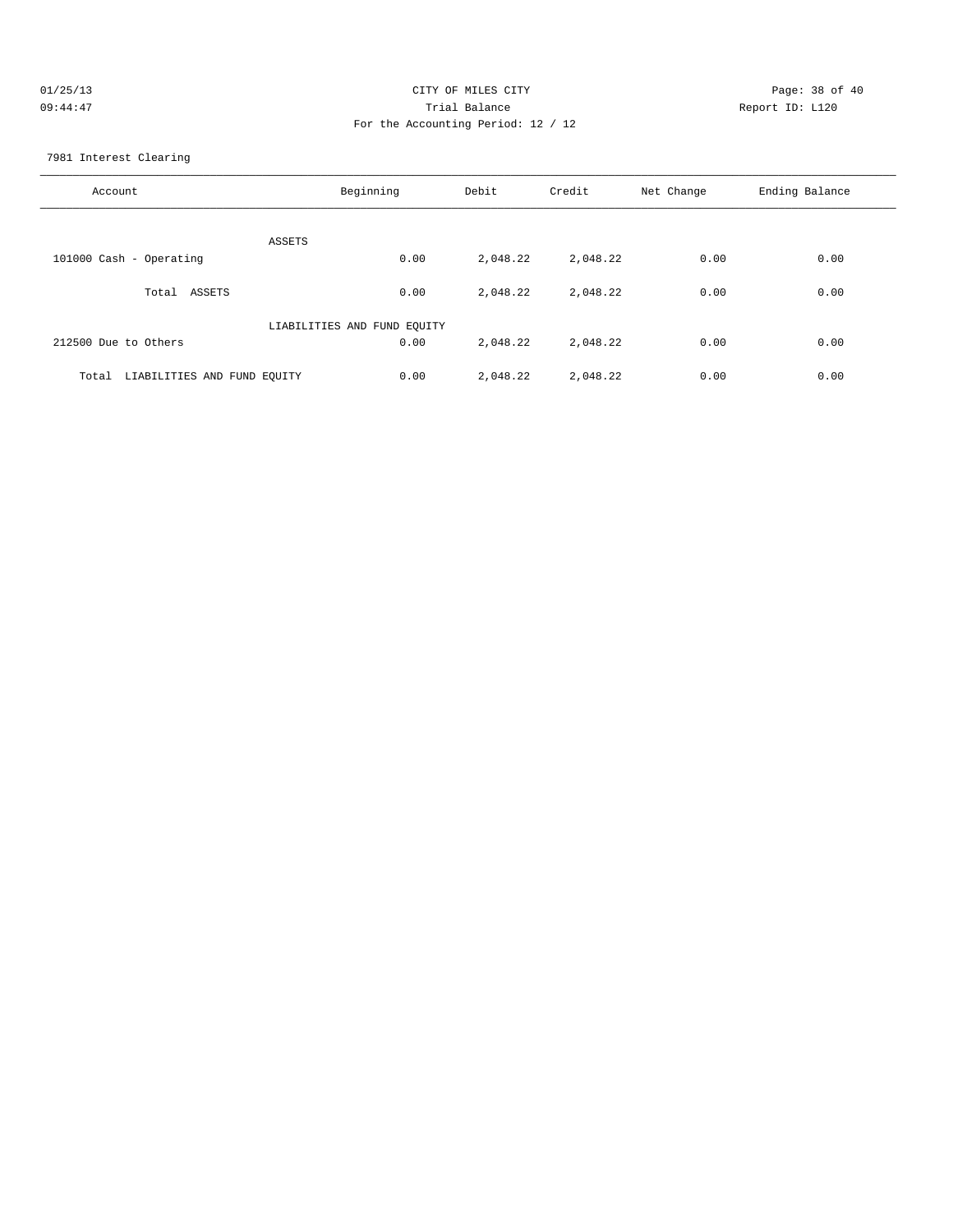| 01/25/13 | CITY OF MILES CITY                 | Page: 38 of 40  |
|----------|------------------------------------|-----------------|
| 09:44:47 | Trial Balance                      | Report ID: L120 |
|          | For the Accounting Period: 12 / 12 |                 |

7981 Interest Clearing

| Account                              | Beginning                   | Debit    | Credit   | Net Change | Ending Balance |
|--------------------------------------|-----------------------------|----------|----------|------------|----------------|
| ASSETS                               |                             |          |          |            |                |
| 101000 Cash - Operating              | 0.00                        | 2,048.22 | 2,048.22 | 0.00       | 0.00           |
| ASSETS<br>Total                      | 0.00                        | 2,048.22 | 2,048.22 | 0.00       | 0.00           |
|                                      | LIABILITIES AND FUND EQUITY |          |          |            |                |
| 212500 Due to Others                 | 0.00                        | 2,048.22 | 2,048.22 | 0.00       | 0.00           |
| LIABILITIES AND FUND EQUITY<br>Total | 0.00                        | 2,048.22 | 2,048.22 | 0.00       | 0.00           |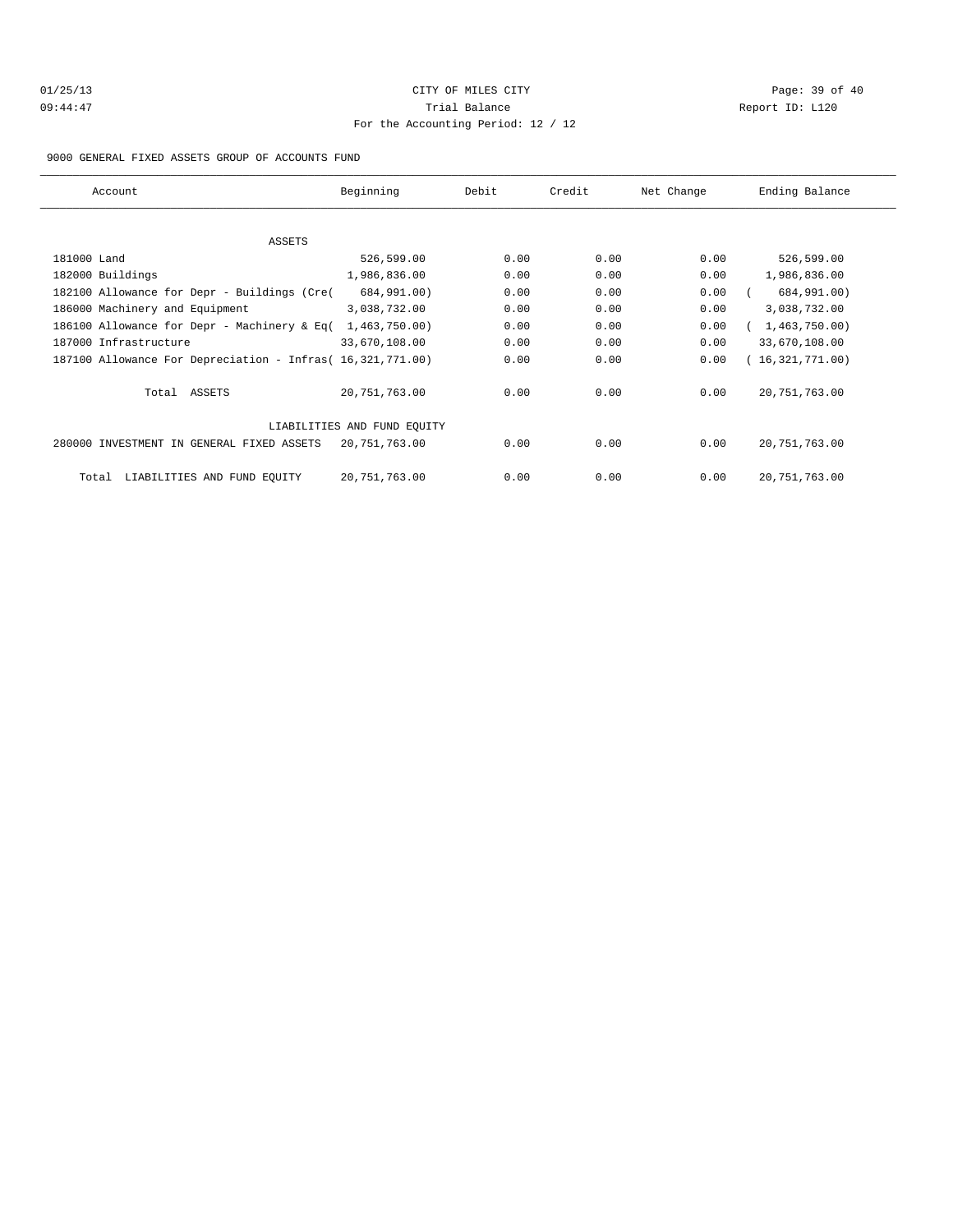# 01/25/13 Page: 39 of 40 09:44:47 Trial Balance Report ID: L120 For the Accounting Period: 12 / 12

9000 GENERAL FIXED ASSETS GROUP OF ACCOUNTS FUND

| Account                                                    | Beginning                   | Debit | Credit | Net Change | Ending Balance  |
|------------------------------------------------------------|-----------------------------|-------|--------|------------|-----------------|
|                                                            |                             |       |        |            |                 |
| <b>ASSETS</b>                                              |                             |       |        |            |                 |
| 181000 Land                                                | 526,599.00                  | 0.00  | 0.00   | 0.00       | 526,599.00      |
| 182000 Buildings                                           | 1,986,836.00                | 0.00  | 0.00   | 0.00       | 1,986,836.00    |
| 182100 Allowance for Depr - Buildings (Cre(                | 684,991.00)                 | 0.00  | 0.00   | 0.00       | 684,991.00)     |
| 186000 Machinery and Equipment                             | 3,038,732.00                | 0.00  | 0.00   | 0.00       | 3,038,732.00    |
| 186100 Allowance for Depr - Machinery & Eq(                | 1,463,750.00                | 0.00  | 0.00   | 0.00       | 1,463,750.00    |
| 187000 Infrastructure                                      | 33,670,108.00               | 0.00  | 0.00   | 0.00       | 33,670,108.00   |
| 187100 Allowance For Depreciation - Infras( 16,321,771.00) |                             | 0.00  | 0.00   | 0.00       | 16,321,771.00)  |
| Total ASSETS                                               | 20,751,763.00               | 0.00  | 0.00   | 0.00       | 20, 751, 763.00 |
|                                                            | LIABILITIES AND FUND EQUITY |       |        |            |                 |
| 280000 INVESTMENT IN GENERAL FIXED ASSETS                  | 20,751,763.00               | 0.00  | 0.00   | 0.00       | 20, 751, 763.00 |
| LIABILITIES AND FUND EQUITY<br>Total                       | 20,751,763.00               | 0.00  | 0.00   | 0.00       | 20, 751, 763.00 |